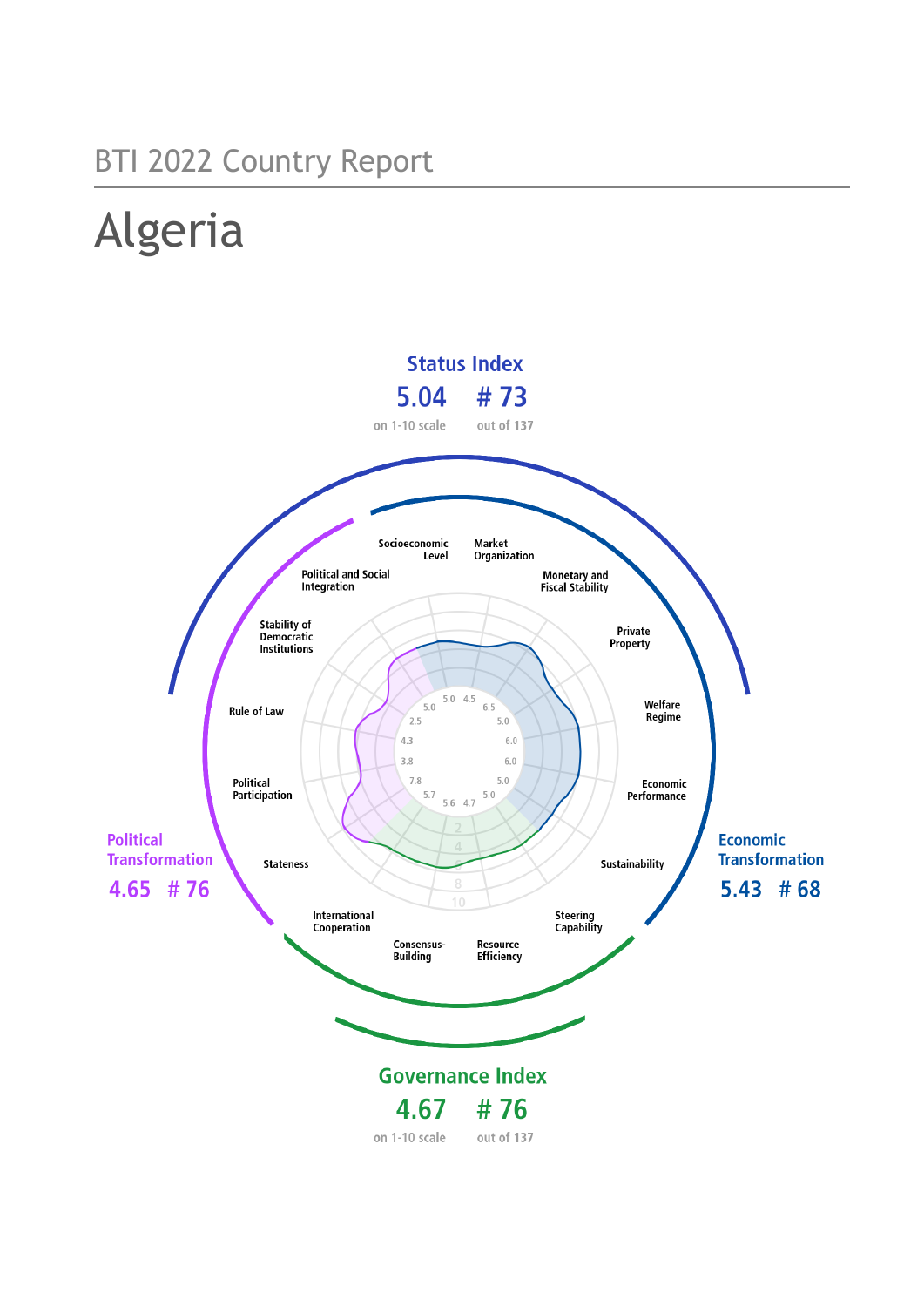## BTI 2022 Country Report

# Algeria

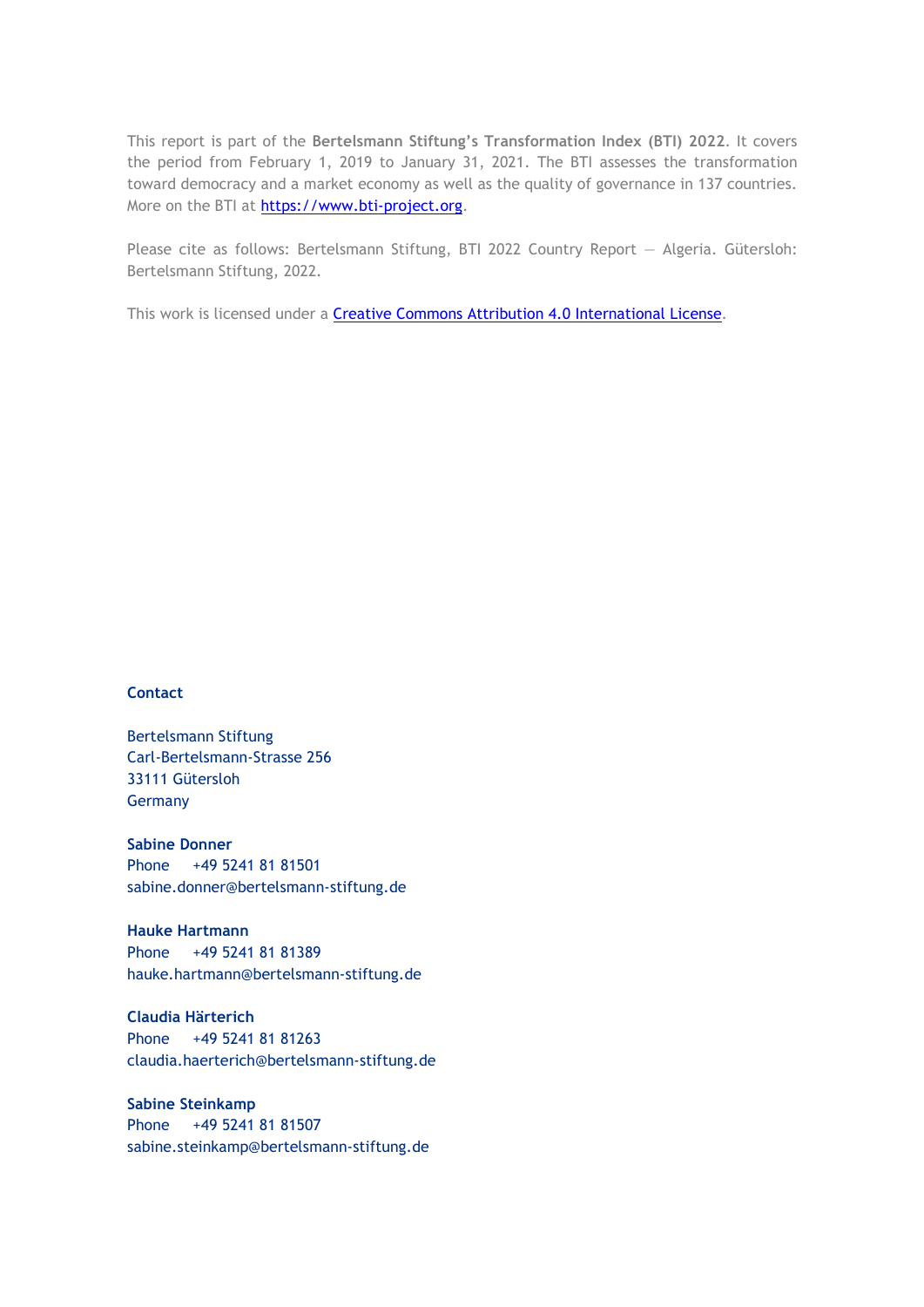This report is part of the **Bertelsmann Stiftung's Transformation Index (BTI) 2022**. It covers the period from February 1, 2019 to January 31, 2021. The BTI assesses the transformation toward democracy and a market economy as well as the quality of governance in 137 countries. More on the BTI at [https://www.bti-project.org.](https://www.bti-project.org/)

Please cite as follows: Bertelsmann Stiftung, BTI 2022 Country Report — Algeria. Gütersloh: Bertelsmann Stiftung, 2022.

This work is licensed under a **Creative Commons Attribution 4.0 International License**.

#### **Contact**

Bertelsmann Stiftung Carl-Bertelsmann-Strasse 256 33111 Gütersloh Germany

**Sabine Donner** Phone +49 5241 81 81501 sabine.donner@bertelsmann-stiftung.de

**Hauke Hartmann** Phone +49 5241 81 81389 hauke.hartmann@bertelsmann-stiftung.de

**Claudia Härterich** Phone +49 5241 81 81263 claudia.haerterich@bertelsmann-stiftung.de

#### **Sabine Steinkamp** Phone +49 5241 81 81507 sabine.steinkamp@bertelsmann-stiftung.de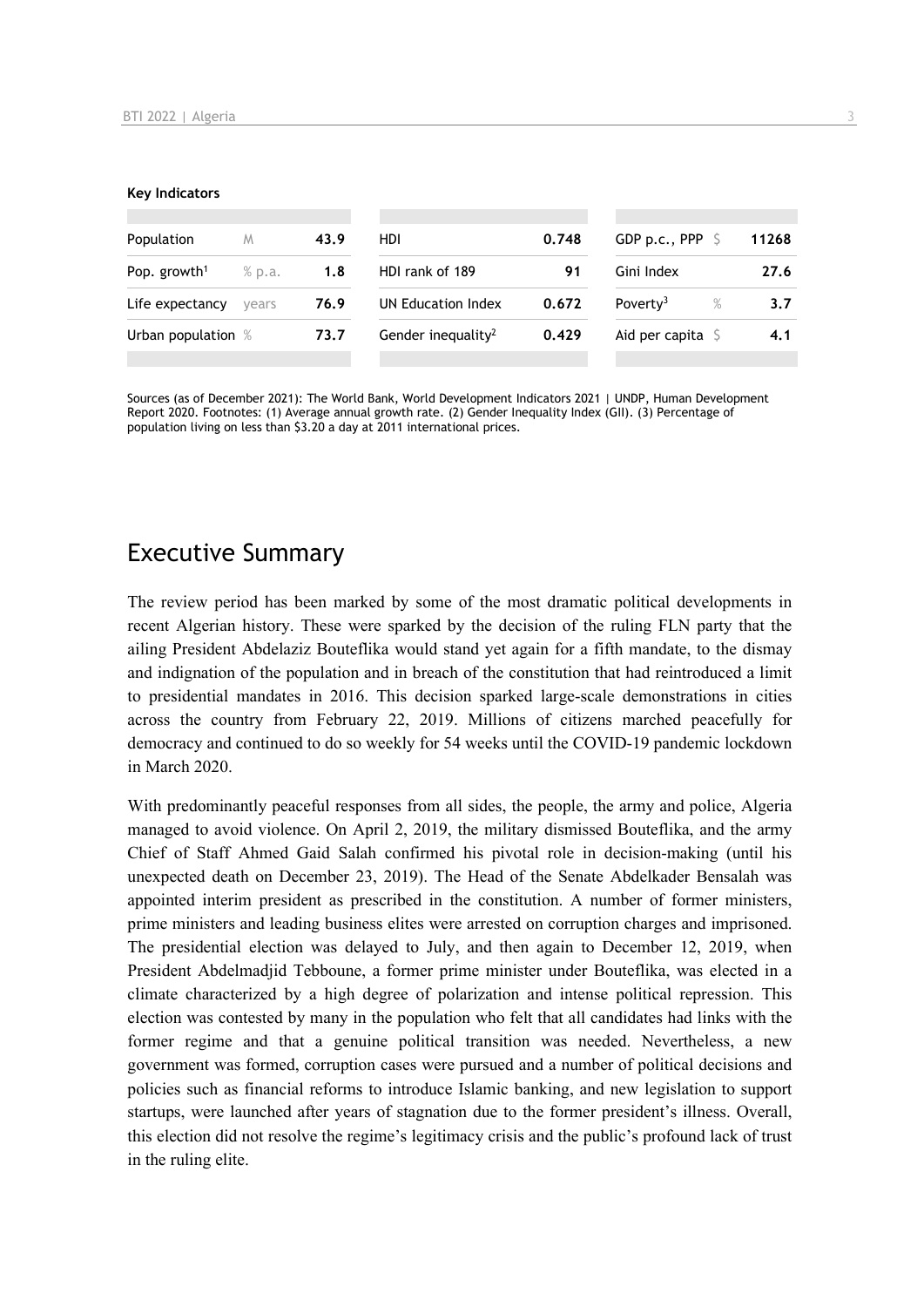#### **Key Indicators**

| Population               | M      | 43.9 | HDI                            | 0.748 | GDP p.c., PPP $\ S$       | 11268 |
|--------------------------|--------|------|--------------------------------|-------|---------------------------|-------|
| Pop. growth <sup>1</sup> | % p.a. | 1.8  | HDI rank of 189                | 91    | Gini Index                | 27.6  |
| Life expectancy          | vears  | 76.9 | UN Education Index             | 0.672 | Poverty <sup>3</sup><br>% | 3.7   |
| Urban population %       |        | 73.7 | Gender inequality <sup>2</sup> | 0.429 | Aid per capita $\sqrt{5}$ | 4.1   |
|                          |        |      |                                |       |                           |       |

Sources (as of December 2021): The World Bank, World Development Indicators 2021 | UNDP, Human Development Report 2020. Footnotes: (1) Average annual growth rate. (2) Gender Inequality Index (GII). (3) Percentage of population living on less than \$3.20 a day at 2011 international prices.

## Executive Summary

The review period has been marked by some of the most dramatic political developments in recent Algerian history. These were sparked by the decision of the ruling FLN party that the ailing President Abdelaziz Bouteflika would stand yet again for a fifth mandate, to the dismay and indignation of the population and in breach of the constitution that had reintroduced a limit to presidential mandates in 2016. This decision sparked large-scale demonstrations in cities across the country from February 22, 2019. Millions of citizens marched peacefully for democracy and continued to do so weekly for 54 weeks until the COVID-19 pandemic lockdown in March 2020.

With predominantly peaceful responses from all sides, the people, the army and police, Algeria managed to avoid violence. On April 2, 2019, the military dismissed Bouteflika, and the army Chief of Staff Ahmed Gaid Salah confirmed his pivotal role in decision-making (until his unexpected death on December 23, 2019). The Head of the Senate Abdelkader Bensalah was appointed interim president as prescribed in the constitution. A number of former ministers, prime ministers and leading business elites were arrested on corruption charges and imprisoned. The presidential election was delayed to July, and then again to December 12, 2019, when President Abdelmadjid Tebboune, a former prime minister under Bouteflika, was elected in a climate characterized by a high degree of polarization and intense political repression. This election was contested by many in the population who felt that all candidates had links with the former regime and that a genuine political transition was needed. Nevertheless, a new government was formed, corruption cases were pursued and a number of political decisions and policies such as financial reforms to introduce Islamic banking, and new legislation to support startups, were launched after years of stagnation due to the former president's illness. Overall, this election did not resolve the regime's legitimacy crisis and the public's profound lack of trust in the ruling elite.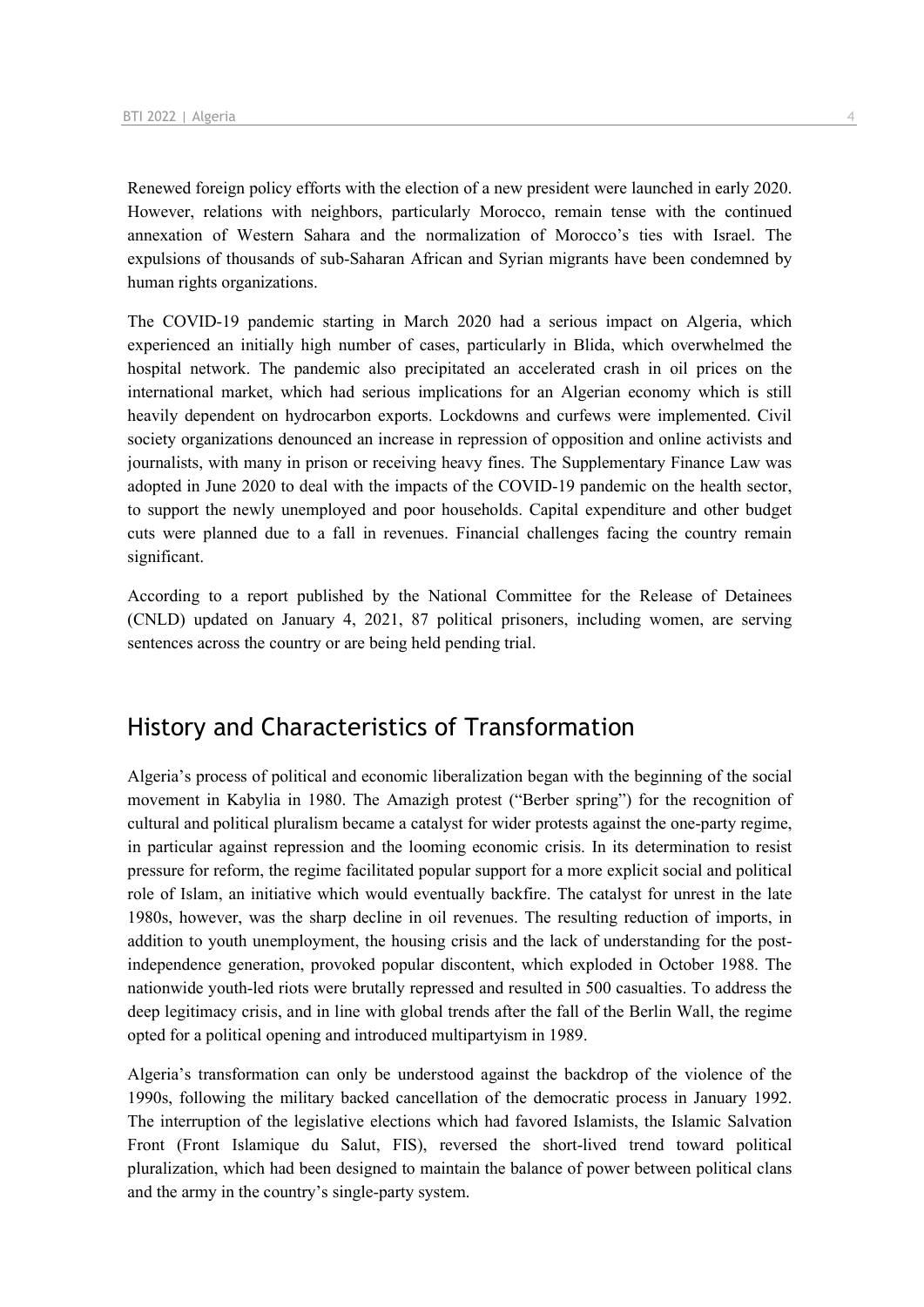Renewed foreign policy efforts with the election of a new president were launched in early 2020. However, relations with neighbors, particularly Morocco, remain tense with the continued annexation of Western Sahara and the normalization of Morocco's ties with Israel. The expulsions of thousands of sub-Saharan African and Syrian migrants have been condemned by human rights organizations.

The COVID-19 pandemic starting in March 2020 had a serious impact on Algeria, which experienced an initially high number of cases, particularly in Blida, which overwhelmed the hospital network. The pandemic also precipitated an accelerated crash in oil prices on the international market, which had serious implications for an Algerian economy which is still heavily dependent on hydrocarbon exports. Lockdowns and curfews were implemented. Civil society organizations denounced an increase in repression of opposition and online activists and journalists, with many in prison or receiving heavy fines. The Supplementary Finance Law was adopted in June 2020 to deal with the impacts of the COVID-19 pandemic on the health sector, to support the newly unemployed and poor households. Capital expenditure and other budget cuts were planned due to a fall in revenues. Financial challenges facing the country remain significant.

According to a report published by the National Committee for the Release of Detainees (CNLD) updated on January 4, 2021, 87 political prisoners, including women, are serving sentences across the country or are being held pending trial.

## History and Characteristics of Transformation

Algeria's process of political and economic liberalization began with the beginning of the social movement in Kabylia in 1980. The Amazigh protest ("Berber spring") for the recognition of cultural and political pluralism became a catalyst for wider protests against the one-party regime, in particular against repression and the looming economic crisis. In its determination to resist pressure for reform, the regime facilitated popular support for a more explicit social and political role of Islam, an initiative which would eventually backfire. The catalyst for unrest in the late 1980s, however, was the sharp decline in oil revenues. The resulting reduction of imports, in addition to youth unemployment, the housing crisis and the lack of understanding for the postindependence generation, provoked popular discontent, which exploded in October 1988. The nationwide youth-led riots were brutally repressed and resulted in 500 casualties. To address the deep legitimacy crisis, and in line with global trends after the fall of the Berlin Wall, the regime opted for a political opening and introduced multipartyism in 1989.

Algeria's transformation can only be understood against the backdrop of the violence of the 1990s, following the military backed cancellation of the democratic process in January 1992. The interruption of the legislative elections which had favored Islamists, the Islamic Salvation Front (Front Islamique du Salut, FIS), reversed the short-lived trend toward political pluralization, which had been designed to maintain the balance of power between political clans and the army in the country's single-party system.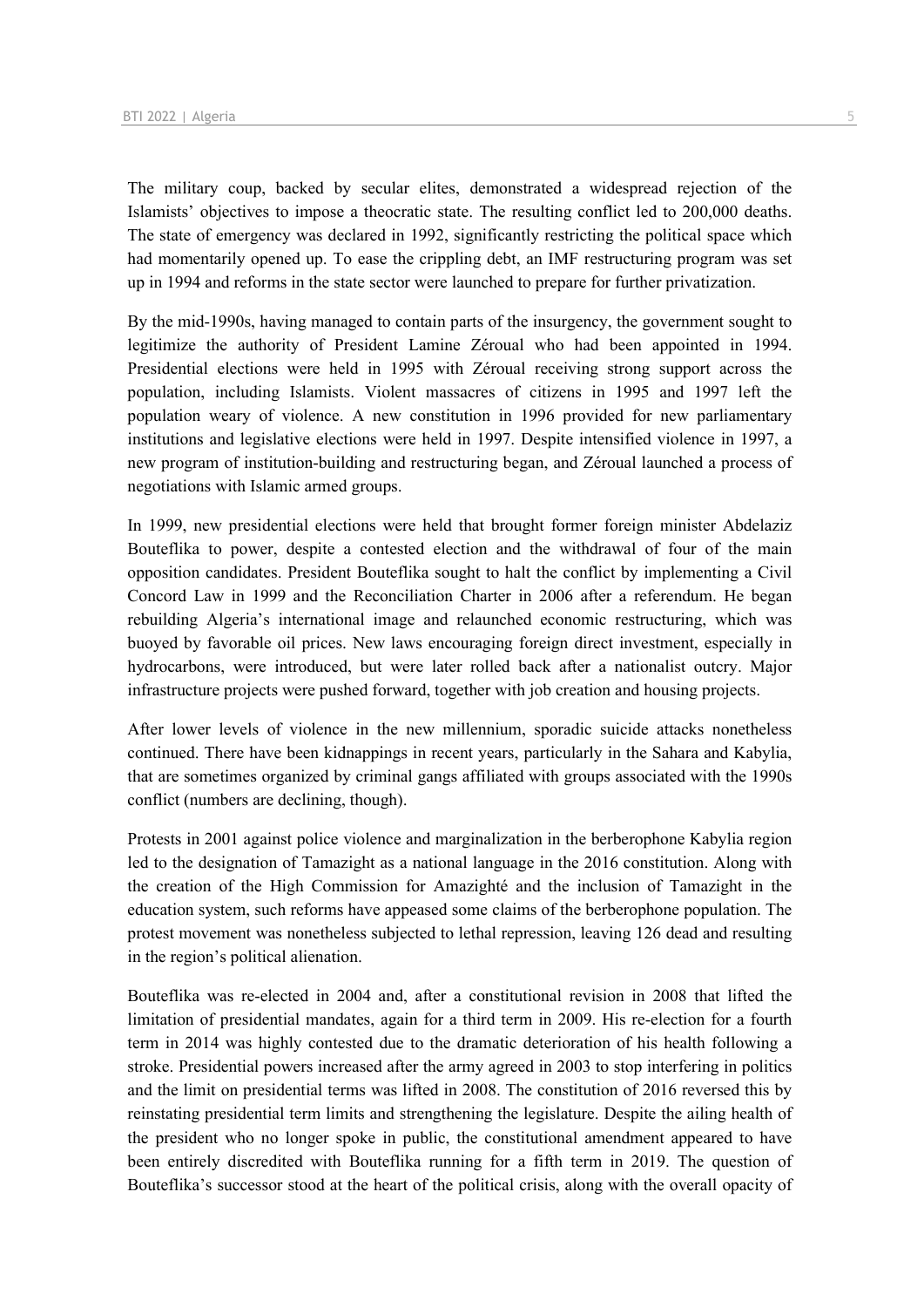The military coup, backed by secular elites, demonstrated a widespread rejection of the Islamists' objectives to impose a theocratic state. The resulting conflict led to 200,000 deaths. The state of emergency was declared in 1992, significantly restricting the political space which had momentarily opened up. To ease the crippling debt, an IMF restructuring program was set up in 1994 and reforms in the state sector were launched to prepare for further privatization.

By the mid-1990s, having managed to contain parts of the insurgency, the government sought to legitimize the authority of President Lamine Zéroual who had been appointed in 1994. Presidential elections were held in 1995 with Zéroual receiving strong support across the population, including Islamists. Violent massacres of citizens in 1995 and 1997 left the population weary of violence. A new constitution in 1996 provided for new parliamentary institutions and legislative elections were held in 1997. Despite intensified violence in 1997, a new program of institution-building and restructuring began, and Zéroual launched a process of negotiations with Islamic armed groups.

In 1999, new presidential elections were held that brought former foreign minister Abdelaziz Bouteflika to power, despite a contested election and the withdrawal of four of the main opposition candidates. President Bouteflika sought to halt the conflict by implementing a Civil Concord Law in 1999 and the Reconciliation Charter in 2006 after a referendum. He began rebuilding Algeria's international image and relaunched economic restructuring, which was buoyed by favorable oil prices. New laws encouraging foreign direct investment, especially in hydrocarbons, were introduced, but were later rolled back after a nationalist outcry. Major infrastructure projects were pushed forward, together with job creation and housing projects.

After lower levels of violence in the new millennium, sporadic suicide attacks nonetheless continued. There have been kidnappings in recent years, particularly in the Sahara and Kabylia, that are sometimes organized by criminal gangs affiliated with groups associated with the 1990s conflict (numbers are declining, though).

Protests in 2001 against police violence and marginalization in the berberophone Kabylia region led to the designation of Tamazight as a national language in the 2016 constitution. Along with the creation of the High Commission for Amazighté and the inclusion of Tamazight in the education system, such reforms have appeased some claims of the berberophone population. The protest movement was nonetheless subjected to lethal repression, leaving 126 dead and resulting in the region's political alienation.

Bouteflika was re-elected in 2004 and, after a constitutional revision in 2008 that lifted the limitation of presidential mandates, again for a third term in 2009. His re-election for a fourth term in 2014 was highly contested due to the dramatic deterioration of his health following a stroke. Presidential powers increased after the army agreed in 2003 to stop interfering in politics and the limit on presidential terms was lifted in 2008. The constitution of 2016 reversed this by reinstating presidential term limits and strengthening the legislature. Despite the ailing health of the president who no longer spoke in public, the constitutional amendment appeared to have been entirely discredited with Bouteflika running for a fifth term in 2019. The question of Bouteflika's successor stood at the heart of the political crisis, along with the overall opacity of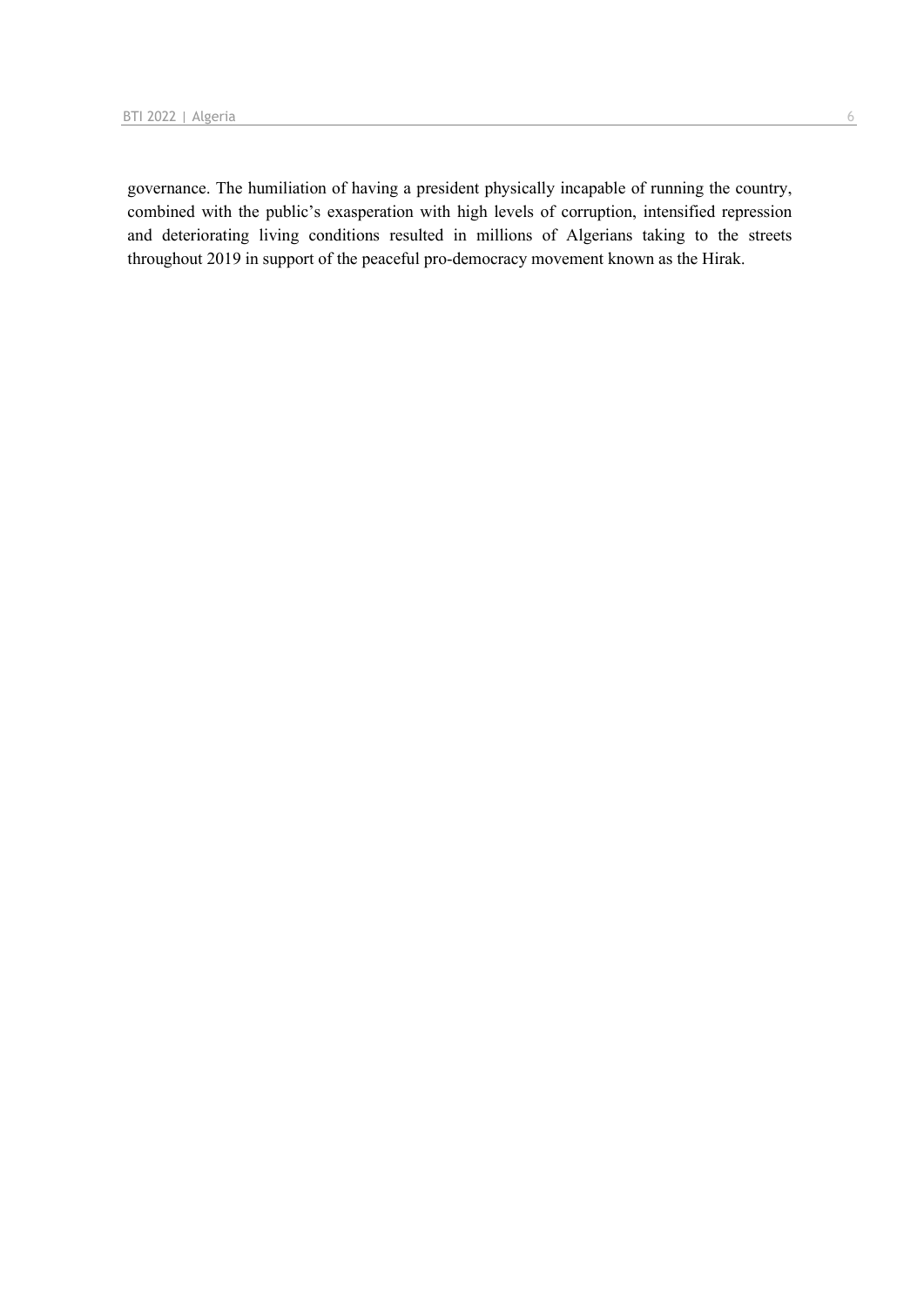governance. The humiliation of having a president physically incapable of running the country, combined with the public's exasperation with high levels of corruption, intensified repression and deteriorating living conditions resulted in millions of Algerians taking to the streets throughout 2019 in support of the peaceful pro-democracy movement known as the Hirak.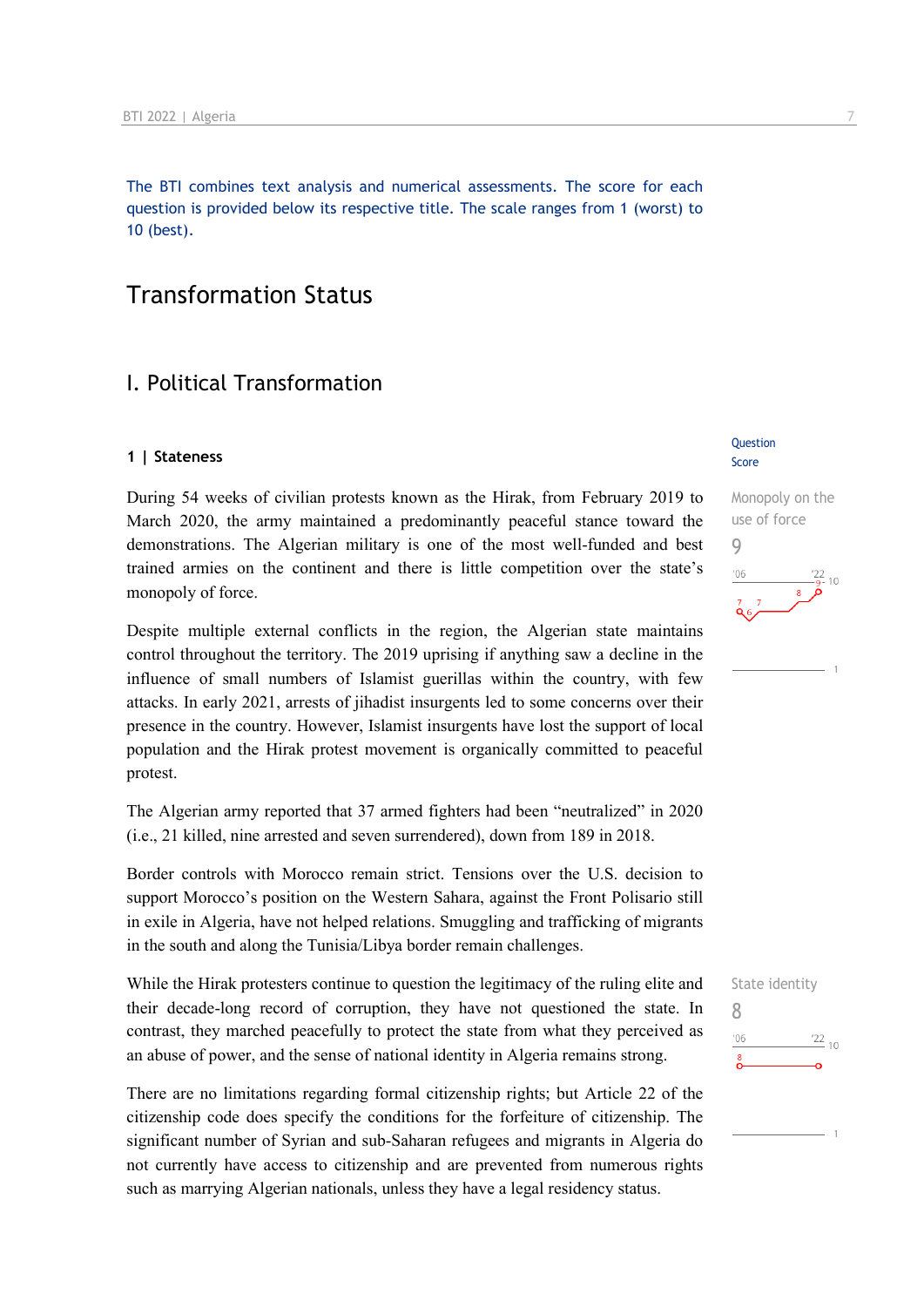The BTI combines text analysis and numerical assessments. The score for each question is provided below its respective title. The scale ranges from 1 (worst) to 10 (best).

## Transformation Status

### I. Political Transformation

#### **1 | Stateness**

During 54 weeks of civilian protests known as the Hirak, from February 2019 to March 2020, the army maintained a predominantly peaceful stance toward the demonstrations. The Algerian military is one of the most well-funded and best trained armies on the continent and there is little competition over the state's monopoly of force.

Despite multiple external conflicts in the region, the Algerian state maintains control throughout the territory. The 2019 uprising if anything saw a decline in the influence of small numbers of Islamist guerillas within the country, with few attacks. In early 2021, arrests of jihadist insurgents led to some concerns over their presence in the country. However, Islamist insurgents have lost the support of local population and the Hirak protest movement is organically committed to peaceful protest.

The Algerian army reported that 37 armed fighters had been "neutralized" in 2020 (i.e., 21 killed, nine arrested and seven surrendered), down from 189 in 2018.

Border controls with Morocco remain strict. Tensions over the U.S. decision to support Morocco's position on the Western Sahara, against the Front Polisario still in exile in Algeria, have not helped relations. Smuggling and trafficking of migrants in the south and along the Tunisia/Libya border remain challenges.

While the Hirak protesters continue to question the legitimacy of the ruling elite and their decade-long record of corruption, they have not questioned the state. In contrast, they marched peacefully to protect the state from what they perceived as an abuse of power, and the sense of national identity in Algeria remains strong.

There are no limitations regarding formal citizenship rights; but Article 22 of the citizenship code does specify the conditions for the forfeiture of citizenship. The significant number of Syrian and sub-Saharan refugees and migrants in Algeria do not currently have access to citizenship and are prevented from numerous rights such as marrying Algerian nationals, unless they have a legal residency status.

#### Question Score

## Monopoly on the use of force 9  $106$  $10$

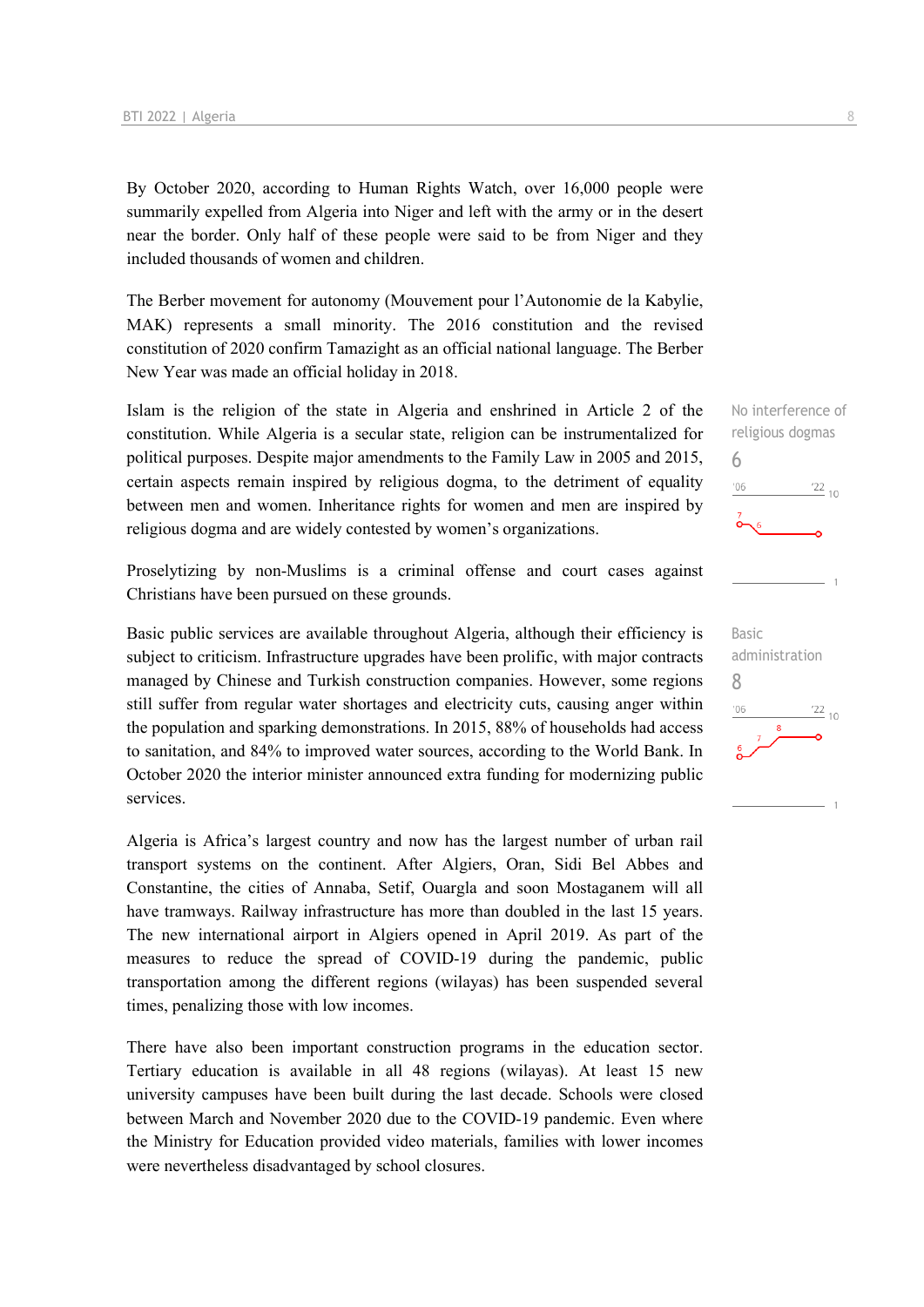By October 2020, according to Human Rights Watch, over 16,000 people were summarily expelled from Algeria into Niger and left with the army or in the desert near the border. Only half of these people were said to be from Niger and they included thousands of women and children.

The Berber movement for autonomy (Mouvement pour l'Autonomie de la Kabylie, MAK) represents a small minority. The 2016 constitution and the revised constitution of 2020 confirm Tamazight as an official national language. The Berber New Year was made an official holiday in 2018.

Islam is the religion of the state in Algeria and enshrined in Article 2 of the constitution. While Algeria is a secular state, religion can be instrumentalized for political purposes. Despite major amendments to the Family Law in 2005 and 2015, certain aspects remain inspired by religious dogma, to the detriment of equality between men and women. Inheritance rights for women and men are inspired by religious dogma and are widely contested by women's organizations.

Proselytizing by non-Muslims is a criminal offense and court cases against Christians have been pursued on these grounds.

Basic public services are available throughout Algeria, although their efficiency is subject to criticism. Infrastructure upgrades have been prolific, with major contracts managed by Chinese and Turkish construction companies. However, some regions still suffer from regular water shortages and electricity cuts, causing anger within the population and sparking demonstrations. In 2015, 88% of households had access to sanitation, and 84% to improved water sources, according to the World Bank. In October 2020 the interior minister announced extra funding for modernizing public services.

Algeria is Africa's largest country and now has the largest number of urban rail transport systems on the continent. After Algiers, Oran, Sidi Bel Abbes and Constantine, the cities of Annaba, Setif, Ouargla and soon Mostaganem will all have tramways. Railway infrastructure has more than doubled in the last 15 years. The new international airport in Algiers opened in April 2019. As part of the measures to reduce the spread of COVID-19 during the pandemic, public transportation among the different regions (wilayas) has been suspended several times, penalizing those with low incomes.

There have also been important construction programs in the education sector. Tertiary education is available in all 48 regions (wilayas). At least 15 new university campuses have been built during the last decade. Schools were closed between March and November 2020 due to the COVID-19 pandemic. Even where the Ministry for Education provided video materials, families with lower incomes were nevertheless disadvantaged by school closures.

6

 $-06$ 

Basic administration 8 $\frac{22}{10}$  $-06$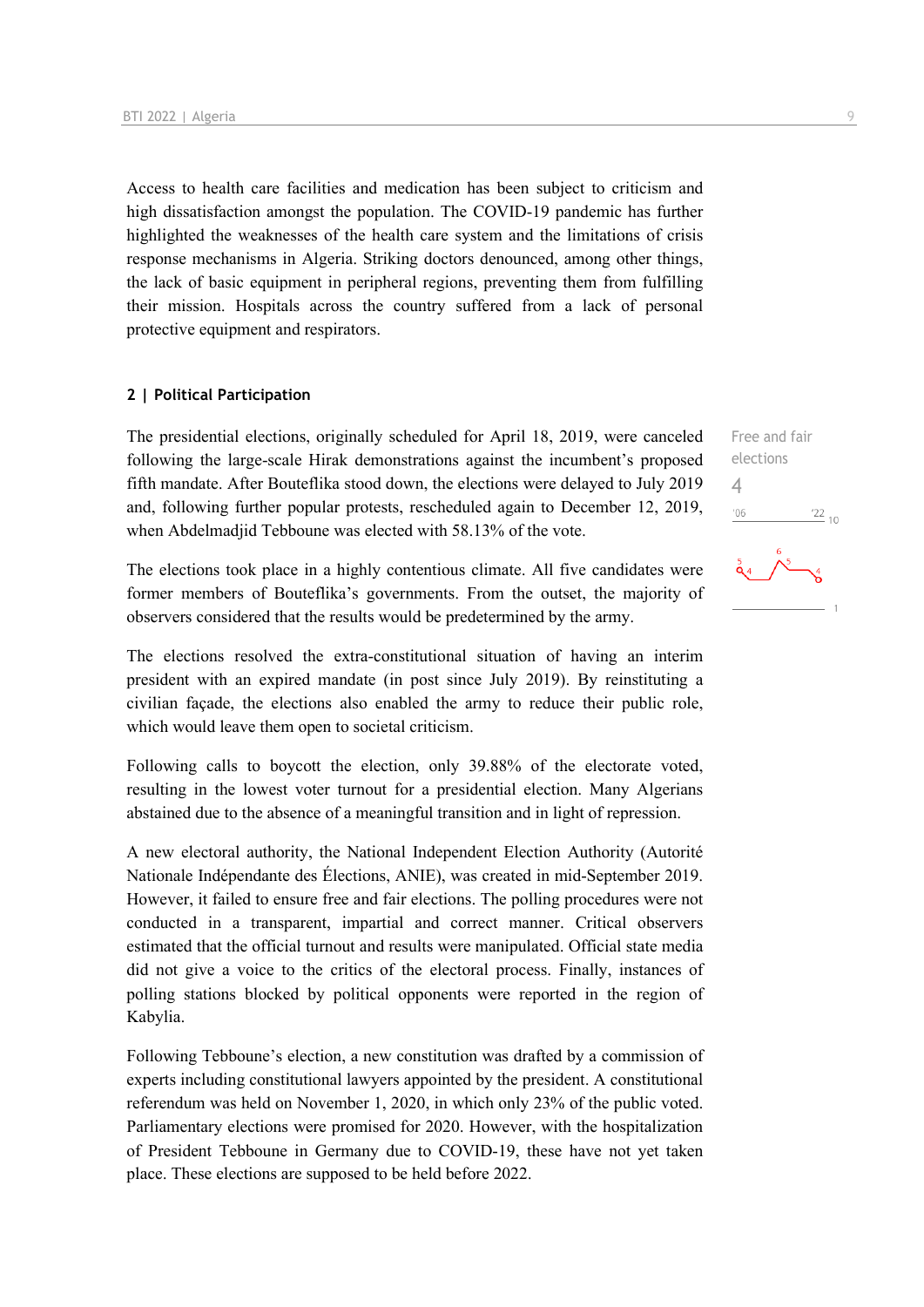Access to health care facilities and medication has been subject to criticism and high dissatisfaction amongst the population. The COVID-19 pandemic has further highlighted the weaknesses of the health care system and the limitations of crisis response mechanisms in Algeria. Striking doctors denounced, among other things, the lack of basic equipment in peripheral regions, preventing them from fulfilling their mission. Hospitals across the country suffered from a lack of personal protective equipment and respirators.

#### **2 | Political Participation**

The presidential elections, originally scheduled for April 18, 2019, were canceled following the large-scale Hirak demonstrations against the incumbent's proposed fifth mandate. After Bouteflika stood down, the elections were delayed to July 2019 and, following further popular protests, rescheduled again to December 12, 2019, when Abdelmadjid Tebboune was elected with 58.13% of the vote.

The elections took place in a highly contentious climate. All five candidates were former members of Bouteflika's governments. From the outset, the majority of observers considered that the results would be predetermined by the army.

The elections resolved the extra-constitutional situation of having an interim president with an expired mandate (in post since July 2019). By reinstituting a civilian façade, the elections also enabled the army to reduce their public role, which would leave them open to societal criticism.

Following calls to boycott the election, only 39.88% of the electorate voted, resulting in the lowest voter turnout for a presidential election. Many Algerians abstained due to the absence of a meaningful transition and in light of repression.

A new electoral authority, the National Independent Election Authority (Autorité Nationale Indépendante des Élections, ANIE), was created in mid-September 2019. However, it failed to ensure free and fair elections. The polling procedures were not conducted in a transparent, impartial and correct manner. Critical observers estimated that the official turnout and results were manipulated. Official state media did not give a voice to the critics of the electoral process. Finally, instances of polling stations blocked by political opponents were reported in the region of Kabylia.

Following Tebboune's election, a new constitution was drafted by a commission of experts including constitutional lawyers appointed by the president. A constitutional referendum was held on November 1, 2020, in which only 23% of the public voted. Parliamentary elections were promised for 2020. However, with the hospitalization of President Tebboune in Germany due to COVID-19, these have not yet taken place. These elections are supposed to be held before 2022.



Free and fair elections

4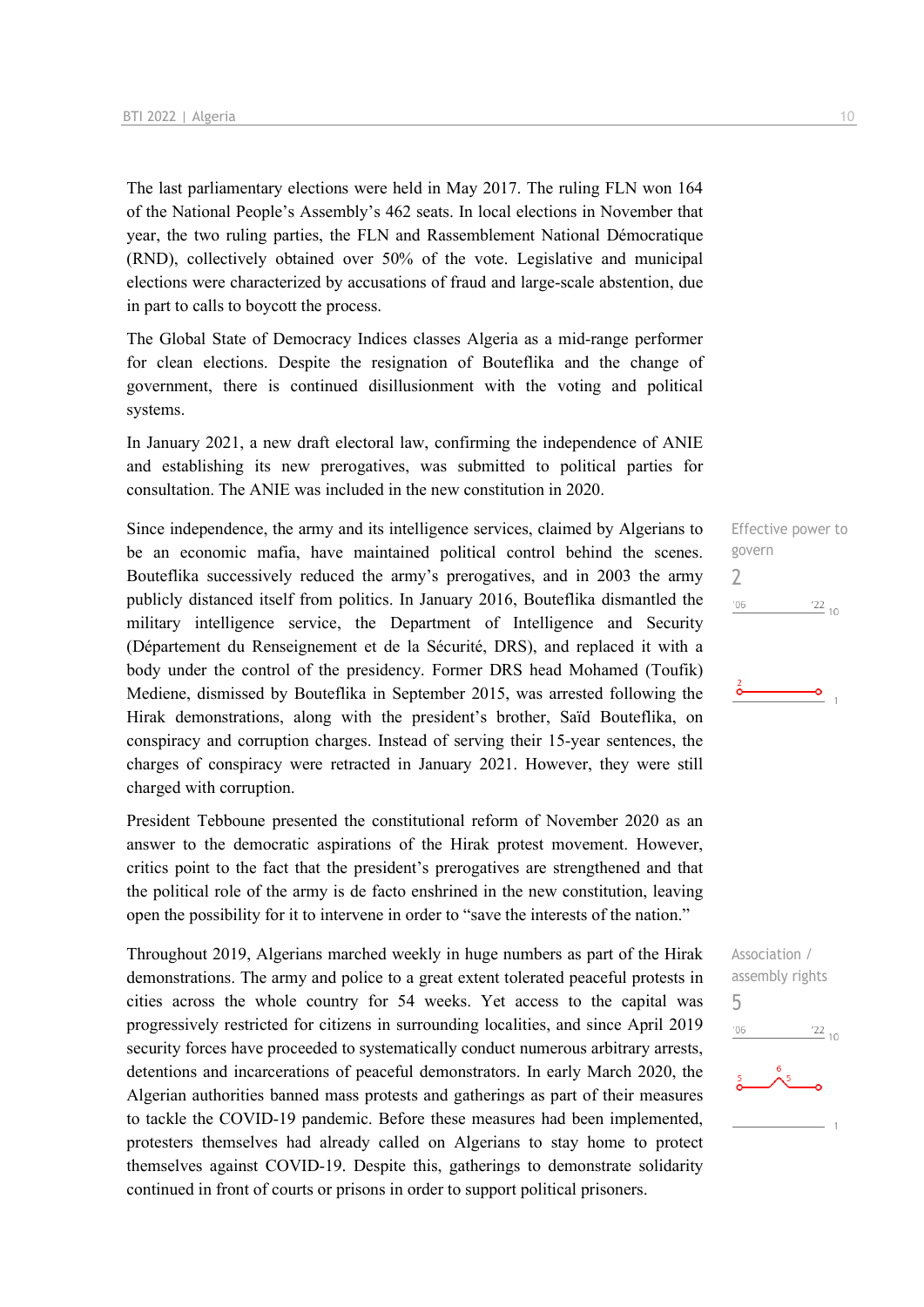The last parliamentary elections were held in May 2017. The ruling FLN won 164 of the National People's Assembly's 462 seats. In local elections in November that year, the two ruling parties, the FLN and Rassemblement National Démocratique (RND), collectively obtained over 50% of the vote. Legislative and municipal elections were characterized by accusations of fraud and large-scale abstention, due in part to calls to boycott the process.

The Global State of Democracy Indices classes Algeria as a mid-range performer for clean elections. Despite the resignation of Bouteflika and the change of government, there is continued disillusionment with the voting and political systems.

In January 2021, a new draft electoral law, confirming the independence of ANIE and establishing its new prerogatives, was submitted to political parties for consultation. The ANIE was included in the new constitution in 2020.

Since independence, the army and its intelligence services, claimed by Algerians to be an economic mafia, have maintained political control behind the scenes. Bouteflika successively reduced the army's prerogatives, and in 2003 the army publicly distanced itself from politics. In January 2016, Bouteflika dismantled the military intelligence service, the Department of Intelligence and Security (Département du Renseignement et de la Sécurité, DRS), and replaced it with a body under the control of the presidency. Former DRS head Mohamed (Toufik) Mediene, dismissed by Bouteflika in September 2015, was arrested following the Hirak demonstrations, along with the president's brother, Saïd Bouteflika, on conspiracy and corruption charges. Instead of serving their 15-year sentences, the charges of conspiracy were retracted in January 2021. However, they were still charged with corruption.

President Tebboune presented the constitutional reform of November 2020 as an answer to the democratic aspirations of the Hirak protest movement. However, critics point to the fact that the president's prerogatives are strengthened and that the political role of the army is de facto enshrined in the new constitution, leaving open the possibility for it to intervene in order to "save the interests of the nation."

Throughout 2019, Algerians marched weekly in huge numbers as part of the Hirak demonstrations. The army and police to a great extent tolerated peaceful protests in cities across the whole country for 54 weeks. Yet access to the capital was progressively restricted for citizens in surrounding localities, and since April 2019 security forces have proceeded to systematically conduct numerous arbitrary arrests, detentions and incarcerations of peaceful demonstrators. In early March 2020, the Algerian authorities banned mass protests and gatherings as part of their measures to tackle the COVID-19 pandemic. Before these measures had been implemented, protesters themselves had already called on Algerians to stay home to protect themselves against COVID-19. Despite this, gatherings to demonstrate solidarity continued in front of courts or prisons in order to support political prisoners.

Effective power to govern 2  $'06$  $\frac{22}{10}$ 

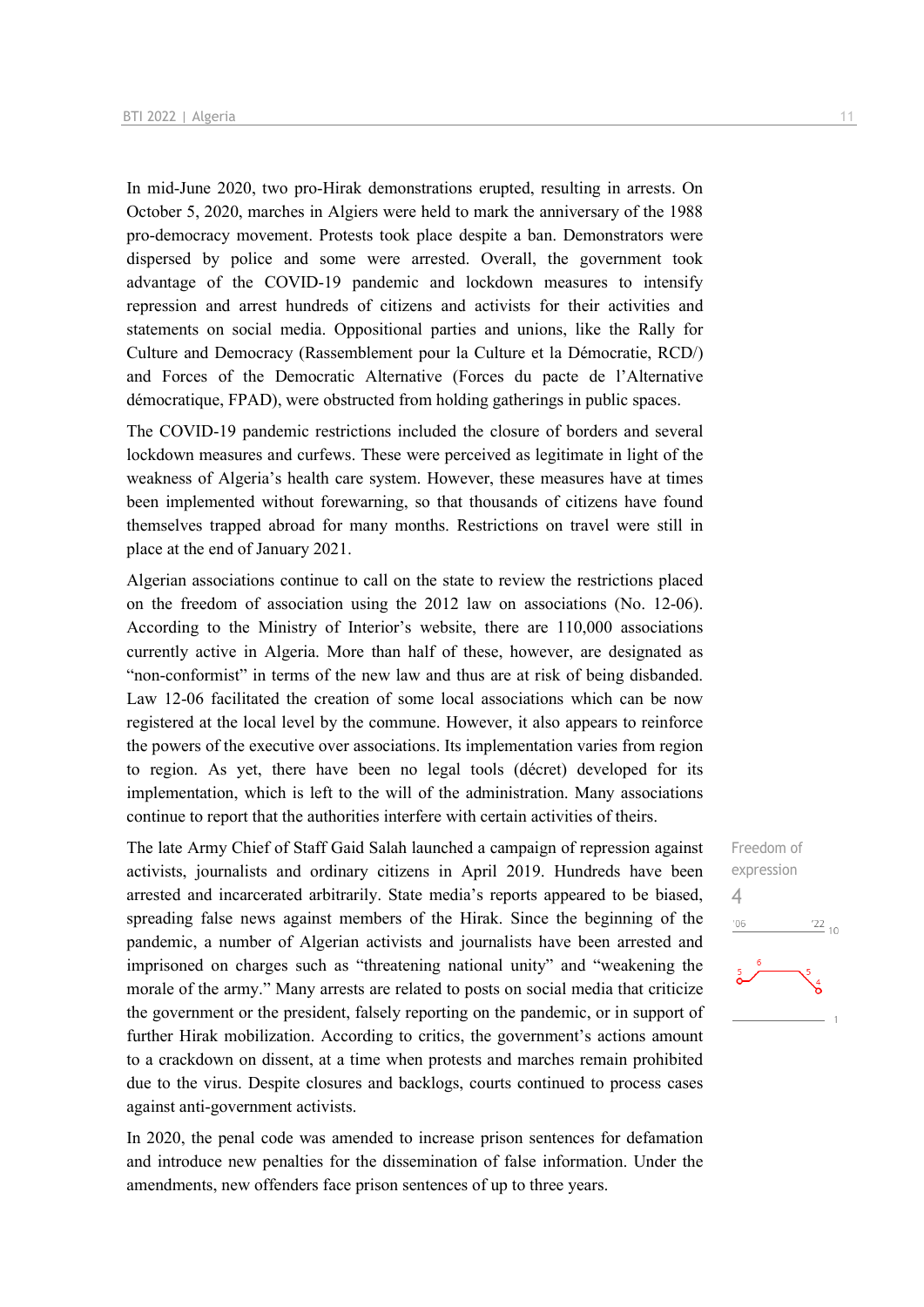In mid-June 2020, two pro-Hirak demonstrations erupted, resulting in arrests. On October 5, 2020, marches in Algiers were held to mark the anniversary of the 1988 pro-democracy movement. Protests took place despite a ban. Demonstrators were dispersed by police and some were arrested. Overall, the government took advantage of the COVID-19 pandemic and lockdown measures to intensify repression and arrest hundreds of citizens and activists for their activities and statements on social media. Oppositional parties and unions, like the Rally for Culture and Democracy (Rassemblement pour la Culture et la Démocratie, RCD/) and Forces of the Democratic Alternative (Forces du pacte de l'Alternative démocratique, FPAD), were obstructed from holding gatherings in public spaces.

The COVID-19 pandemic restrictions included the closure of borders and several lockdown measures and curfews. These were perceived as legitimate in light of the weakness of Algeria's health care system. However, these measures have at times been implemented without forewarning, so that thousands of citizens have found themselves trapped abroad for many months. Restrictions on travel were still in place at the end of January 2021.

Algerian associations continue to call on the state to review the restrictions placed on the freedom of association using the 2012 law on associations (No. 12-06). According to the Ministry of Interior's website, there are 110,000 associations currently active in Algeria. More than half of these, however, are designated as "non-conformist" in terms of the new law and thus are at risk of being disbanded. Law 12-06 facilitated the creation of some local associations which can be now registered at the local level by the commune. However, it also appears to reinforce the powers of the executive over associations. Its implementation varies from region to region. As yet, there have been no legal tools (décret) developed for its implementation, which is left to the will of the administration. Many associations continue to report that the authorities interfere with certain activities of theirs.

The late Army Chief of Staff Gaid Salah launched a campaign of repression against activists, journalists and ordinary citizens in April 2019. Hundreds have been arrested and incarcerated arbitrarily. State media's reports appeared to be biased, spreading false news against members of the Hirak. Since the beginning of the pandemic, a number of Algerian activists and journalists have been arrested and imprisoned on charges such as "threatening national unity" and "weakening the morale of the army." Many arrests are related to posts on social media that criticize the government or the president, falsely reporting on the pandemic, or in support of further Hirak mobilization. According to critics, the government's actions amount to a crackdown on dissent, at a time when protests and marches remain prohibited due to the virus. Despite closures and backlogs, courts continued to process cases against anti-government activists.

In 2020, the penal code was amended to increase prison sentences for defamation and introduce new penalties for the dissemination of false information. Under the amendments, new offenders face prison sentences of up to three years.

Freedom of expression 4'06  $\frac{22}{10}$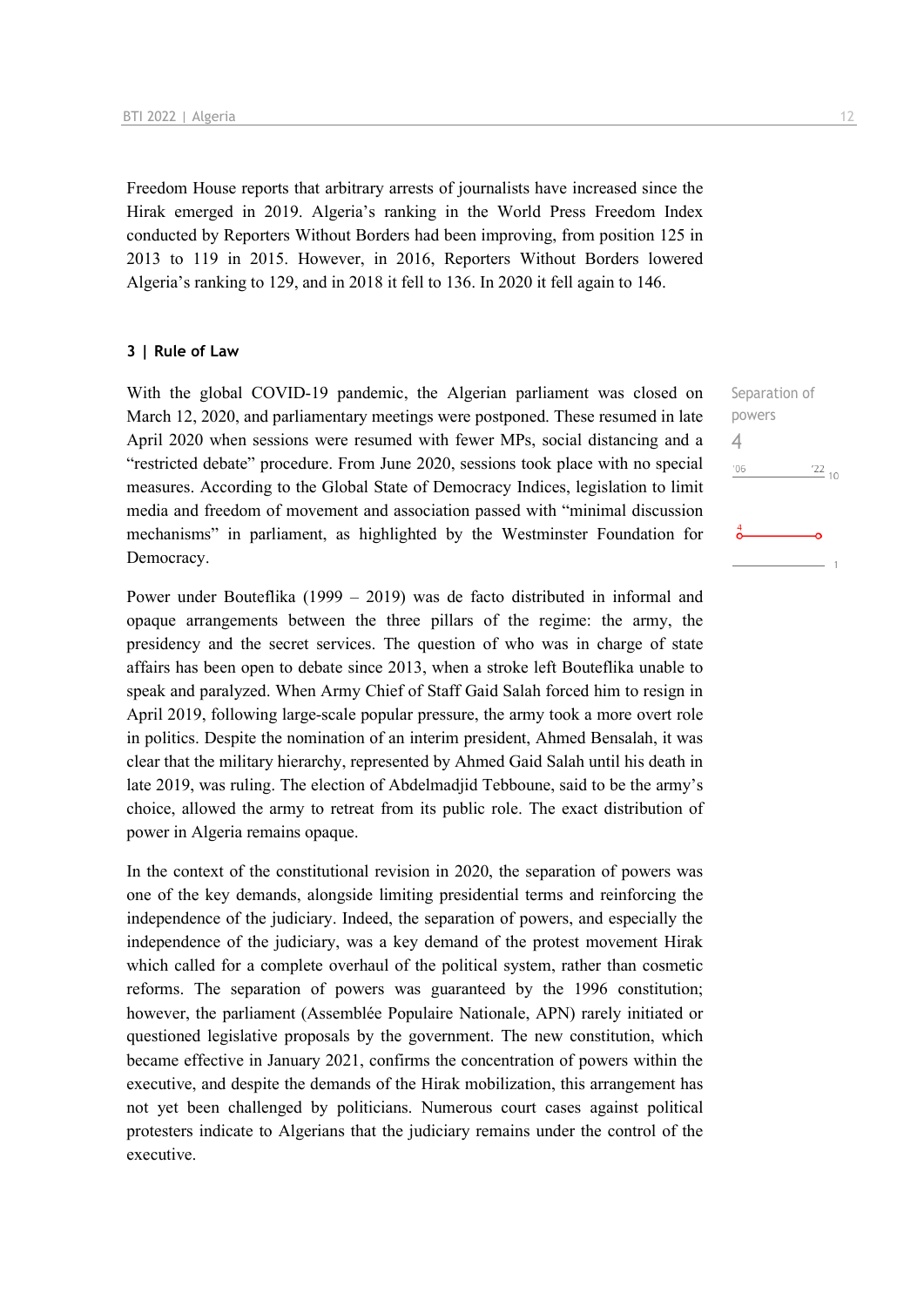Freedom House reports that arbitrary arrests of journalists have increased since the Hirak emerged in 2019. Algeria's ranking in the World Press Freedom Index conducted by Reporters Without Borders had been improving, from position 125 in 2013 to 119 in 2015. However, in 2016, Reporters Without Borders lowered Algeria's ranking to 129, and in 2018 it fell to 136. In 2020 it fell again to 146.

#### **3 | Rule of Law**

With the global COVID-19 pandemic, the Algerian parliament was closed on March 12, 2020, and parliamentary meetings were postponed. These resumed in late April 2020 when sessions were resumed with fewer MPs, social distancing and a "restricted debate" procedure. From June 2020, sessions took place with no special measures. According to the Global State of Democracy Indices, legislation to limit media and freedom of movement and association passed with "minimal discussion mechanisms" in parliament, as highlighted by the Westminster Foundation for Democracy.

Power under Bouteflika (1999 – 2019) was de facto distributed in informal and opaque arrangements between the three pillars of the regime: the army, the presidency and the secret services. The question of who was in charge of state affairs has been open to debate since 2013, when a stroke left Bouteflika unable to speak and paralyzed. When Army Chief of Staff Gaid Salah forced him to resign in April 2019, following large-scale popular pressure, the army took a more overt role in politics. Despite the nomination of an interim president, Ahmed Bensalah, it was clear that the military hierarchy, represented by Ahmed Gaid Salah until his death in late 2019, was ruling. The election of Abdelmadjid Tebboune, said to be the army's choice, allowed the army to retreat from its public role. The exact distribution of power in Algeria remains opaque.

In the context of the constitutional revision in 2020, the separation of powers was one of the key demands, alongside limiting presidential terms and reinforcing the independence of the judiciary. Indeed, the separation of powers, and especially the independence of the judiciary, was a key demand of the protest movement Hirak which called for a complete overhaul of the political system, rather than cosmetic reforms. The separation of powers was guaranteed by the 1996 constitution; however, the parliament (Assemblée Populaire Nationale, APN) rarely initiated or questioned legislative proposals by the government. The new constitution, which became effective in January 2021, confirms the concentration of powers within the executive, and despite the demands of the Hirak mobilization, this arrangement has not yet been challenged by politicians. Numerous court cases against political protesters indicate to Algerians that the judiciary remains under the control of the executive.

Separation of powers  $\Delta$  $-06$  $\frac{22}{10}$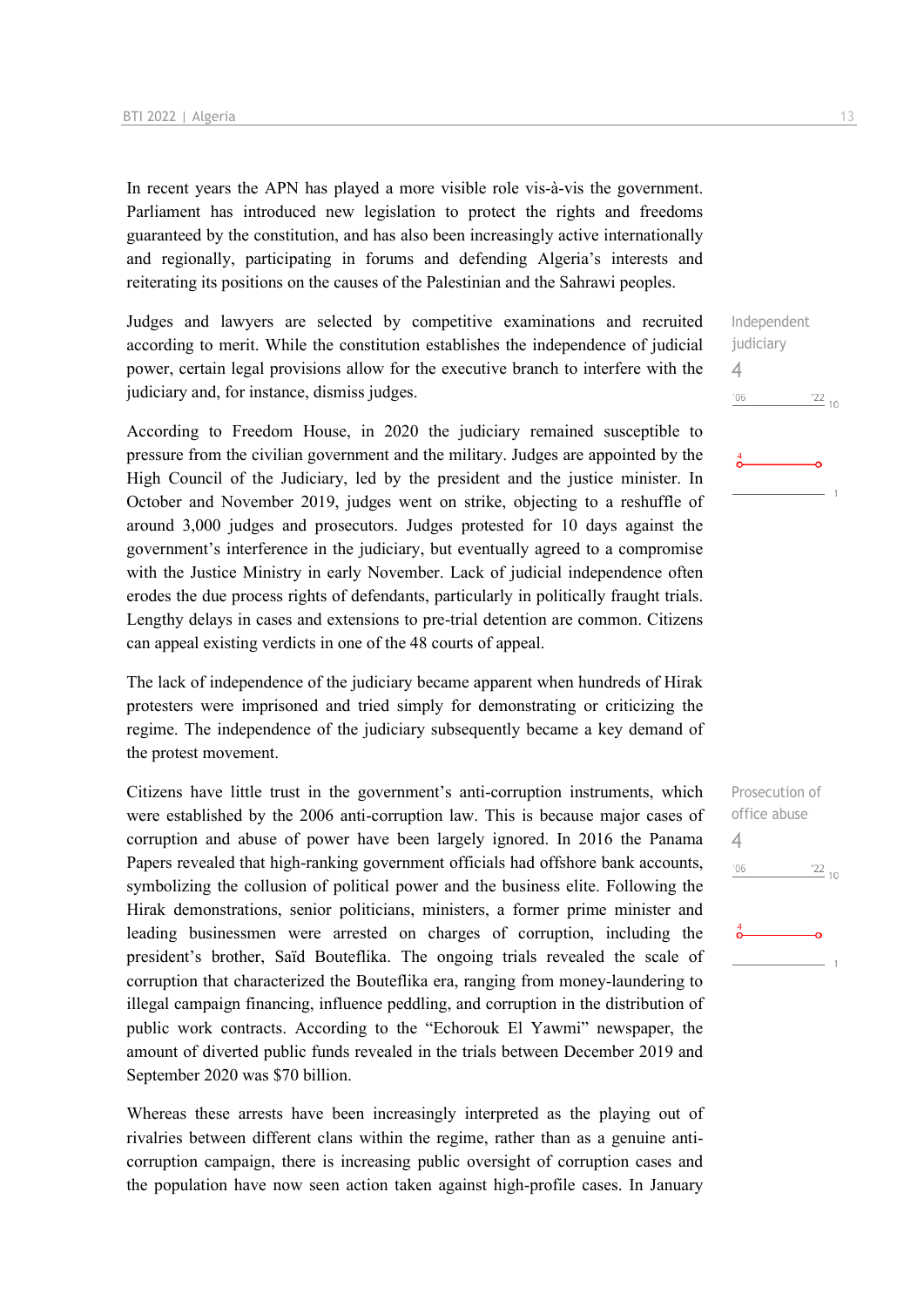In recent years the APN has played a more visible role vis-à-vis the government. Parliament has introduced new legislation to protect the rights and freedoms guaranteed by the constitution, and has also been increasingly active internationally and regionally, participating in forums and defending Algeria's interests and reiterating its positions on the causes of the Palestinian and the Sahrawi peoples.

Judges and lawyers are selected by competitive examinations and recruited according to merit. While the constitution establishes the independence of judicial power, certain legal provisions allow for the executive branch to interfere with the judiciary and, for instance, dismiss judges.

According to Freedom House, in 2020 the judiciary remained susceptible to pressure from the civilian government and the military. Judges are appointed by the High Council of the Judiciary, led by the president and the justice minister. In October and November 2019, judges went on strike, objecting to a reshuffle of around 3,000 judges and prosecutors. Judges protested for 10 days against the government's interference in the judiciary, but eventually agreed to a compromise with the Justice Ministry in early November. Lack of judicial independence often erodes the due process rights of defendants, particularly in politically fraught trials. Lengthy delays in cases and extensions to pre-trial detention are common. Citizens can appeal existing verdicts in one of the 48 courts of appeal.

The lack of independence of the judiciary became apparent when hundreds of Hirak protesters were imprisoned and tried simply for demonstrating or criticizing the regime. The independence of the judiciary subsequently became a key demand of the protest movement.

Citizens have little trust in the government's anti-corruption instruments, which were established by the 2006 anti-corruption law. This is because major cases of corruption and abuse of power have been largely ignored. In 2016 the Panama Papers revealed that high-ranking government officials had offshore bank accounts, symbolizing the collusion of political power and the business elite. Following the Hirak demonstrations, senior politicians, ministers, a former prime minister and leading businessmen were arrested on charges of corruption, including the president's brother, Saïd Bouteflika. The ongoing trials revealed the scale of corruption that characterized the Bouteflika era, ranging from money-laundering to illegal campaign financing, influence peddling, and corruption in the distribution of public work contracts. According to the "Echorouk El Yawmi" newspaper, the amount of diverted public funds revealed in the trials between December 2019 and September 2020 was \$70 billion.

Whereas these arrests have been increasingly interpreted as the playing out of rivalries between different clans within the regime, rather than as a genuine anticorruption campaign, there is increasing public oversight of corruption cases and the population have now seen action taken against high-profile cases. In January

Independent judiciary 4  $'06$  $^{22}$  10

Prosecution of office abuse 4 $'06$  $'22_{10}$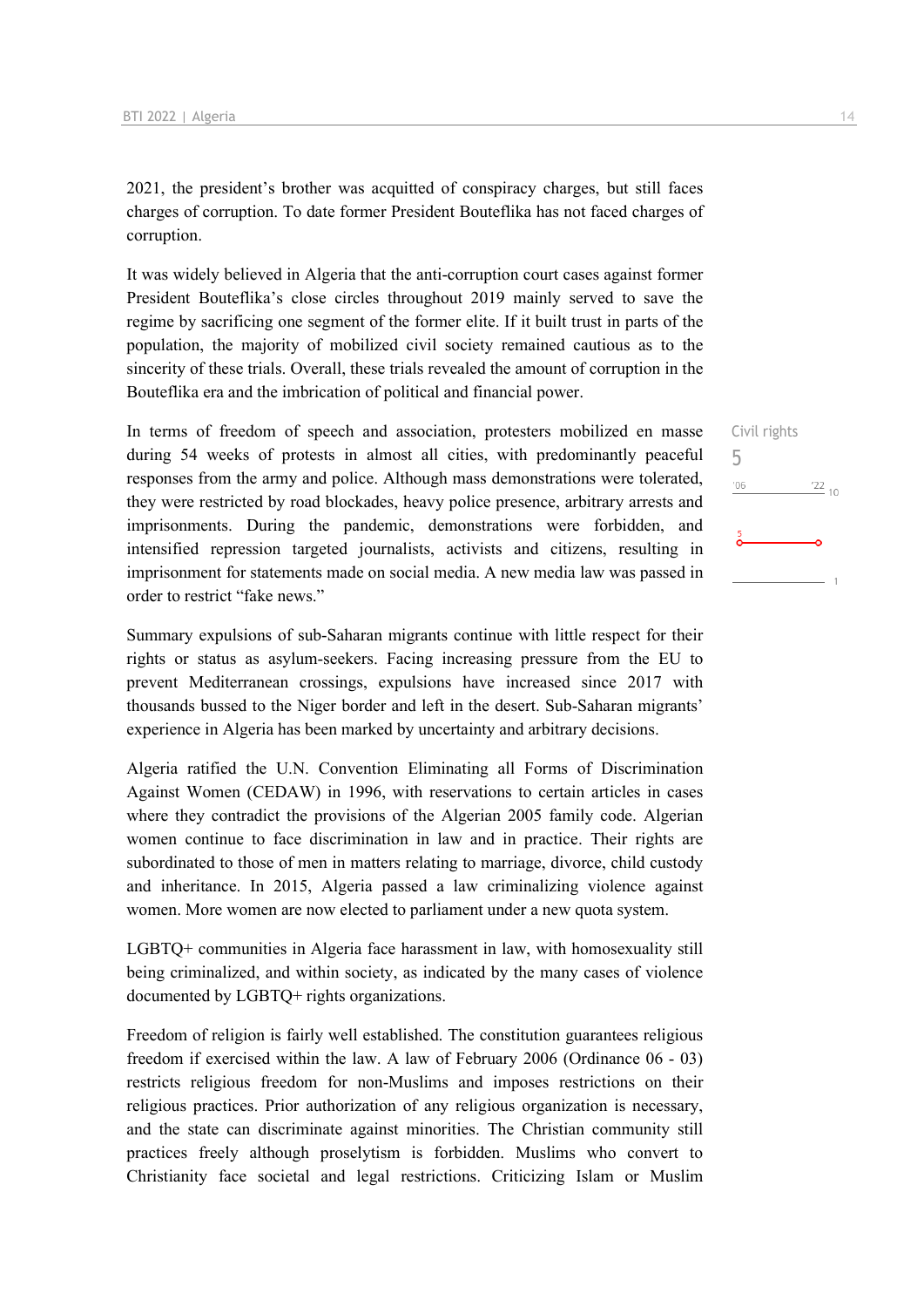2021, the president's brother was acquitted of conspiracy charges, but still faces charges of corruption. To date former President Bouteflika has not faced charges of corruption.

It was widely believed in Algeria that the anti-corruption court cases against former President Bouteflika's close circles throughout 2019 mainly served to save the regime by sacrificing one segment of the former elite. If it built trust in parts of the population, the majority of mobilized civil society remained cautious as to the sincerity of these trials. Overall, these trials revealed the amount of corruption in the Bouteflika era and the imbrication of political and financial power.

In terms of freedom of speech and association, protesters mobilized en masse during 54 weeks of protests in almost all cities, with predominantly peaceful responses from the army and police. Although mass demonstrations were tolerated, they were restricted by road blockades, heavy police presence, arbitrary arrests and imprisonments. During the pandemic, demonstrations were forbidden, and intensified repression targeted journalists, activists and citizens, resulting in imprisonment for statements made on social media. A new media law was passed in order to restrict "fake news."

Summary expulsions of sub-Saharan migrants continue with little respect for their rights or status as asylum-seekers. Facing increasing pressure from the EU to prevent Mediterranean crossings, expulsions have increased since 2017 with thousands bussed to the Niger border and left in the desert. Sub-Saharan migrants' experience in Algeria has been marked by uncertainty and arbitrary decisions.

Algeria ratified the U.N. Convention Eliminating all Forms of Discrimination Against Women (CEDAW) in 1996, with reservations to certain articles in cases where they contradict the provisions of the Algerian 2005 family code. Algerian women continue to face discrimination in law and in practice. Their rights are subordinated to those of men in matters relating to marriage, divorce, child custody and inheritance. In 2015, Algeria passed a law criminalizing violence against women. More women are now elected to parliament under a new quota system.

LGBTQ+ communities in Algeria face harassment in law, with homosexuality still being criminalized, and within society, as indicated by the many cases of violence documented by LGBTQ+ rights organizations.

Freedom of religion is fairly well established. The constitution guarantees religious freedom if exercised within the law. A law of February 2006 (Ordinance 06 - 03) restricts religious freedom for non-Muslims and imposes restrictions on their religious practices. Prior authorization of any religious organization is necessary, and the state can discriminate against minorities. The Christian community still practices freely although proselytism is forbidden. Muslims who convert to Christianity face societal and legal restrictions. Criticizing Islam or Muslim Civil rights 5 $'06$  $\frac{22}{10}$  $-1$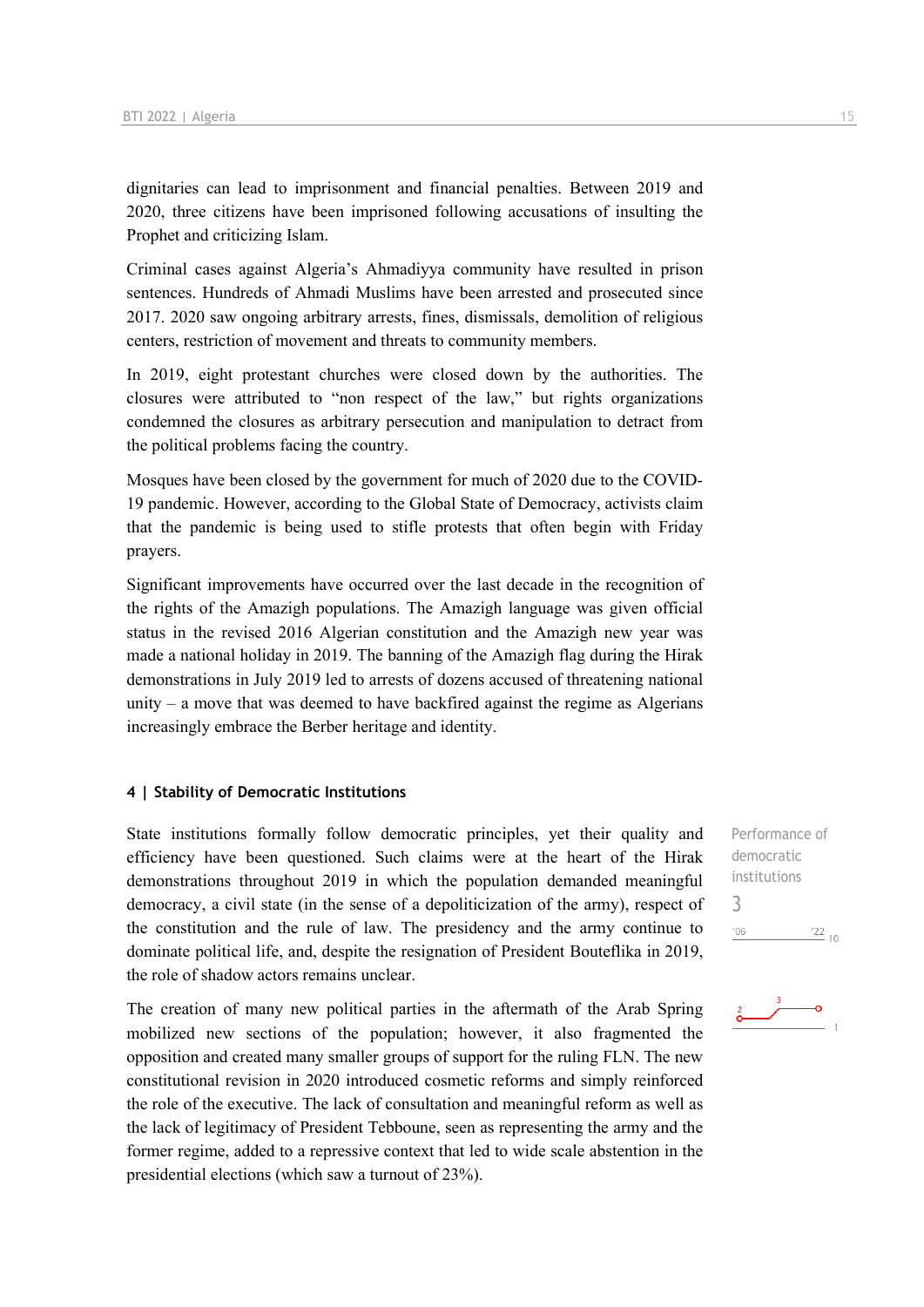dignitaries can lead to imprisonment and financial penalties. Between 2019 and 2020, three citizens have been imprisoned following accusations of insulting the Prophet and criticizing Islam.

Criminal cases against Algeria's Ahmadiyya community have resulted in prison sentences. Hundreds of Ahmadi Muslims have been arrested and prosecuted since 2017. 2020 saw ongoing arbitrary arrests, fines, dismissals, demolition of religious centers, restriction of movement and threats to community members.

In 2019, eight protestant churches were closed down by the authorities. The closures were attributed to "non respect of the law," but rights organizations condemned the closures as arbitrary persecution and manipulation to detract from the political problems facing the country.

Mosques have been closed by the government for much of 2020 due to the COVID-19 pandemic. However, according to the Global State of Democracy, activists claim that the pandemic is being used to stifle protests that often begin with Friday prayers.

Significant improvements have occurred over the last decade in the recognition of the rights of the Amazigh populations. The Amazigh language was given official status in the revised 2016 Algerian constitution and the Amazigh new year was made a national holiday in 2019. The banning of the Amazigh flag during the Hirak demonstrations in July 2019 led to arrests of dozens accused of threatening national unity – a move that was deemed to have backfired against the regime as Algerians increasingly embrace the Berber heritage and identity.

#### **4 | Stability of Democratic Institutions**

State institutions formally follow democratic principles, yet their quality and efficiency have been questioned. Such claims were at the heart of the Hirak demonstrations throughout 2019 in which the population demanded meaningful democracy, a civil state (in the sense of a depoliticization of the army), respect of the constitution and the rule of law. The presidency and the army continue to dominate political life, and, despite the resignation of President Bouteflika in 2019, the role of shadow actors remains unclear.

The creation of many new political parties in the aftermath of the Arab Spring mobilized new sections of the population; however, it also fragmented the opposition and created many smaller groups of support for the ruling FLN. The new constitutional revision in 2020 introduced cosmetic reforms and simply reinforced the role of the executive. The lack of consultation and meaningful reform as well as the lack of legitimacy of President Tebboune, seen as representing the army and the former regime, added to a repressive context that led to wide scale abstention in the presidential elections (which saw a turnout of 23%).

Performance of democratic institutions 3 $-06$  $\frac{22}{10}$ 

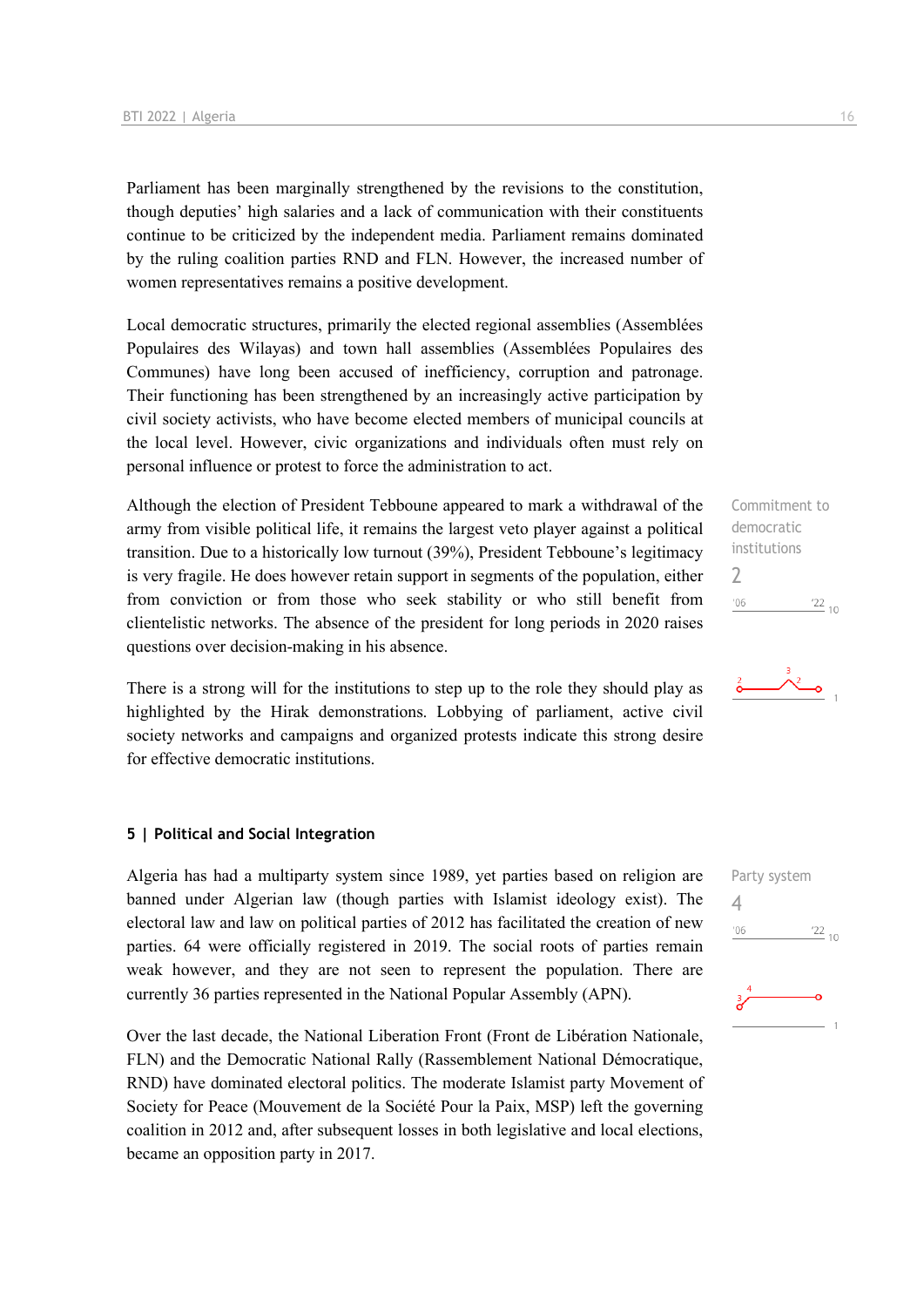Parliament has been marginally strengthened by the revisions to the constitution, though deputies' high salaries and a lack of communication with their constituents continue to be criticized by the independent media. Parliament remains dominated by the ruling coalition parties RND and FLN. However, the increased number of women representatives remains a positive development.

Local democratic structures, primarily the elected regional assemblies (Assemblées Populaires des Wilayas) and town hall assemblies (Assemblées Populaires des Communes) have long been accused of inefficiency, corruption and patronage. Their functioning has been strengthened by an increasingly active participation by civil society activists, who have become elected members of municipal councils at the local level. However, civic organizations and individuals often must rely on personal influence or protest to force the administration to act.

Although the election of President Tebboune appeared to mark a withdrawal of the army from visible political life, it remains the largest veto player against a political transition. Due to a historically low turnout (39%), President Tebboune's legitimacy is very fragile. He does however retain support in segments of the population, either from conviction or from those who seek stability or who still benefit from clientelistic networks. The absence of the president for long periods in 2020 raises questions over decision-making in his absence.

There is a strong will for the institutions to step up to the role they should play as highlighted by the Hirak demonstrations. Lobbying of parliament, active civil society networks and campaigns and organized protests indicate this strong desire for effective democratic institutions.

#### **5 | Political and Social Integration**

Algeria has had a multiparty system since 1989, yet parties based on religion are banned under Algerian law (though parties with Islamist ideology exist). The electoral law and law on political parties of 2012 has facilitated the creation of new parties. 64 were officially registered in 2019. The social roots of parties remain weak however, and they are not seen to represent the population. There are currently 36 parties represented in the National Popular Assembly (APN).

Over the last decade, the National Liberation Front (Front de Libération Nationale, FLN) and the Democratic National Rally (Rassemblement National Démocratique, RND) have dominated electoral politics. The moderate Islamist party Movement of Society for Peace (Mouvement de la Société Pour la Paix, MSP) left the governing coalition in 2012 and, after subsequent losses in both legislative and local elections, became an opposition party in 2017.

Commitment to democratic institutions 2  $^{\prime}06$  $\frac{22}{10}$ 



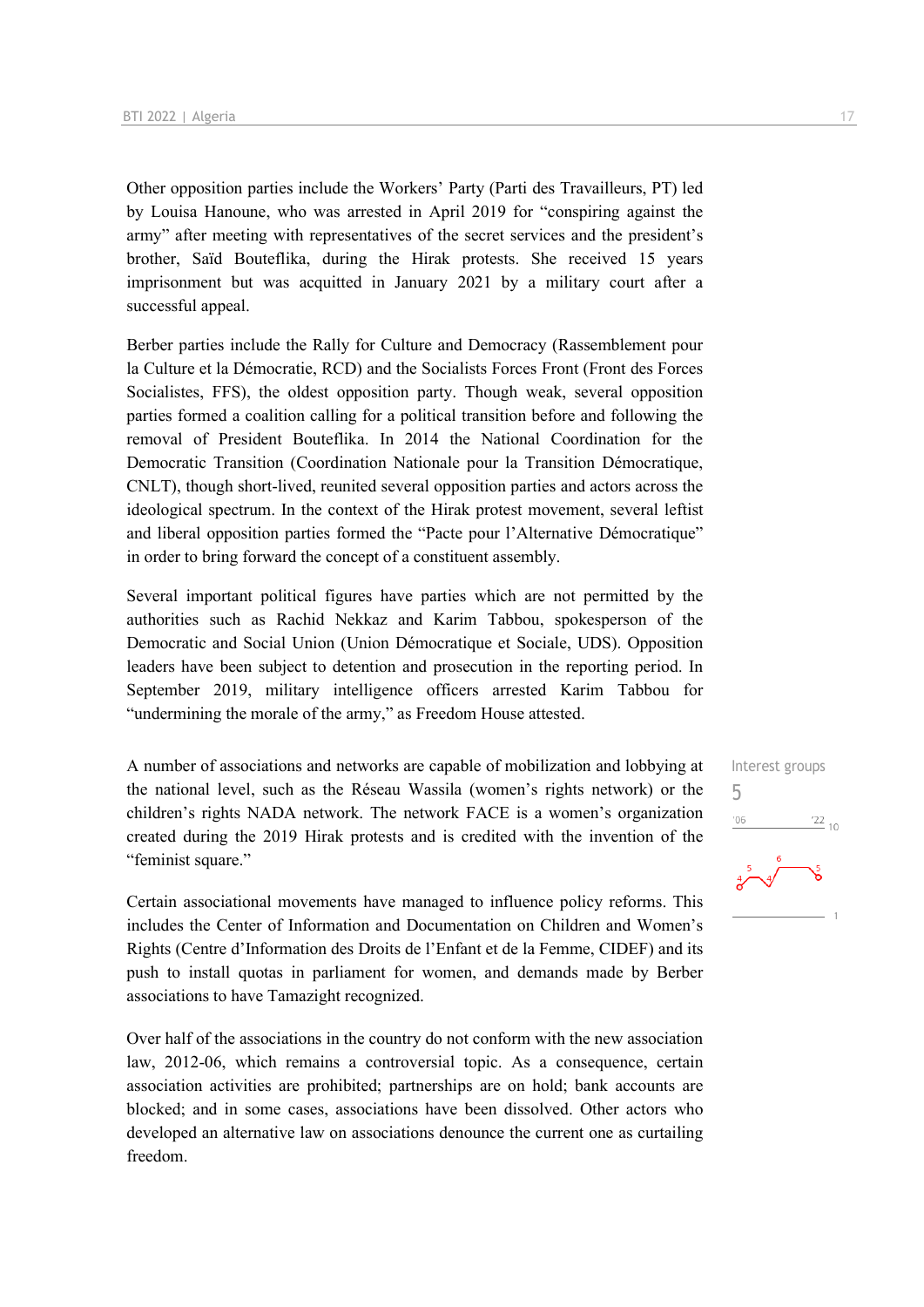Other opposition parties include the Workers' Party (Parti des Travailleurs, PT) led by Louisa Hanoune, who was arrested in April 2019 for "conspiring against the army" after meeting with representatives of the secret services and the president's brother, Saïd Bouteflika, during the Hirak protests. She received 15 years imprisonment but was acquitted in January 2021 by a military court after a successful appeal.

Berber parties include the Rally for Culture and Democracy (Rassemblement pour la Culture et la Démocratie, RCD) and the Socialists Forces Front (Front des Forces Socialistes, FFS), the oldest opposition party. Though weak, several opposition parties formed a coalition calling for a political transition before and following the removal of President Bouteflika. In 2014 the National Coordination for the Democratic Transition (Coordination Nationale pour la Transition Démocratique, CNLT), though short-lived, reunited several opposition parties and actors across the ideological spectrum. In the context of the Hirak protest movement, several leftist and liberal opposition parties formed the "Pacte pour l'Alternative Démocratique" in order to bring forward the concept of a constituent assembly.

Several important political figures have parties which are not permitted by the authorities such as Rachid Nekkaz and Karim Tabbou, spokesperson of the Democratic and Social Union (Union Démocratique et Sociale, UDS). Opposition leaders have been subject to detention and prosecution in the reporting period. In September 2019, military intelligence officers arrested Karim Tabbou for "undermining the morale of the army," as Freedom House attested.

A number of associations and networks are capable of mobilization and lobbying at the national level, such as the Réseau Wassila (women's rights network) or the children's rights NADA network. The network FACE is a women's organization created during the 2019 Hirak protests and is credited with the invention of the "feminist square."

Certain associational movements have managed to influence policy reforms. This includes the Center of Information and Documentation on Children and Women's Rights (Centre d'Information des Droits de l'Enfant et de la Femme, CIDEF) and its push to install quotas in parliament for women, and demands made by Berber associations to have Tamazight recognized.

Over half of the associations in the country do not conform with the new association law, 2012-06, which remains a controversial topic. As a consequence, certain association activities are prohibited; partnerships are on hold; bank accounts are blocked; and in some cases, associations have been dissolved. Other actors who developed an alternative law on associations denounce the current one as curtailing freedom.

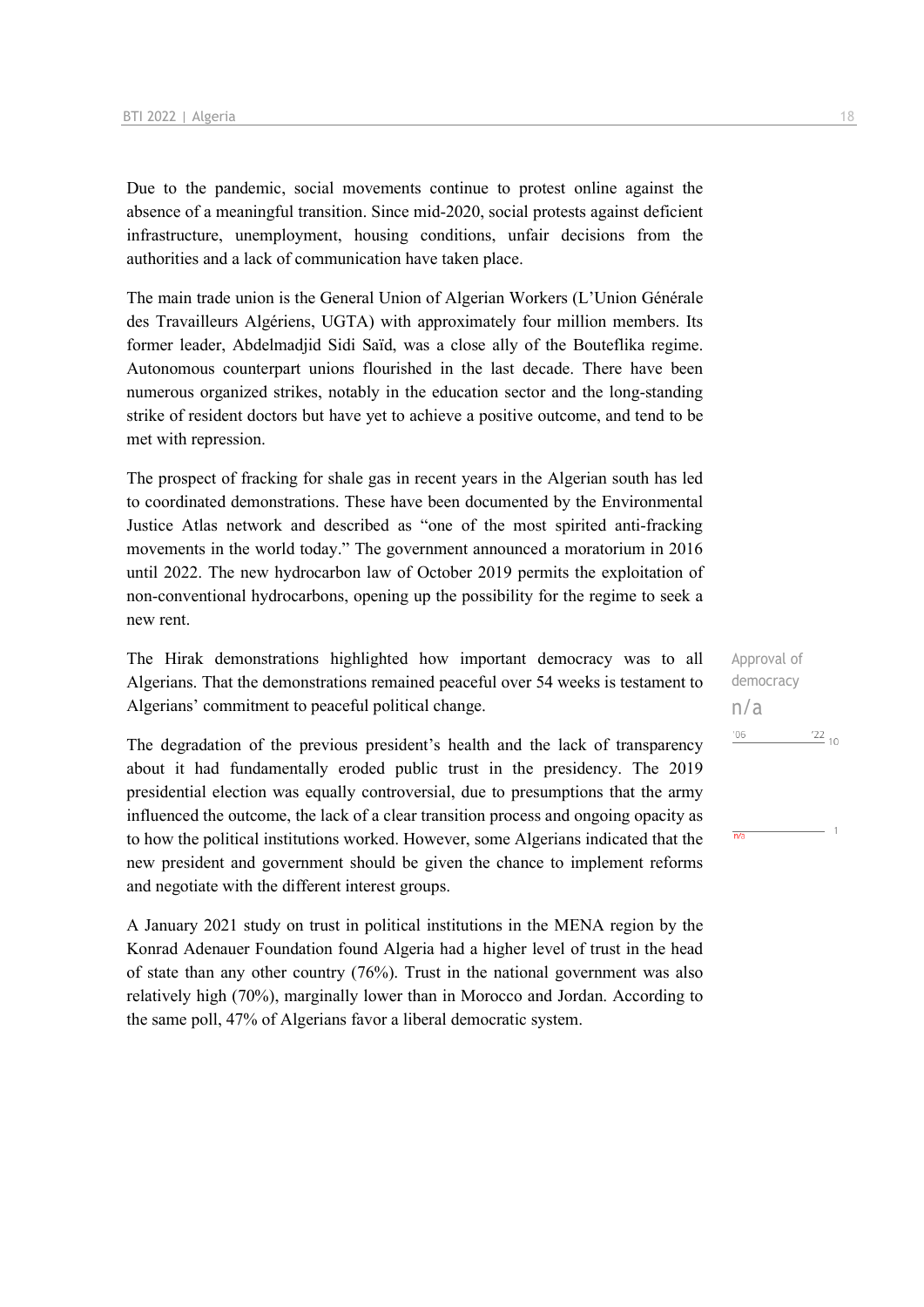Due to the pandemic, social movements continue to protest online against the absence of a meaningful transition. Since mid-2020, social protests against deficient infrastructure, unemployment, housing conditions, unfair decisions from the authorities and a lack of communication have taken place.

The main trade union is the General Union of Algerian Workers (L'Union Générale des Travailleurs Algériens, UGTA) with approximately four million members. Its former leader, Abdelmadjid Sidi Saïd, was a close ally of the Bouteflika regime. Autonomous counterpart unions flourished in the last decade. There have been numerous organized strikes, notably in the education sector and the long-standing strike of resident doctors but have yet to achieve a positive outcome, and tend to be met with repression.

The prospect of fracking for shale gas in recent years in the Algerian south has led to coordinated demonstrations. These have been documented by the Environmental Justice Atlas network and described as "one of the most spirited anti-fracking movements in the world today." The government announced a moratorium in 2016 until 2022. The new hydrocarbon law of October 2019 permits the exploitation of non-conventional hydrocarbons, opening up the possibility for the regime to seek a new rent.

The Hirak demonstrations highlighted how important democracy was to all Algerians. That the demonstrations remained peaceful over 54 weeks is testament to Algerians' commitment to peaceful political change.

The degradation of the previous president's health and the lack of transparency about it had fundamentally eroded public trust in the presidency. The 2019 presidential election was equally controversial, due to presumptions that the army influenced the outcome, the lack of a clear transition process and ongoing opacity as to how the political institutions worked. However, some Algerians indicated that the new president and government should be given the chance to implement reforms and negotiate with the different interest groups.

A January 2021 study on trust in political institutions in the MENA region by the Konrad Adenauer Foundation found Algeria had a higher level of trust in the head of state than any other country (76%). Trust in the national government was also relatively high (70%), marginally lower than in Morocco and Jordan. According to the same poll, 47% of Algerians favor a liberal democratic system.

Approval of democracy n/a'06  $^{22}$  10

 $\overline{n/a}$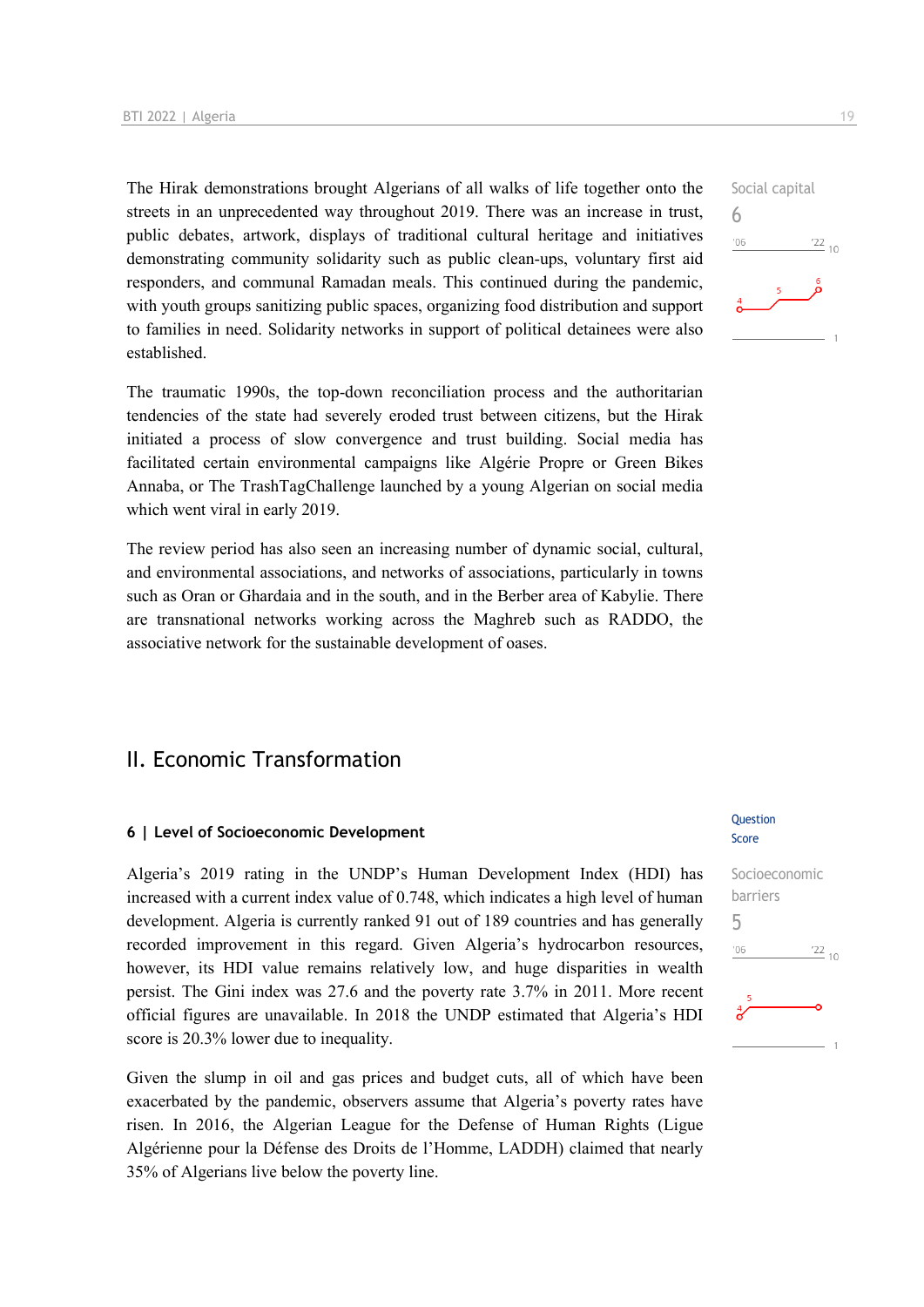The Hirak demonstrations brought Algerians of all walks of life together onto the streets in an unprecedented way throughout 2019. There was an increase in trust, public debates, artwork, displays of traditional cultural heritage and initiatives demonstrating community solidarity such as public clean-ups, voluntary first aid responders, and communal Ramadan meals. This continued during the pandemic, with youth groups sanitizing public spaces, organizing food distribution and support to families in need. Solidarity networks in support of political detainees were also established.

The traumatic 1990s, the top-down reconciliation process and the authoritarian tendencies of the state had severely eroded trust between citizens, but the Hirak initiated a process of slow convergence and trust building. Social media has facilitated certain environmental campaigns like Algérie Propre or Green Bikes Annaba, or The TrashTagChallenge launched by a young Algerian on social media which went viral in early 2019.

The review period has also seen an increasing number of dynamic social, cultural, and environmental associations, and networks of associations, particularly in towns such as Oran or Ghardaia and in the south, and in the Berber area of Kabylie. There are transnational networks working across the Maghreb such as RADDO, the associative network for the sustainable development of oases.

## II. Economic Transformation

#### **6 | Level of Socioeconomic Development**

Algeria's 2019 rating in the UNDP's Human Development Index (HDI) has increased with a current index value of 0.748, which indicates a high level of human development. Algeria is currently ranked 91 out of 189 countries and has generally recorded improvement in this regard. Given Algeria's hydrocarbon resources, however, its HDI value remains relatively low, and huge disparities in wealth persist. The Gini index was 27.6 and the poverty rate 3.7% in 2011. More recent official figures are unavailable. In 2018 the UNDP estimated that Algeria's HDI score is 20.3% lower due to inequality.

Given the slump in oil and gas prices and budget cuts, all of which have been exacerbated by the pandemic, observers assume that Algeria's poverty rates have risen. In 2016, the Algerian League for the Defense of Human Rights (Ligue Algérienne pour la Défense des Droits de l'Homme, LADDH) claimed that nearly 35% of Algerians live below the poverty line.

#### Question Score



## Social capital 6  $106$  $\frac{22}{10}$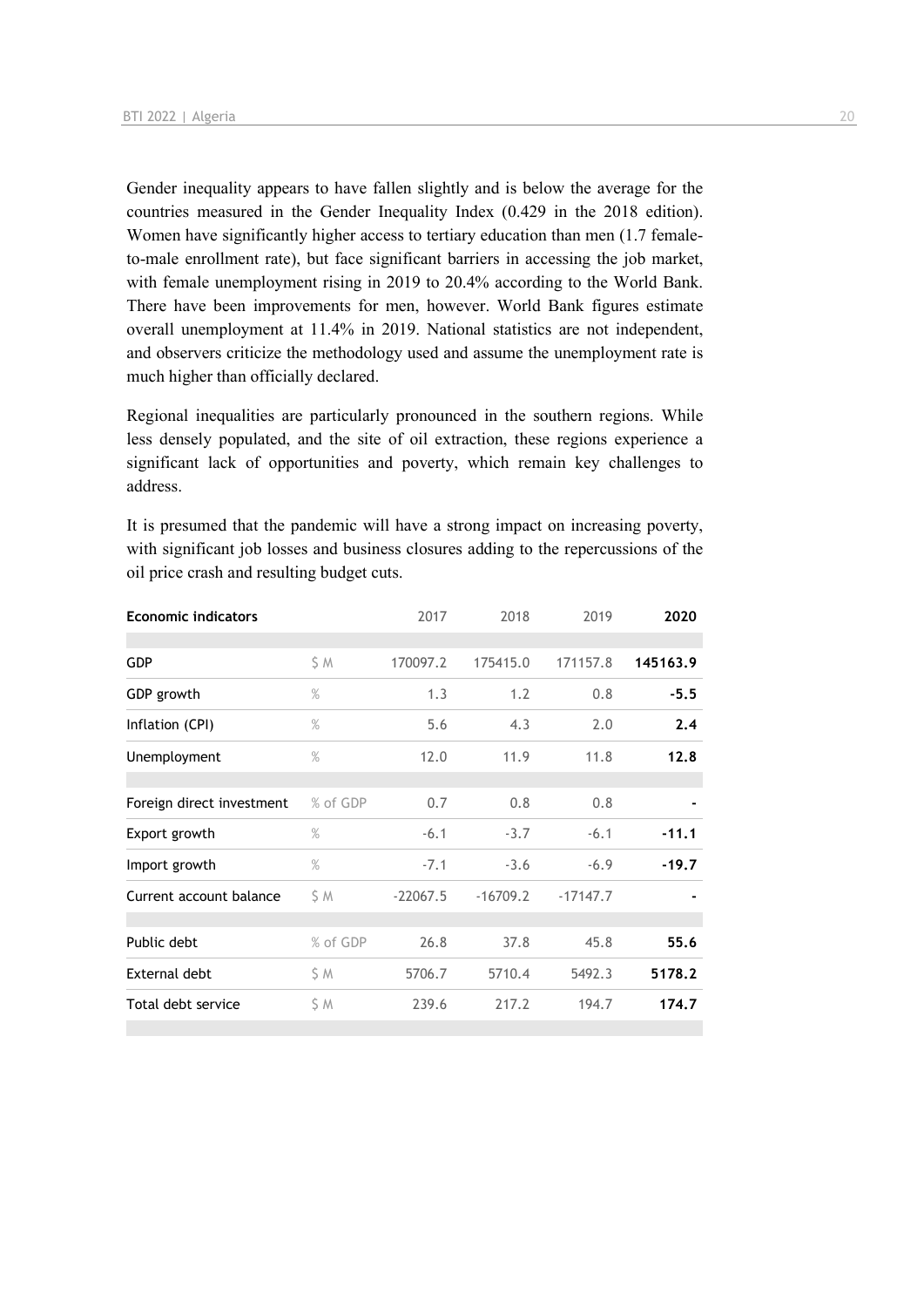Gender inequality appears to have fallen slightly and is below the average for the countries measured in the Gender Inequality Index (0.429 in the 2018 edition). Women have significantly higher access to tertiary education than men (1.7 femaleto-male enrollment rate), but face significant barriers in accessing the job market, with female unemployment rising in 2019 to 20.4% according to the World Bank. There have been improvements for men, however. World Bank figures estimate overall unemployment at 11.4% in 2019. National statistics are not independent, and observers criticize the methodology used and assume the unemployment rate is much higher than officially declared.

Regional inequalities are particularly pronounced in the southern regions. While less densely populated, and the site of oil extraction, these regions experience a significant lack of opportunities and poverty, which remain key challenges to address.

It is presumed that the pandemic will have a strong impact on increasing poverty, with significant job losses and business closures adding to the repercussions of the oil price crash and resulting budget cuts.

| <b>Economic indicators</b> |               | 2017       | 2018       | 2019       | 2020     |
|----------------------------|---------------|------------|------------|------------|----------|
|                            |               |            |            |            |          |
| <b>GDP</b>                 | S M           | 170097.2   | 175415.0   | 171157.8   | 145163.9 |
| GDP growth                 | $\%$          | 1.3        | 1.2        | 0.8        | $-5.5$   |
| Inflation (CPI)            | $\%$          | 5.6        | 4.3        | 2.0        | 2.4      |
| Unemployment               | $\frac{9}{6}$ | 12.0       | 11.9       | 11.8       | 12.8     |
|                            |               |            |            |            |          |
| Foreign direct investment  | % of GDP      | 0.7        | 0.8        | 0.8        |          |
| Export growth              | $\%$          | $-6.1$     | $-3.7$     | $-6.1$     | $-11.1$  |
| Import growth              | $\%$          | $-7.1$     | $-3.6$     | $-6.9$     | $-19.7$  |
| Current account balance    | S M           | $-22067.5$ | $-16709.2$ | $-17147.7$ |          |
|                            |               |            |            |            |          |
| Public debt                | % of GDP      | 26.8       | 37.8       | 45.8       | 55.6     |
| External debt              | \$M           | 5706.7     | 5710.4     | 5492.3     | 5178.2   |
| Total debt service         | \$ M          | 239.6      | 217.2      | 194.7      | 174.7    |
|                            |               |            |            |            |          |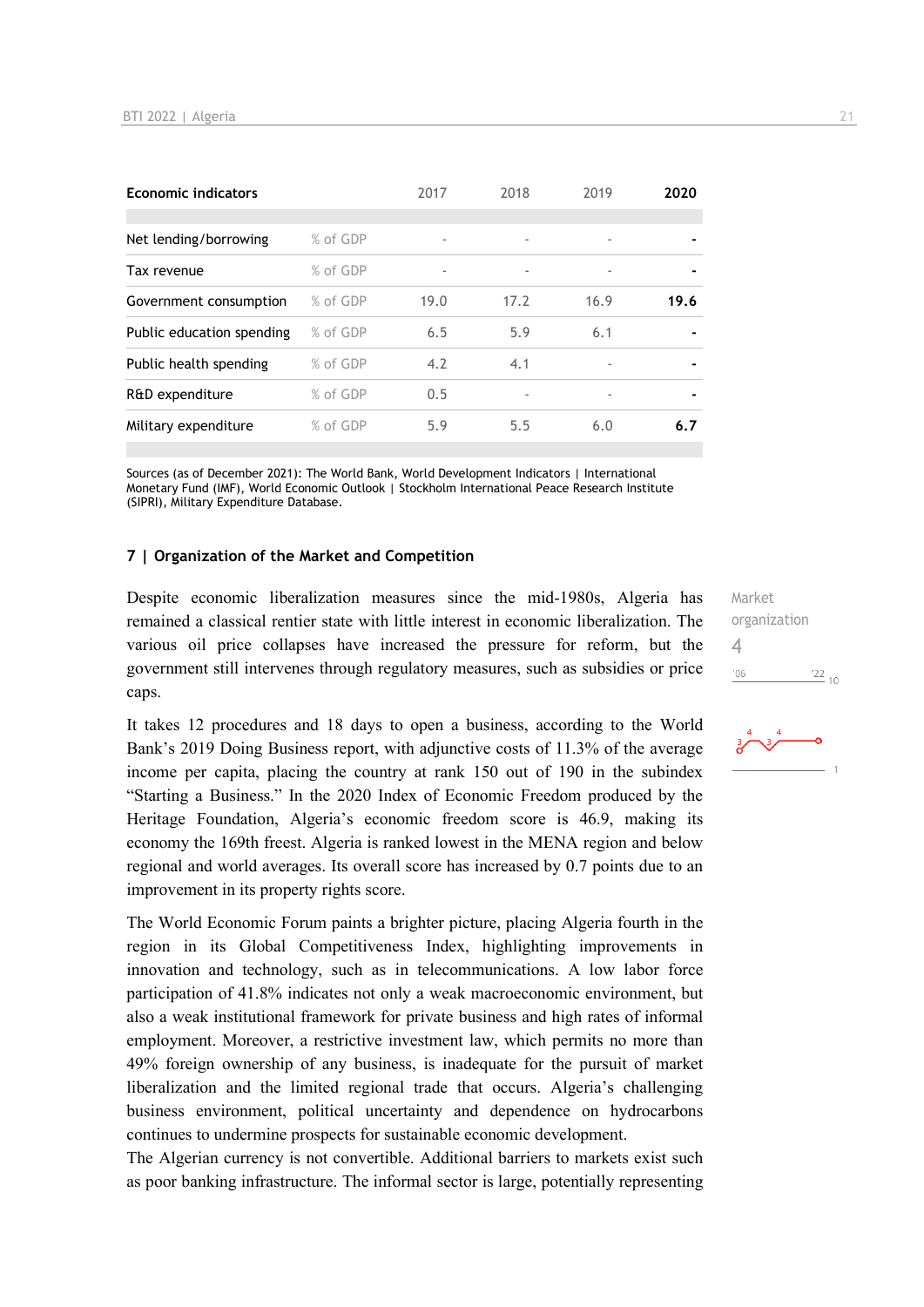| <b>Economic indicators</b> |          | 2017                     | 2018                     | 2019                     | 2020 |
|----------------------------|----------|--------------------------|--------------------------|--------------------------|------|
|                            |          |                          |                          |                          |      |
| Net lending/borrowing      | % of GDP | $\overline{\phantom{a}}$ |                          | ٠                        |      |
| Tax revenue                | % of GDP | $\overline{\phantom{a}}$ | $\overline{\phantom{a}}$ | ٠                        |      |
| Government consumption     | % of GDP | 19.0                     | 17.2                     | 16.9                     | 19.6 |
| Public education spending  | % of GDP | 6.5                      | 5.9                      | 6.1                      |      |
| Public health spending     | % of GDP | 4.2                      | 4.1                      | $\overline{\phantom{a}}$ |      |
| R&D expenditure            | % of GDP | 0.5                      |                          | $\overline{\phantom{a}}$ |      |
| Military expenditure       | % of GDP | 5.9                      | 5.5                      | 6.0                      | 6.7  |

Sources (as of December 2021): The World Bank, World Development Indicators | International Monetary Fund (IMF), World Economic Outlook | Stockholm International Peace Research Institute (SIPRI), Military Expenditure Database.

#### **7 | Organization of the Market and Competition**

Despite economic liberalization measures since the mid-1980s, Algeria has remained a classical rentier state with little interest in economic liberalization. The various oil price collapses have increased the pressure for reform, but the government still intervenes through regulatory measures, such as subsidies or price caps.

It takes 12 procedures and 18 days to open a business, according to the World Bank's 2019 Doing Business report, with adjunctive costs of 11.3% of the average income per capita, placing the country at rank 150 out of 190 in the subindex "Starting a Business." In the 2020 Index of Economic Freedom produced by the Heritage Foundation, Algeria's economic freedom score is 46.9, making its economy the 169th freest. Algeria is ranked lowest in the MENA region and below regional and world averages. Its overall score has increased by 0.7 points due to an improvement in its property rights score.

The World Economic Forum paints a brighter picture, placing Algeria fourth in the region in its Global Competitiveness Index, highlighting improvements in innovation and technology, such as in telecommunications. A low labor force participation of 41.8% indicates not only a weak macroeconomic environment, but also a weak institutional framework for private business and high rates of informal employment. Moreover, a restrictive investment law, which permits no more than 49% foreign ownership of any business, is inadequate for the pursuit of market liberalization and the limited regional trade that occurs. Algeria's challenging business environment, political uncertainty and dependence on hydrocarbons continues to undermine prospects for sustainable economic development.

The Algerian currency is not convertible. Additional barriers to markets exist such as poor banking infrastructure. The informal sector is large, potentially representing

Market organization  $\Delta$  $-06$  $\frac{22}{10}$ 

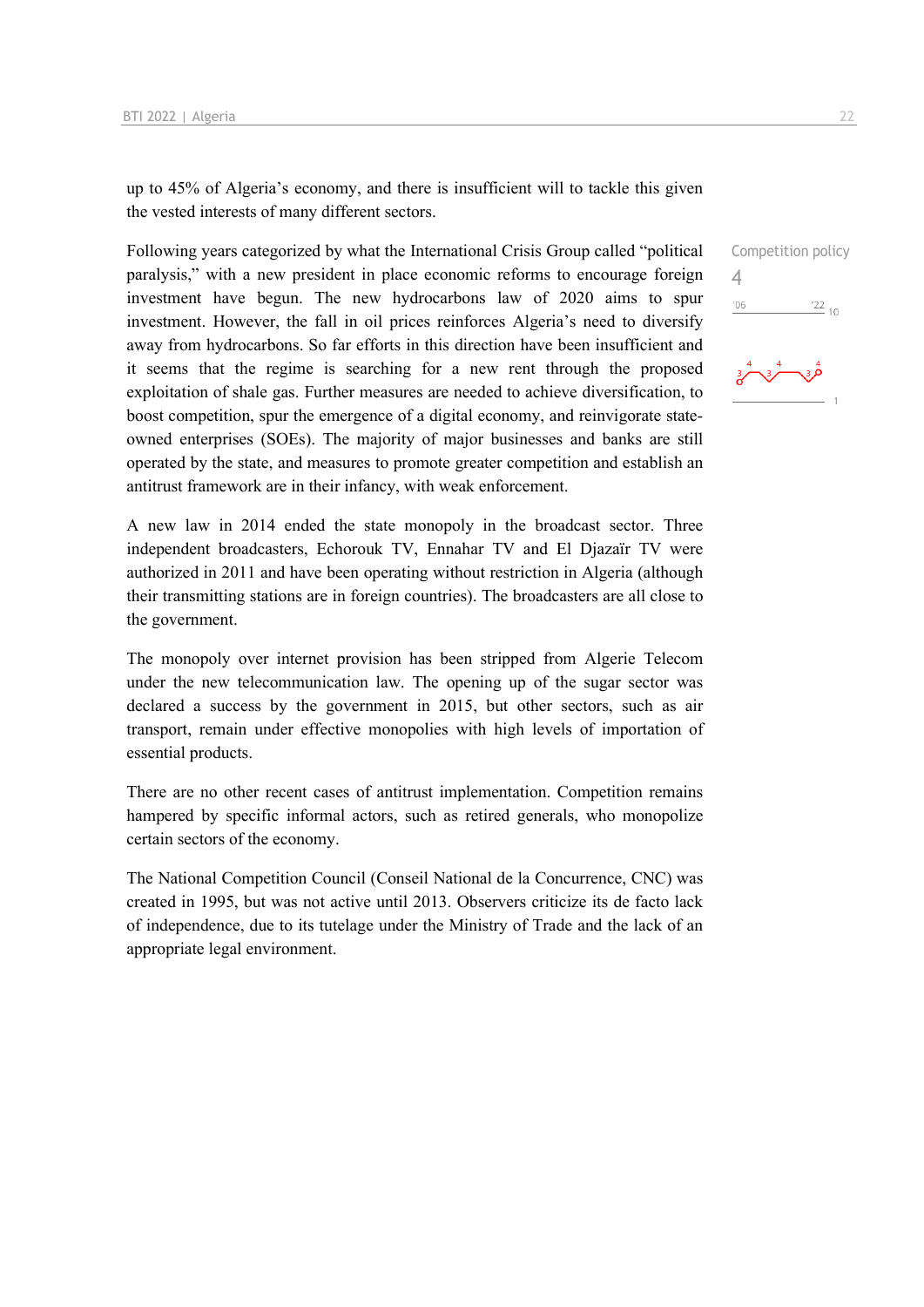up to 45% of Algeria's economy, and there is insufficient will to tackle this given the vested interests of many different sectors.

Following years categorized by what the International Crisis Group called "political paralysis," with a new president in place economic reforms to encourage foreign investment have begun. The new hydrocarbons law of 2020 aims to spur investment. However, the fall in oil prices reinforces Algeria's need to diversify away from hydrocarbons. So far efforts in this direction have been insufficient and it seems that the regime is searching for a new rent through the proposed exploitation of shale gas. Further measures are needed to achieve diversification, to boost competition, spur the emergence of a digital economy, and reinvigorate stateowned enterprises (SOEs). The majority of major businesses and banks are still operated by the state, and measures to promote greater competition and establish an antitrust framework are in their infancy, with weak enforcement.

A new law in 2014 ended the state monopoly in the broadcast sector. Three independent broadcasters, Echorouk TV, Ennahar TV and El Djazaïr TV were authorized in 2011 and have been operating without restriction in Algeria (although their transmitting stations are in foreign countries). The broadcasters are all close to the government.

The monopoly over internet provision has been stripped from Algerie Telecom under the new telecommunication law. The opening up of the sugar sector was declared a success by the government in 2015, but other sectors, such as air transport, remain under effective monopolies with high levels of importation of essential products.

There are no other recent cases of antitrust implementation. Competition remains hampered by specific informal actors, such as retired generals, who monopolize certain sectors of the economy.

The National Competition Council (Conseil National de la Concurrence, CNC) was created in 1995, but was not active until 2013. Observers criticize its de facto lack of independence, due to its tutelage under the Ministry of Trade and the lack of an appropriate legal environment.

Competition policy  $\Delta$  $\frac{22}{10}$  $106$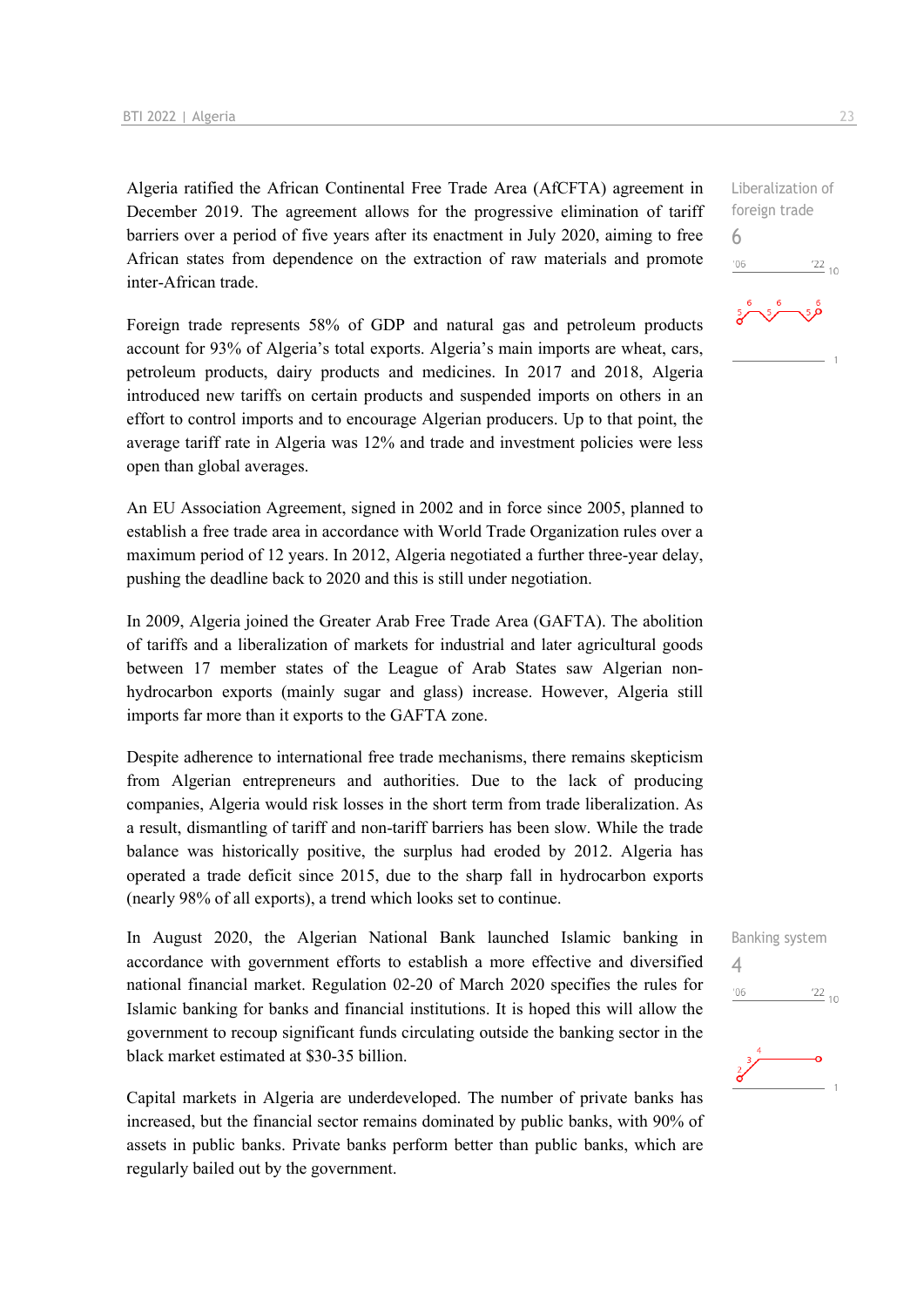Algeria ratified the African Continental Free Trade Area (AfCFTA) agreement in December 2019. The agreement allows for the progressive elimination of tariff barriers over a period of five years after its enactment in July 2020, aiming to free African states from dependence on the extraction of raw materials and promote inter-African trade.

Foreign trade represents 58% of GDP and natural gas and petroleum products account for 93% of Algeria's total exports. Algeria's main imports are wheat, cars, petroleum products, dairy products and medicines. In 2017 and 2018, Algeria introduced new tariffs on certain products and suspended imports on others in an effort to control imports and to encourage Algerian producers. Up to that point, the average tariff rate in Algeria was 12% and trade and investment policies were less open than global averages.

An EU Association Agreement, signed in 2002 and in force since 2005, planned to establish a free trade area in accordance with World Trade Organization rules over a maximum period of 12 years. In 2012, Algeria negotiated a further three-year delay, pushing the deadline back to 2020 and this is still under negotiation.

In 2009, Algeria joined the Greater Arab Free Trade Area (GAFTA). The abolition of tariffs and a liberalization of markets for industrial and later agricultural goods between 17 member states of the League of Arab States saw Algerian nonhydrocarbon exports (mainly sugar and glass) increase. However, Algeria still imports far more than it exports to the GAFTA zone.

Despite adherence to international free trade mechanisms, there remains skepticism from Algerian entrepreneurs and authorities. Due to the lack of producing companies, Algeria would risk losses in the short term from trade liberalization. As a result, dismantling of tariff and non-tariff barriers has been slow. While the trade balance was historically positive, the surplus had eroded by 2012. Algeria has operated a trade deficit since 2015, due to the sharp fall in hydrocarbon exports (nearly 98% of all exports), a trend which looks set to continue.

In August 2020, the Algerian National Bank launched Islamic banking in accordance with government efforts to establish a more effective and diversified national financial market. Regulation 02-20 of March 2020 specifies the rules for Islamic banking for banks and financial institutions. It is hoped this will allow the government to recoup significant funds circulating outside the banking sector in the black market estimated at \$30-35 billion.

Capital markets in Algeria are underdeveloped. The number of private banks has increased, but the financial sector remains dominated by public banks, with 90% of assets in public banks. Private banks perform better than public banks, which are regularly bailed out by the government.

foreign trade 6  $-06$  $^{22}$  10



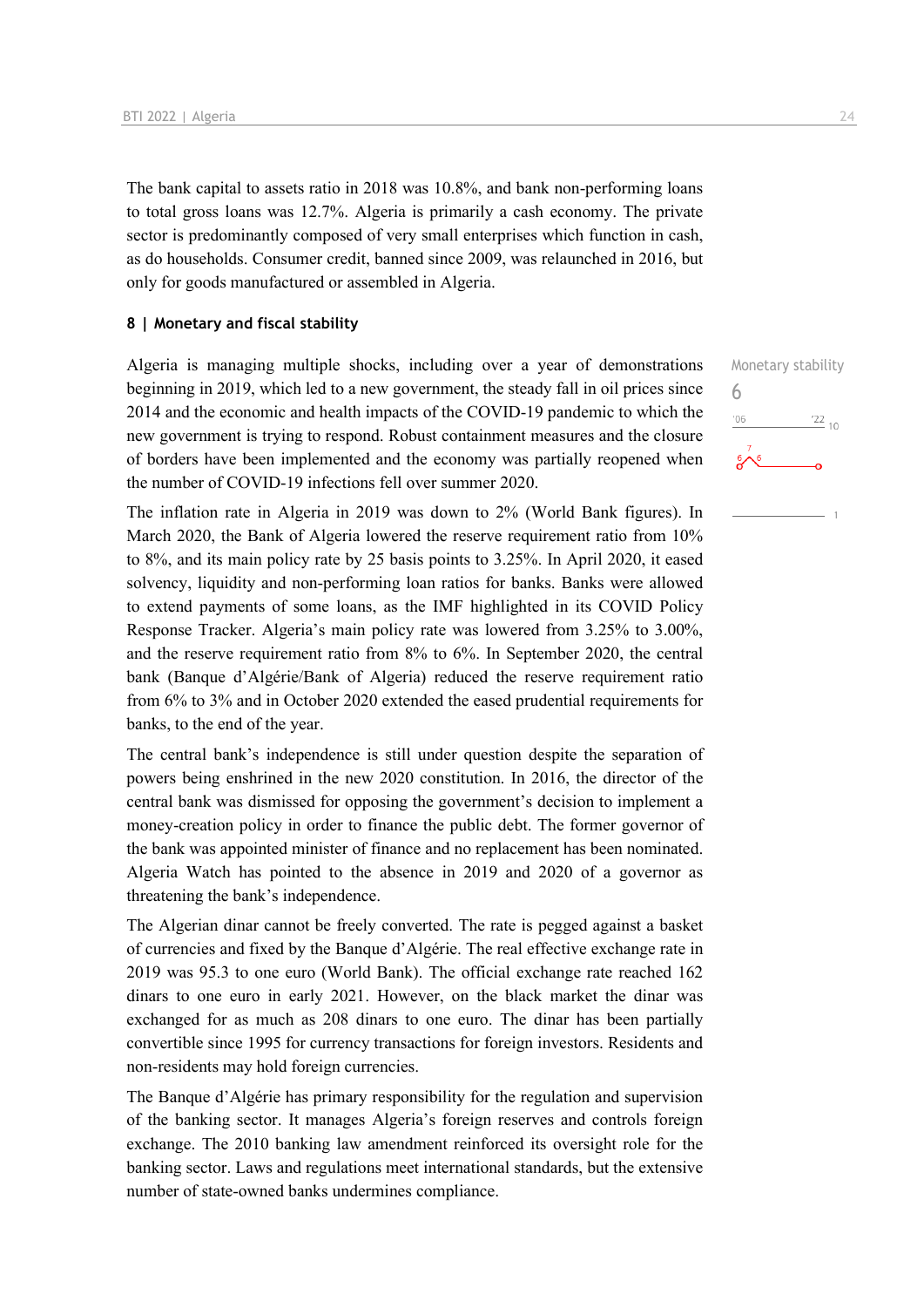The bank capital to assets ratio in 2018 was 10.8%, and bank non-performing loans to total gross loans was 12.7%. Algeria is primarily a cash economy. The private sector is predominantly composed of very small enterprises which function in cash, as do households. Consumer credit, banned since 2009, was relaunched in 2016, but only for goods manufactured or assembled in Algeria.

#### **8 | Monetary and fiscal stability**

Algeria is managing multiple shocks, including over a year of demonstrations beginning in 2019, which led to a new government, the steady fall in oil prices since 2014 and the economic and health impacts of the COVID-19 pandemic to which the new government is trying to respond. Robust containment measures and the closure of borders have been implemented and the economy was partially reopened when the number of COVID-19 infections fell over summer 2020.

The inflation rate in Algeria in 2019 was down to 2% (World Bank figures). In March 2020, the Bank of Algeria lowered the reserve requirement ratio from 10% to 8%, and its main policy rate by 25 basis points to 3.25%. In April 2020, it eased solvency, liquidity and non-performing loan ratios for banks. Banks were allowed to extend payments of some loans, as the IMF highlighted in its COVID Policy Response Tracker. Algeria's main policy rate was lowered from 3.25% to 3.00%, and the reserve requirement ratio from 8% to 6%. In September 2020, the central bank (Banque d'Algérie/Bank of Algeria) reduced the reserve requirement ratio from 6% to 3% and in October 2020 extended the eased prudential requirements for banks, to the end of the year.

The central bank's independence is still under question despite the separation of powers being enshrined in the new 2020 constitution. In 2016, the director of the central bank was dismissed for opposing the government's decision to implement a money-creation policy in order to finance the public debt. The former governor of the bank was appointed minister of finance and no replacement has been nominated. Algeria Watch has pointed to the absence in 2019 and 2020 of a governor as threatening the bank's independence.

The Algerian dinar cannot be freely converted. The rate is pegged against a basket of currencies and fixed by the Banque d'Algérie. The real effective exchange rate in 2019 was 95.3 to one euro (World Bank). The official exchange rate reached 162 dinars to one euro in early 2021. However, on the black market the dinar was exchanged for as much as 208 dinars to one euro. The dinar has been partially convertible since 1995 for currency transactions for foreign investors. Residents and non-residents may hold foreign currencies.

The Banque d'Algérie has primary responsibility for the regulation and supervision of the banking sector. It manages Algeria's foreign reserves and controls foreign exchange. The 2010 banking law amendment reinforced its oversight role for the banking sector. Laws and regulations meet international standards, but the extensive number of state-owned banks undermines compliance.

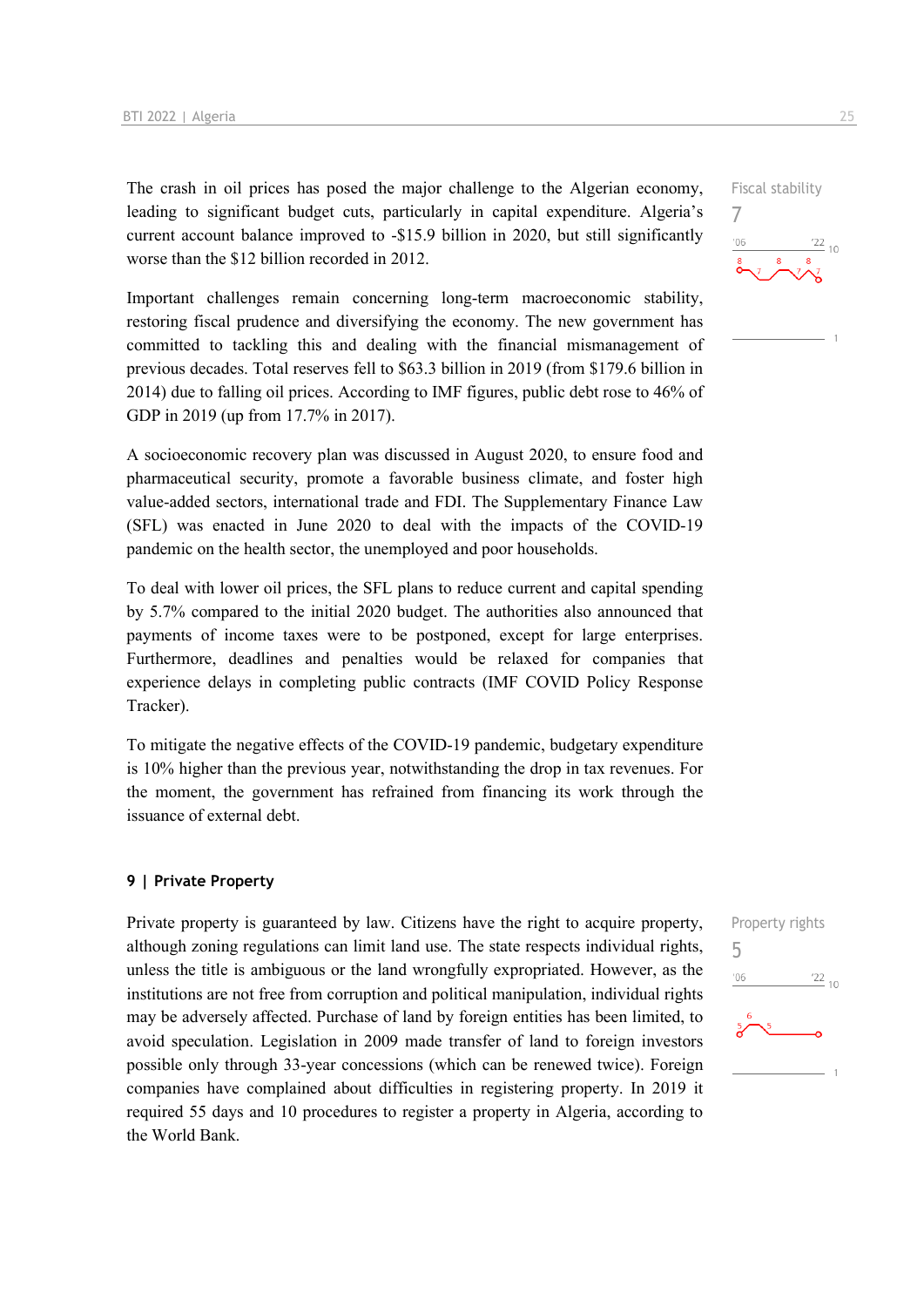The crash in oil prices has posed the major challenge to the Algerian economy, leading to significant budget cuts, particularly in capital expenditure. Algeria's current account balance improved to -\$15.9 billion in 2020, but still significantly worse than the \$12 billion recorded in 2012.

Important challenges remain concerning long-term macroeconomic stability, restoring fiscal prudence and diversifying the economy. The new government has committed to tackling this and dealing with the financial mismanagement of previous decades. Total reserves fell to \$63.3 billion in 2019 (from \$179.6 billion in 2014) due to falling oil prices. According to IMF figures, public debt rose to 46% of GDP in 2019 (up from 17.7% in 2017).

A socioeconomic recovery plan was discussed in August 2020, to ensure food and pharmaceutical security, promote a favorable business climate, and foster high value-added sectors, international trade and FDI. The Supplementary Finance Law (SFL) was enacted in June 2020 to deal with the impacts of the COVID-19 pandemic on the health sector, the unemployed and poor households.

To deal with lower oil prices, the SFL plans to reduce current and capital spending by 5.7% compared to the initial 2020 budget. The authorities also announced that payments of income taxes were to be postponed, except for large enterprises. Furthermore, deadlines and penalties would be relaxed for companies that experience delays in completing public contracts (IMF COVID Policy Response Tracker).

To mitigate the negative effects of the COVID-19 pandemic, budgetary expenditure is 10% higher than the previous year, notwithstanding the drop in tax revenues. For the moment, the government has refrained from financing its work through the issuance of external debt.

#### **9 | Private Property**

Private property is guaranteed by law. Citizens have the right to acquire property, although zoning regulations can limit land use. The state respects individual rights, unless the title is ambiguous or the land wrongfully expropriated. However, as the institutions are not free from corruption and political manipulation, individual rights may be adversely affected. Purchase of land by foreign entities has been limited, to avoid speculation. Legislation in 2009 made transfer of land to foreign investors possible only through 33-year concessions (which can be renewed twice). Foreign companies have complained about difficulties in registering property. In 2019 it required 55 days and 10 procedures to register a property in Algeria, according to the World Bank.



## Fiscal stability

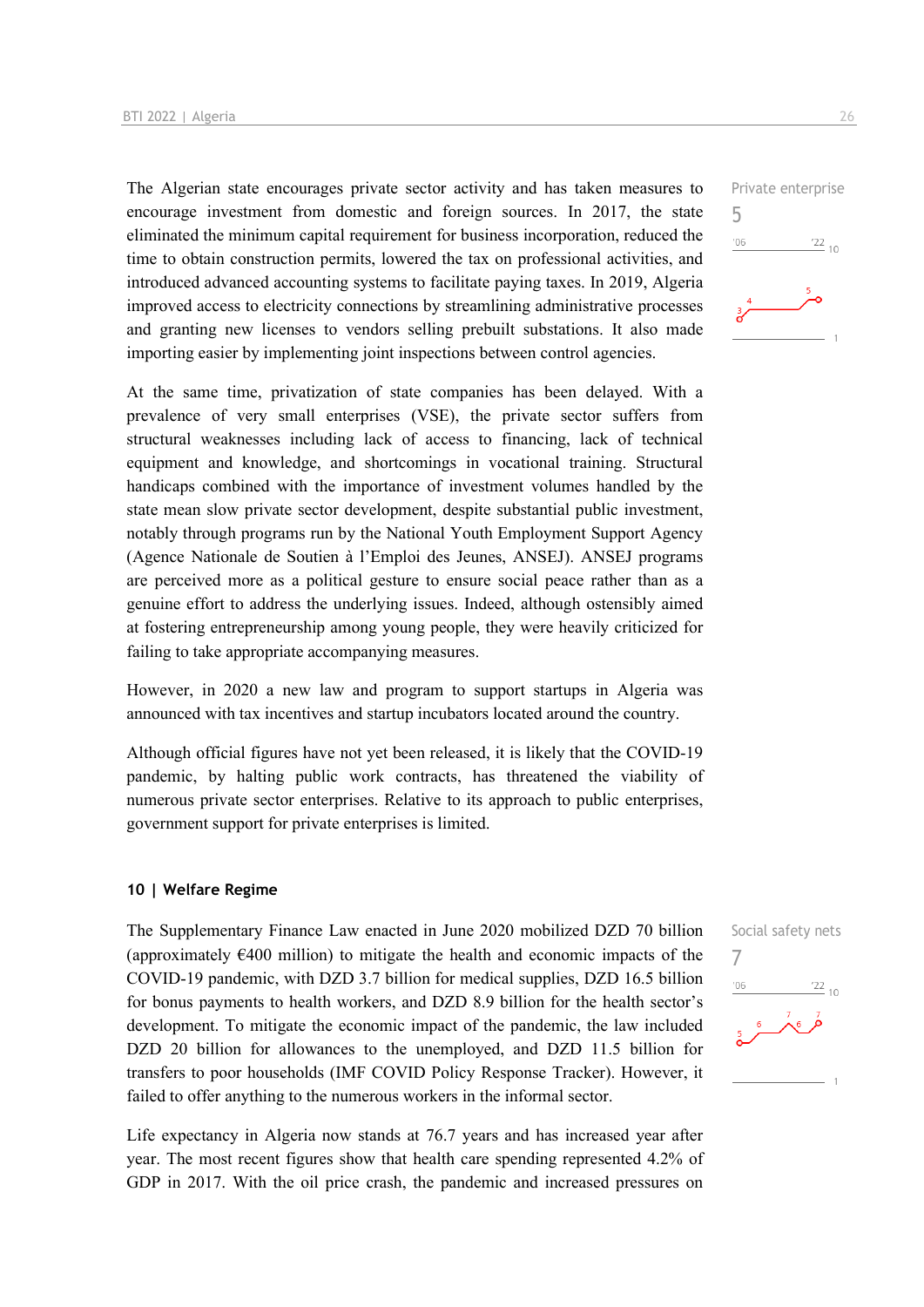The Algerian state encourages private sector activity and has taken measures to encourage investment from domestic and foreign sources. In 2017, the state eliminated the minimum capital requirement for business incorporation, reduced the time to obtain construction permits, lowered the tax on professional activities, and introduced advanced accounting systems to facilitate paying taxes. In 2019, Algeria improved access to electricity connections by streamlining administrative processes and granting new licenses to vendors selling prebuilt substations. It also made importing easier by implementing joint inspections between control agencies.

At the same time, privatization of state companies has been delayed. With a prevalence of very small enterprises (VSE), the private sector suffers from structural weaknesses including lack of access to financing, lack of technical equipment and knowledge, and shortcomings in vocational training. Structural handicaps combined with the importance of investment volumes handled by the state mean slow private sector development, despite substantial public investment, notably through programs run by the National Youth Employment Support Agency (Agence Nationale de Soutien à l'Emploi des Jeunes, ANSEJ). ANSEJ programs are perceived more as a political gesture to ensure social peace rather than as a genuine effort to address the underlying issues. Indeed, although ostensibly aimed at fostering entrepreneurship among young people, they were heavily criticized for failing to take appropriate accompanying measures.

However, in 2020 a new law and program to support startups in Algeria was announced with tax incentives and startup incubators located around the country.

Although official figures have not yet been released, it is likely that the COVID-19 pandemic, by halting public work contracts, has threatened the viability of numerous private sector enterprises. Relative to its approach to public enterprises, government support for private enterprises is limited.

#### **10 | Welfare Regime**

The Supplementary Finance Law enacted in June 2020 mobilized DZD 70 billion (approximately  $E$ 400 million) to mitigate the health and economic impacts of the COVID-19 pandemic, with DZD 3.7 billion for medical supplies, DZD 16.5 billion for bonus payments to health workers, and DZD 8.9 billion for the health sector's development. To mitigate the economic impact of the pandemic, the law included DZD 20 billion for allowances to the unemployed, and DZD 11.5 billion for transfers to poor households (IMF COVID Policy Response Tracker). However, it failed to offer anything to the numerous workers in the informal sector.

Life expectancy in Algeria now stands at 76.7 years and has increased year after year. The most recent figures show that health care spending represented 4.2% of GDP in 2017. With the oil price crash, the pandemic and increased pressures on



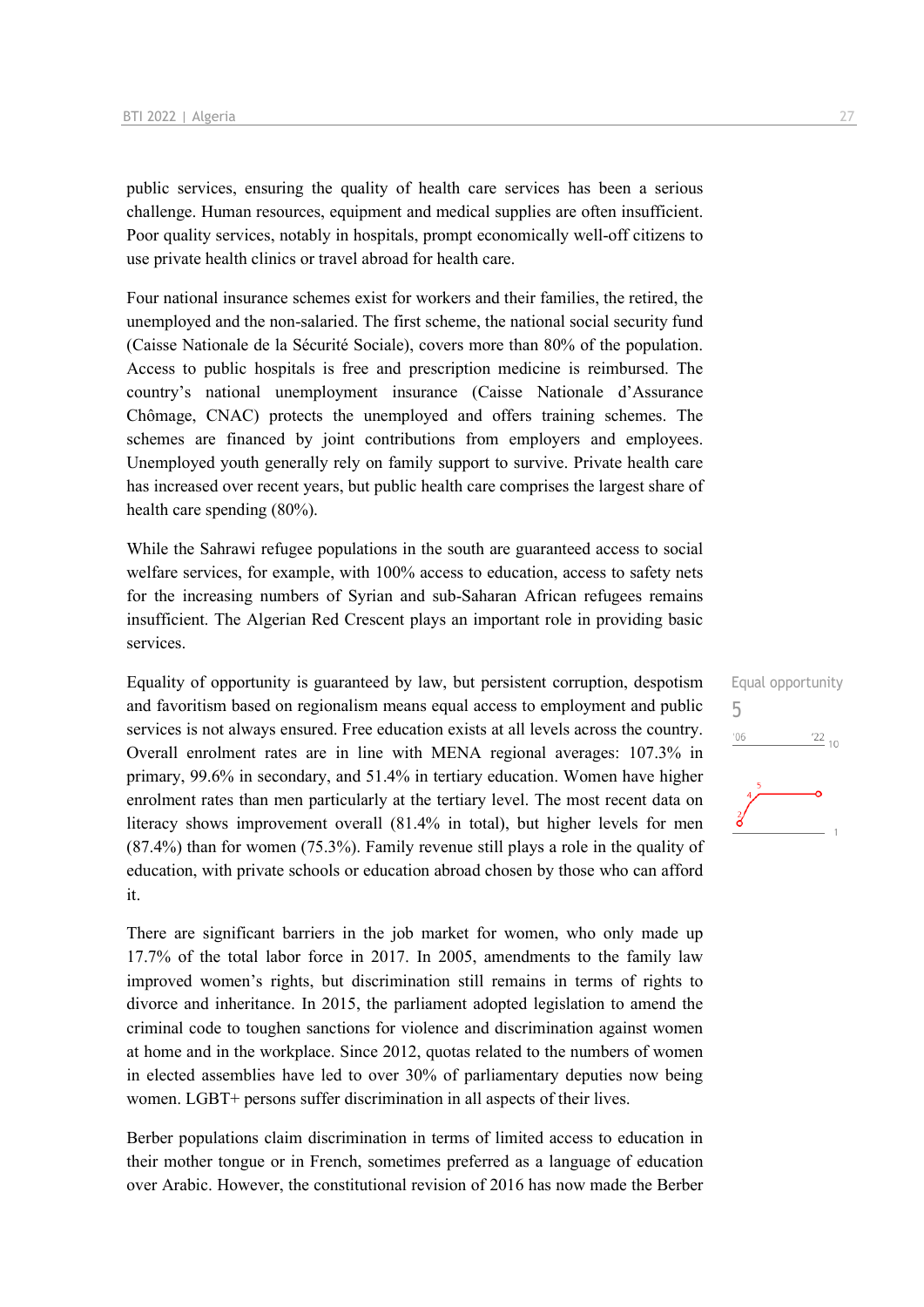public services, ensuring the quality of health care services has been a serious challenge. Human resources, equipment and medical supplies are often insufficient. Poor quality services, notably in hospitals, prompt economically well-off citizens to use private health clinics or travel abroad for health care.

Four national insurance schemes exist for workers and their families, the retired, the unemployed and the non-salaried. The first scheme, the national social security fund (Caisse Nationale de la Sécurité Sociale), covers more than 80% of the population. Access to public hospitals is free and prescription medicine is reimbursed. The country's national unemployment insurance (Caisse Nationale d'Assurance Chômage, CNAC) protects the unemployed and offers training schemes. The schemes are financed by joint contributions from employers and employees. Unemployed youth generally rely on family support to survive. Private health care has increased over recent years, but public health care comprises the largest share of health care spending (80%).

While the Sahrawi refugee populations in the south are guaranteed access to social welfare services, for example, with 100% access to education, access to safety nets for the increasing numbers of Syrian and sub-Saharan African refugees remains insufficient. The Algerian Red Crescent plays an important role in providing basic services.

Equality of opportunity is guaranteed by law, but persistent corruption, despotism and favoritism based on regionalism means equal access to employment and public services is not always ensured. Free education exists at all levels across the country. Overall enrolment rates are in line with MENA regional averages: 107.3% in primary, 99.6% in secondary, and 51.4% in tertiary education. Women have higher enrolment rates than men particularly at the tertiary level. The most recent data on literacy shows improvement overall (81.4% in total), but higher levels for men (87.4%) than for women (75.3%). Family revenue still plays a role in the quality of education, with private schools or education abroad chosen by those who can afford it.

There are significant barriers in the job market for women, who only made up 17.7% of the total labor force in 2017. In 2005, amendments to the family law improved women's rights, but discrimination still remains in terms of rights to divorce and inheritance. In 2015, the parliament adopted legislation to amend the criminal code to toughen sanctions for violence and discrimination against women at home and in the workplace. Since 2012, quotas related to the numbers of women in elected assemblies have led to over 30% of parliamentary deputies now being women. LGBT+ persons suffer discrimination in all aspects of their lives.

Berber populations claim discrimination in terms of limited access to education in their mother tongue or in French, sometimes preferred as a language of education over Arabic. However, the constitutional revision of 2016 has now made the Berber

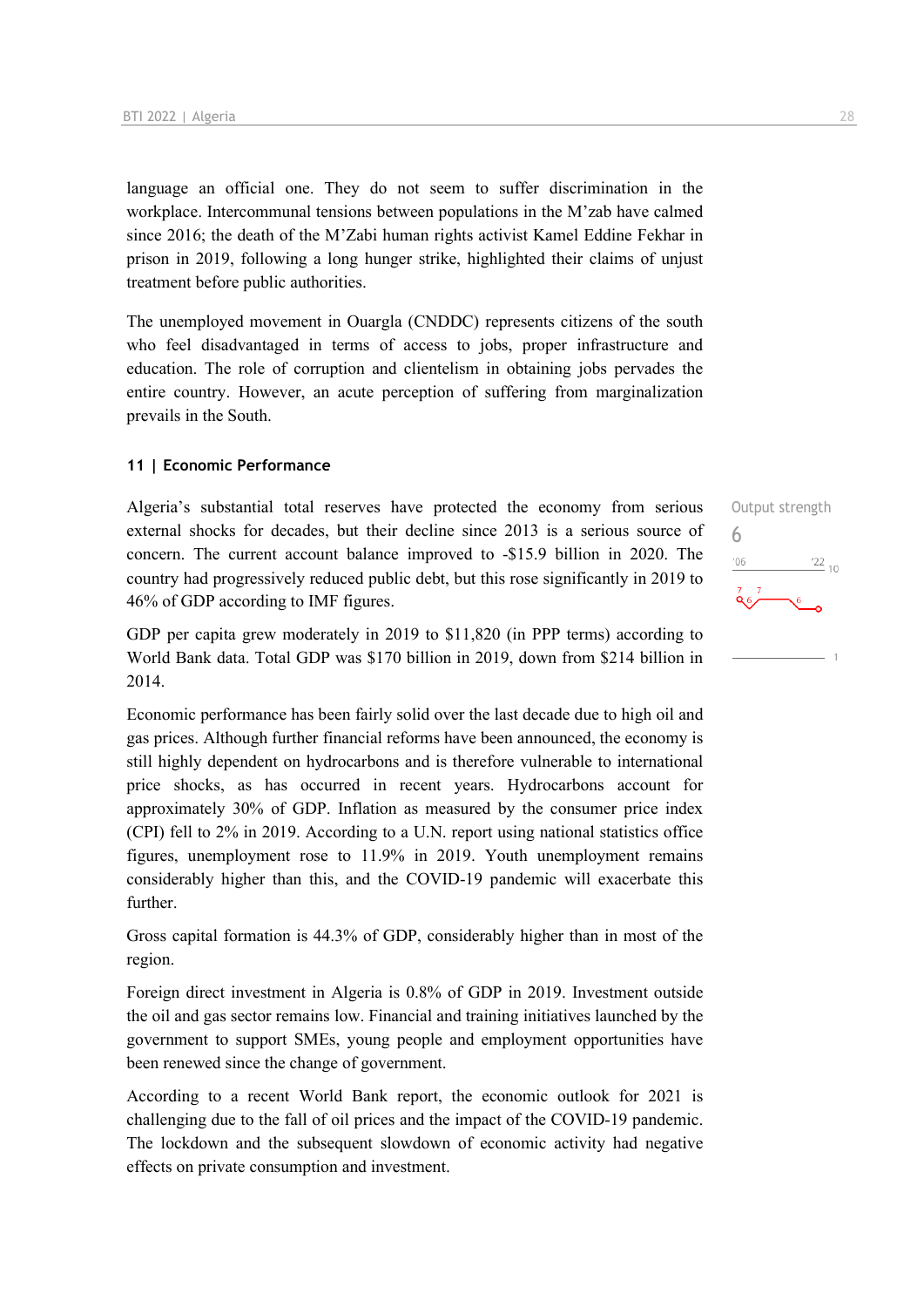language an official one. They do not seem to suffer discrimination in the workplace. Intercommunal tensions between populations in the M'zab have calmed since 2016; the death of the M'Zabi human rights activist Kamel Eddine Fekhar in prison in 2019, following a long hunger strike, highlighted their claims of unjust treatment before public authorities.

The unemployed movement in Ouargla (CNDDC) represents citizens of the south who feel disadvantaged in terms of access to jobs, proper infrastructure and education. The role of corruption and clientelism in obtaining jobs pervades the entire country. However, an acute perception of suffering from marginalization prevails in the South.

#### **11 | Economic Performance**

Algeria's substantial total reserves have protected the economy from serious external shocks for decades, but their decline since 2013 is a serious source of concern. The current account balance improved to -\$15.9 billion in 2020. The country had progressively reduced public debt, but this rose significantly in 2019 to 46% of GDP according to IMF figures.

GDP per capita grew moderately in 2019 to \$11,820 (in PPP terms) according to World Bank data. Total GDP was \$170 billion in 2019, down from \$214 billion in 2014.

Economic performance has been fairly solid over the last decade due to high oil and gas prices. Although further financial reforms have been announced, the economy is still highly dependent on hydrocarbons and is therefore vulnerable to international price shocks, as has occurred in recent years. Hydrocarbons account for approximately 30% of GDP. Inflation as measured by the consumer price index (CPI) fell to 2% in 2019. According to a U.N. report using national statistics office figures, unemployment rose to 11.9% in 2019. Youth unemployment remains considerably higher than this, and the COVID-19 pandemic will exacerbate this further.

Gross capital formation is 44.3% of GDP, considerably higher than in most of the region.

Foreign direct investment in Algeria is 0.8% of GDP in 2019. Investment outside the oil and gas sector remains low. Financial and training initiatives launched by the government to support SMEs, young people and employment opportunities have been renewed since the change of government.

According to a recent World Bank report, the economic outlook for 2021 is challenging due to the fall of oil prices and the impact of the COVID-19 pandemic. The lockdown and the subsequent slowdown of economic activity had negative effects on private consumption and investment.

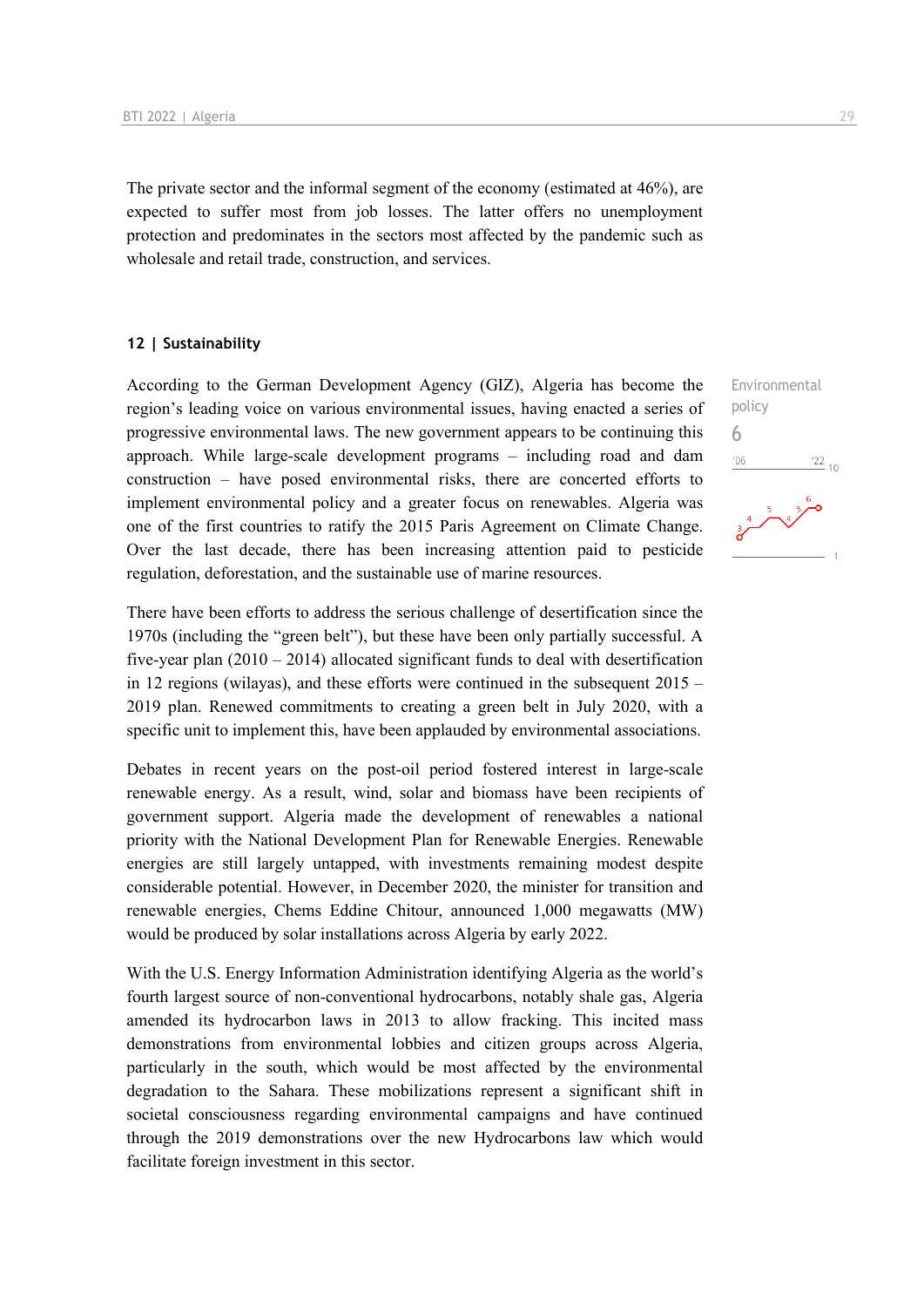The private sector and the informal segment of the economy (estimated at 46%), are expected to suffer most from job losses. The latter offers no unemployment protection and predominates in the sectors most affected by the pandemic such as wholesale and retail trade, construction, and services.

#### **12 | Sustainability**

According to the German Development Agency (GIZ), Algeria has become the region's leading voice on various environmental issues, having enacted a series of progressive environmental laws. The new government appears to be continuing this approach. While large-scale development programs – including road and dam construction – have posed environmental risks, there are concerted efforts to implement environmental policy and a greater focus on renewables. Algeria was one of the first countries to ratify the 2015 Paris Agreement on Climate Change. Over the last decade, there has been increasing attention paid to pesticide regulation, deforestation, and the sustainable use of marine resources.

There have been efforts to address the serious challenge of desertification since the 1970s (including the "green belt"), but these have been only partially successful. A five-year plan  $(2010 - 2014)$  allocated significant funds to deal with desertification in 12 regions (wilayas), and these efforts were continued in the subsequent 2015 – 2019 plan. Renewed commitments to creating a green belt in July 2020, with a specific unit to implement this, have been applauded by environmental associations.

Debates in recent years on the post-oil period fostered interest in large-scale renewable energy. As a result, wind, solar and biomass have been recipients of government support. Algeria made the development of renewables a national priority with the National Development Plan for Renewable Energies. Renewable energies are still largely untapped, with investments remaining modest despite considerable potential. However, in December 2020, the minister for transition and renewable energies, Chems Eddine Chitour, announced 1,000 megawatts (MW) would be produced by solar installations across Algeria by early 2022.

With the U.S. Energy Information Administration identifying Algeria as the world's fourth largest source of non-conventional hydrocarbons, notably shale gas, Algeria amended its hydrocarbon laws in 2013 to allow fracking. This incited mass demonstrations from environmental lobbies and citizen groups across Algeria, particularly in the south, which would be most affected by the environmental degradation to the Sahara. These mobilizations represent a significant shift in societal consciousness regarding environmental campaigns and have continued through the 2019 demonstrations over the new Hydrocarbons law which would facilitate foreign investment in this sector.

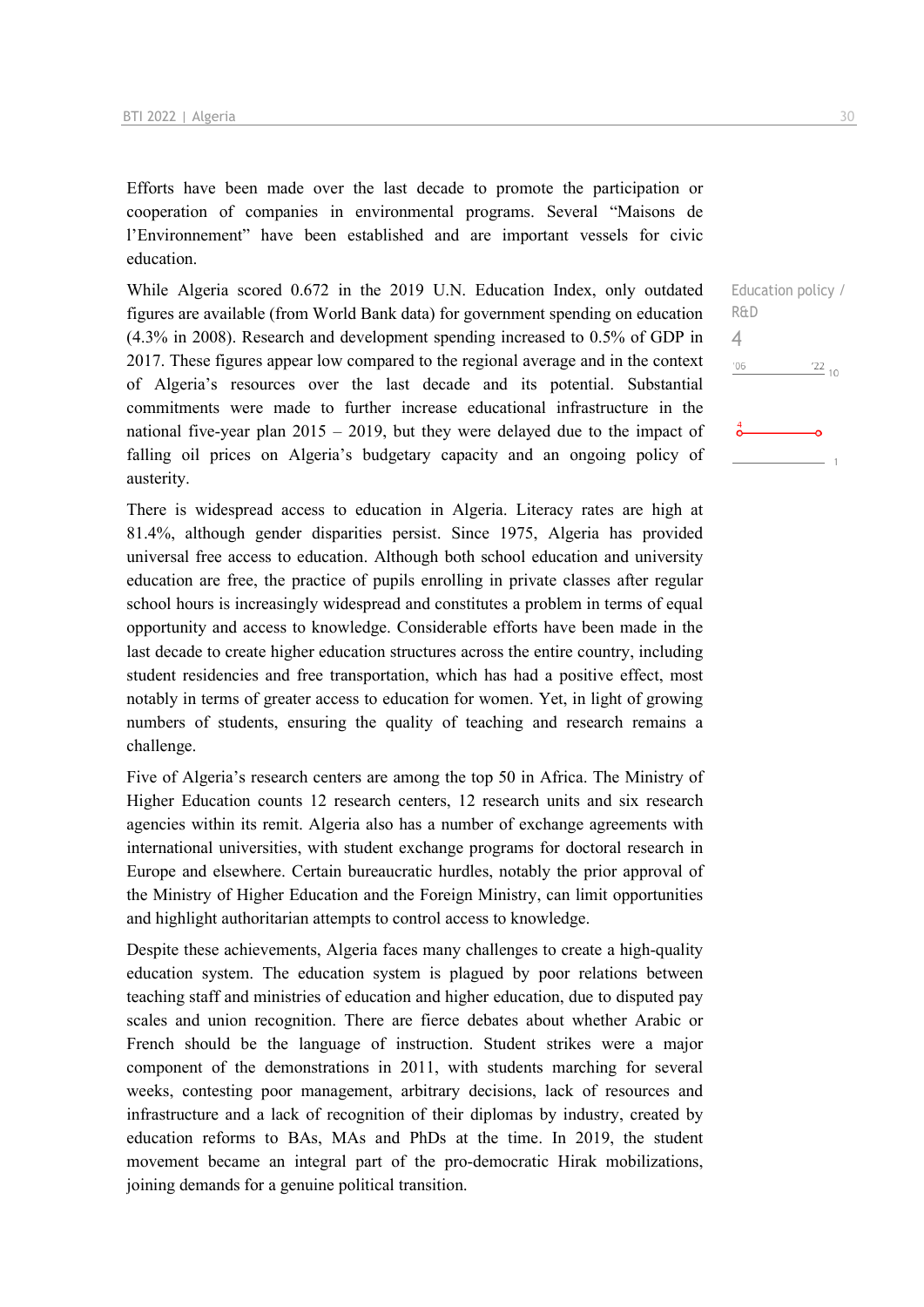Efforts have been made over the last decade to promote the participation or cooperation of companies in environmental programs. Several "Maisons de l'Environnement" have been established and are important vessels for civic education.

While Algeria scored 0.672 in the 2019 U.N. Education Index, only outdated figures are available (from World Bank data) for government spending on education (4.3% in 2008). Research and development spending increased to 0.5% of GDP in 2017. These figures appear low compared to the regional average and in the context of Algeria's resources over the last decade and its potential. Substantial commitments were made to further increase educational infrastructure in the national five-year plan 2015 – 2019, but they were delayed due to the impact of falling oil prices on Algeria's budgetary capacity and an ongoing policy of austerity.

There is widespread access to education in Algeria. Literacy rates are high at 81.4%, although gender disparities persist. Since 1975, Algeria has provided universal free access to education. Although both school education and university education are free, the practice of pupils enrolling in private classes after regular school hours is increasingly widespread and constitutes a problem in terms of equal opportunity and access to knowledge. Considerable efforts have been made in the last decade to create higher education structures across the entire country, including student residencies and free transportation, which has had a positive effect, most notably in terms of greater access to education for women. Yet, in light of growing numbers of students, ensuring the quality of teaching and research remains a challenge.

Five of Algeria's research centers are among the top 50 in Africa. The Ministry of Higher Education counts 12 research centers, 12 research units and six research agencies within its remit. Algeria also has a number of exchange agreements with international universities, with student exchange programs for doctoral research in Europe and elsewhere. Certain bureaucratic hurdles, notably the prior approval of the Ministry of Higher Education and the Foreign Ministry, can limit opportunities and highlight authoritarian attempts to control access to knowledge.

Despite these achievements, Algeria faces many challenges to create a high-quality education system. The education system is plagued by poor relations between teaching staff and ministries of education and higher education, due to disputed pay scales and union recognition. There are fierce debates about whether Arabic or French should be the language of instruction. Student strikes were a major component of the demonstrations in 2011, with students marching for several weeks, contesting poor management, arbitrary decisions, lack of resources and infrastructure and a lack of recognition of their diplomas by industry, created by education reforms to BAs, MAs and PhDs at the time. In 2019, the student movement became an integral part of the pro-democratic Hirak mobilizations, joining demands for a genuine political transition.

4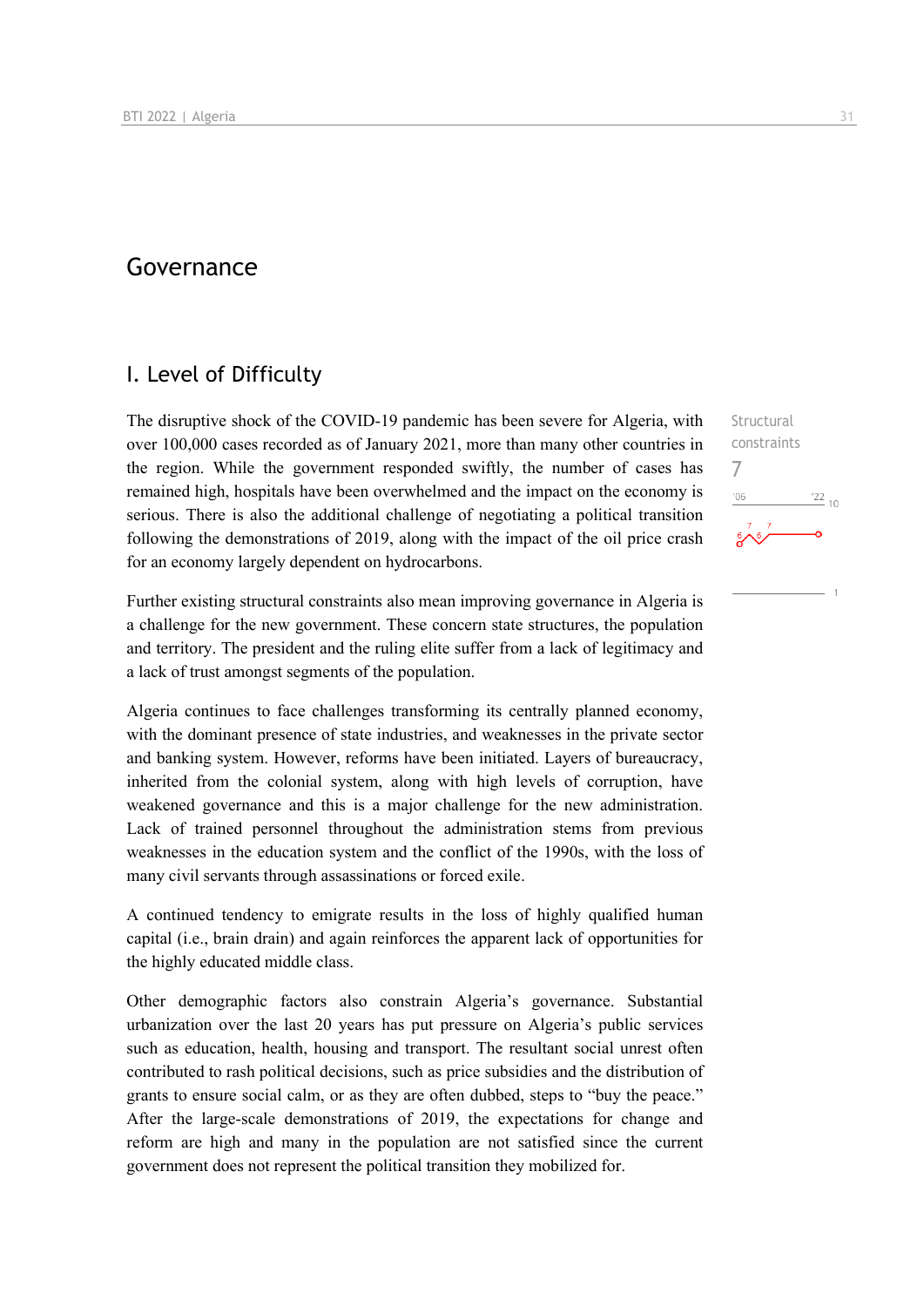## Governance

### I. Level of Difficulty

The disruptive shock of the COVID-19 pandemic has been severe for Algeria, with over 100,000 cases recorded as of January 2021, more than many other countries in the region. While the government responded swiftly, the number of cases has remained high, hospitals have been overwhelmed and the impact on the economy is serious. There is also the additional challenge of negotiating a political transition following the demonstrations of 2019, along with the impact of the oil price crash for an economy largely dependent on hydrocarbons.

Further existing structural constraints also mean improving governance in Algeria is a challenge for the new government. These concern state structures, the population and territory. The president and the ruling elite suffer from a lack of legitimacy and a lack of trust amongst segments of the population.

Algeria continues to face challenges transforming its centrally planned economy, with the dominant presence of state industries, and weaknesses in the private sector and banking system. However, reforms have been initiated. Layers of bureaucracy, inherited from the colonial system, along with high levels of corruption, have weakened governance and this is a major challenge for the new administration. Lack of trained personnel throughout the administration stems from previous weaknesses in the education system and the conflict of the 1990s, with the loss of many civil servants through assassinations or forced exile.

A continued tendency to emigrate results in the loss of highly qualified human capital (i.e., brain drain) and again reinforces the apparent lack of opportunities for the highly educated middle class.

Other demographic factors also constrain Algeria's governance. Substantial urbanization over the last 20 years has put pressure on Algeria's public services such as education, health, housing and transport. The resultant social unrest often contributed to rash political decisions, such as price subsidies and the distribution of grants to ensure social calm, or as they are often dubbed, steps to "buy the peace." After the large-scale demonstrations of 2019, the expectations for change and reform are high and many in the population are not satisfied since the current government does not represent the political transition they mobilized for.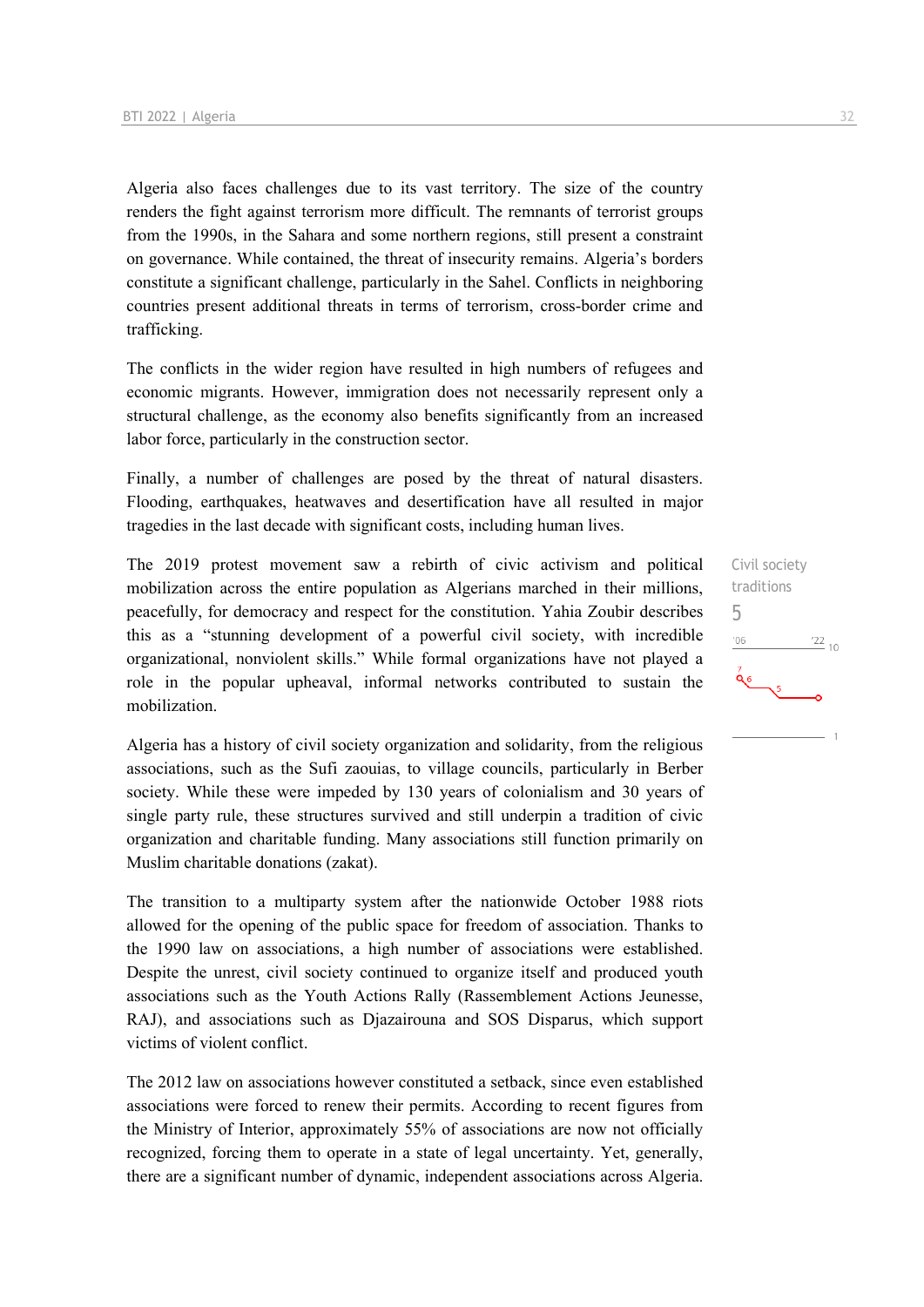Algeria also faces challenges due to its vast territory. The size of the country renders the fight against terrorism more difficult. The remnants of terrorist groups from the 1990s, in the Sahara and some northern regions, still present a constraint on governance. While contained, the threat of insecurity remains. Algeria's borders constitute a significant challenge, particularly in the Sahel. Conflicts in neighboring countries present additional threats in terms of terrorism, cross-border crime and trafficking.

The conflicts in the wider region have resulted in high numbers of refugees and economic migrants. However, immigration does not necessarily represent only a structural challenge, as the economy also benefits significantly from an increased labor force, particularly in the construction sector.

Finally, a number of challenges are posed by the threat of natural disasters. Flooding, earthquakes, heatwaves and desertification have all resulted in major tragedies in the last decade with significant costs, including human lives.

The 2019 protest movement saw a rebirth of civic activism and political mobilization across the entire population as Algerians marched in their millions, peacefully, for democracy and respect for the constitution. Yahia Zoubir describes this as a "stunning development of a powerful civil society, with incredible organizational, nonviolent skills." While formal organizations have not played a role in the popular upheaval, informal networks contributed to sustain the mobilization.

Algeria has a history of civil society organization and solidarity, from the religious associations, such as the Sufi zaouias, to village councils, particularly in Berber society. While these were impeded by 130 years of colonialism and 30 years of single party rule, these structures survived and still underpin a tradition of civic organization and charitable funding. Many associations still function primarily on Muslim charitable donations (zakat).

The transition to a multiparty system after the nationwide October 1988 riots allowed for the opening of the public space for freedom of association. Thanks to the 1990 law on associations, a high number of associations were established. Despite the unrest, civil society continued to organize itself and produced youth associations such as the Youth Actions Rally (Rassemblement Actions Jeunesse, RAJ), and associations such as Djazairouna and SOS Disparus, which support victims of violent conflict.

The 2012 law on associations however constituted a setback, since even established associations were forced to renew their permits. According to recent figures from the Ministry of Interior, approximately 55% of associations are now not officially recognized, forcing them to operate in a state of legal uncertainty. Yet, generally, there are a significant number of dynamic, independent associations across Algeria.

Civil society traditions 5 $^{22}$  10 '06  $\mathbf{Q}_6$  $\sqrt{5}$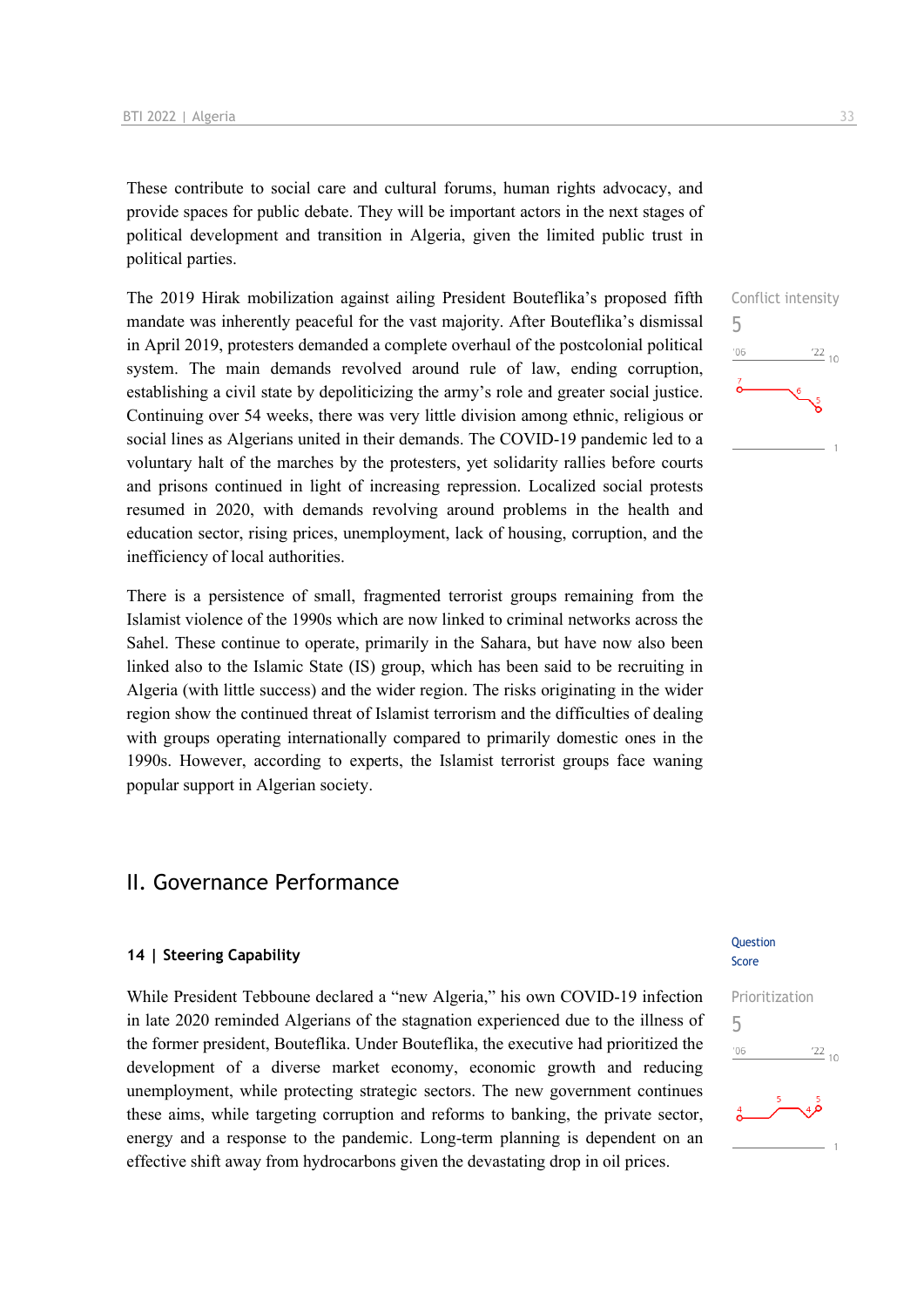These contribute to social care and cultural forums, human rights advocacy, and provide spaces for public debate. They will be important actors in the next stages of political development and transition in Algeria, given the limited public trust in political parties.

The 2019 Hirak mobilization against ailing President Bouteflika's proposed fifth mandate was inherently peaceful for the vast majority. After Bouteflika's dismissal in April 2019, protesters demanded a complete overhaul of the postcolonial political system. The main demands revolved around rule of law, ending corruption, establishing a civil state by depoliticizing the army's role and greater social justice. Continuing over 54 weeks, there was very little division among ethnic, religious or social lines as Algerians united in their demands. The COVID-19 pandemic led to a voluntary halt of the marches by the protesters, yet solidarity rallies before courts and prisons continued in light of increasing repression. Localized social protests resumed in 2020, with demands revolving around problems in the health and education sector, rising prices, unemployment, lack of housing, corruption, and the inefficiency of local authorities.

There is a persistence of small, fragmented terrorist groups remaining from the Islamist violence of the 1990s which are now linked to criminal networks across the Sahel. These continue to operate, primarily in the Sahara, but have now also been linked also to the Islamic State (IS) group, which has been said to be recruiting in Algeria (with little success) and the wider region. The risks originating in the wider region show the continued threat of Islamist terrorism and the difficulties of dealing with groups operating internationally compared to primarily domestic ones in the 1990s. However, according to experts, the Islamist terrorist groups face waning popular support in Algerian society.

### II. Governance Performance

#### **14 | Steering Capability**

While President Tebboune declared a "new Algeria," his own COVID-19 infection in late 2020 reminded Algerians of the stagnation experienced due to the illness of the former president, Bouteflika. Under Bouteflika, the executive had prioritized the development of a diverse market economy, economic growth and reducing unemployment, while protecting strategic sectors. The new government continues these aims, while targeting corruption and reforms to banking, the private sector, energy and a response to the pandemic. Long-term planning is dependent on an effective shift away from hydrocarbons given the devastating drop in oil prices.

## Conflict intensity 5  $\frac{22}{10}$  $n<sub>6</sub>$

#### **Ouestion** Score

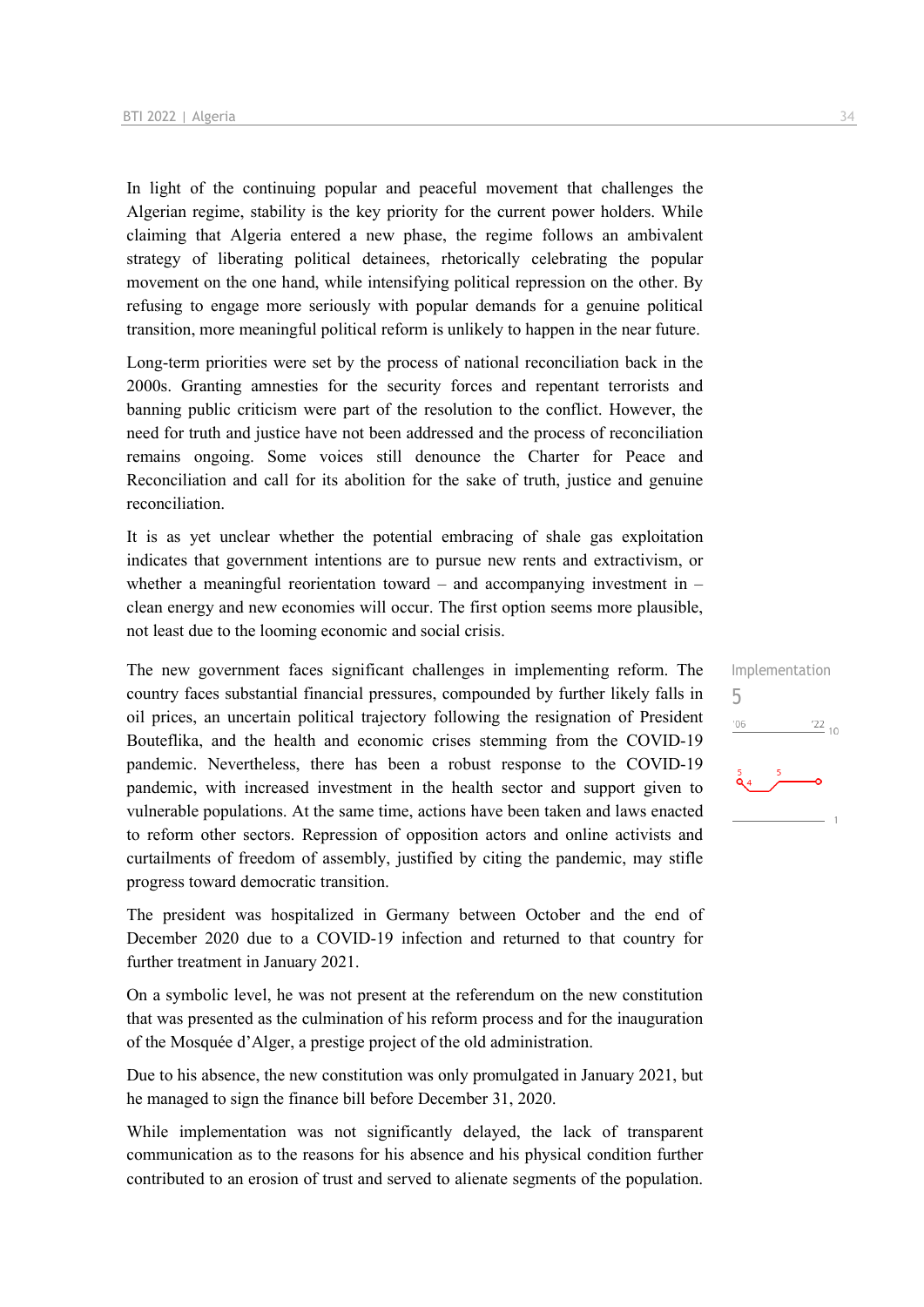In light of the continuing popular and peaceful movement that challenges the Algerian regime, stability is the key priority for the current power holders. While claiming that Algeria entered a new phase, the regime follows an ambivalent strategy of liberating political detainees, rhetorically celebrating the popular movement on the one hand, while intensifying political repression on the other. By refusing to engage more seriously with popular demands for a genuine political transition, more meaningful political reform is unlikely to happen in the near future.

Long-term priorities were set by the process of national reconciliation back in the 2000s. Granting amnesties for the security forces and repentant terrorists and banning public criticism were part of the resolution to the conflict. However, the need for truth and justice have not been addressed and the process of reconciliation remains ongoing. Some voices still denounce the Charter for Peace and Reconciliation and call for its abolition for the sake of truth, justice and genuine reconciliation.

It is as yet unclear whether the potential embracing of shale gas exploitation indicates that government intentions are to pursue new rents and extractivism, or whether a meaningful reorientation toward – and accompanying investment in – clean energy and new economies will occur. The first option seems more plausible, not least due to the looming economic and social crisis.

The new government faces significant challenges in implementing reform. The country faces substantial financial pressures, compounded by further likely falls in oil prices, an uncertain political trajectory following the resignation of President Bouteflika, and the health and economic crises stemming from the COVID-19 pandemic. Nevertheless, there has been a robust response to the COVID-19 pandemic, with increased investment in the health sector and support given to vulnerable populations. At the same time, actions have been taken and laws enacted to reform other sectors. Repression of opposition actors and online activists and curtailments of freedom of assembly, justified by citing the pandemic, may stifle progress toward democratic transition.

The president was hospitalized in Germany between October and the end of December 2020 due to a COVID-19 infection and returned to that country for further treatment in January 2021.

On a symbolic level, he was not present at the referendum on the new constitution that was presented as the culmination of his reform process and for the inauguration of the Mosquée d'Alger, a prestige project of the old administration.

Due to his absence, the new constitution was only promulgated in January 2021, but he managed to sign the finance bill before December 31, 2020.

While implementation was not significantly delayed, the lack of transparent communication as to the reasons for his absence and his physical condition further contributed to an erosion of trust and served to alienate segments of the population.

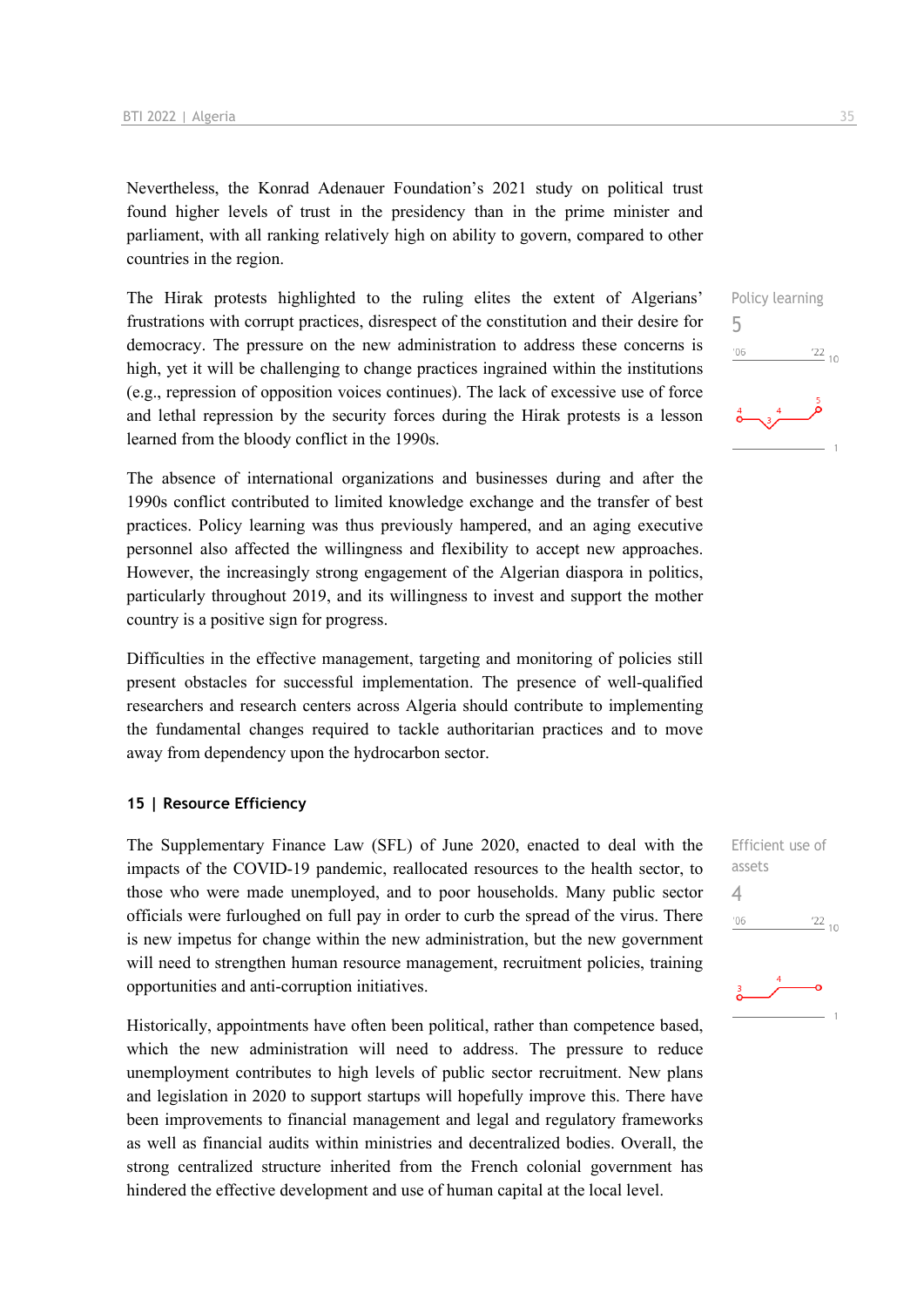Nevertheless, the Konrad Adenauer Foundation's 2021 study on political trust found higher levels of trust in the presidency than in the prime minister and parliament, with all ranking relatively high on ability to govern, compared to other countries in the region.

The Hirak protests highlighted to the ruling elites the extent of Algerians' frustrations with corrupt practices, disrespect of the constitution and their desire for democracy. The pressure on the new administration to address these concerns is high, yet it will be challenging to change practices ingrained within the institutions (e.g., repression of opposition voices continues). The lack of excessive use of force and lethal repression by the security forces during the Hirak protests is a lesson learned from the bloody conflict in the 1990s.

The absence of international organizations and businesses during and after the 1990s conflict contributed to limited knowledge exchange and the transfer of best practices. Policy learning was thus previously hampered, and an aging executive personnel also affected the willingness and flexibility to accept new approaches. However, the increasingly strong engagement of the Algerian diaspora in politics, particularly throughout 2019, and its willingness to invest and support the mother country is a positive sign for progress.

Difficulties in the effective management, targeting and monitoring of policies still present obstacles for successful implementation. The presence of well-qualified researchers and research centers across Algeria should contribute to implementing the fundamental changes required to tackle authoritarian practices and to move away from dependency upon the hydrocarbon sector.

#### **15 | Resource Efficiency**

The Supplementary Finance Law (SFL) of June 2020, enacted to deal with the impacts of the COVID-19 pandemic, reallocated resources to the health sector, to those who were made unemployed, and to poor households. Many public sector officials were furloughed on full pay in order to curb the spread of the virus. There is new impetus for change within the new administration, but the new government will need to strengthen human resource management, recruitment policies, training opportunities and anti-corruption initiatives.

Historically, appointments have often been political, rather than competence based, which the new administration will need to address. The pressure to reduce unemployment contributes to high levels of public sector recruitment. New plans and legislation in 2020 to support startups will hopefully improve this. There have been improvements to financial management and legal and regulatory frameworks as well as financial audits within ministries and decentralized bodies. Overall, the strong centralized structure inherited from the French colonial government has hindered the effective development and use of human capital at the local level.

Policy learning 5  $\frac{22}{10}$  $-06$ 

Efficient use of assets 4 $\frac{22}{10}$  $^{\prime}06$ 

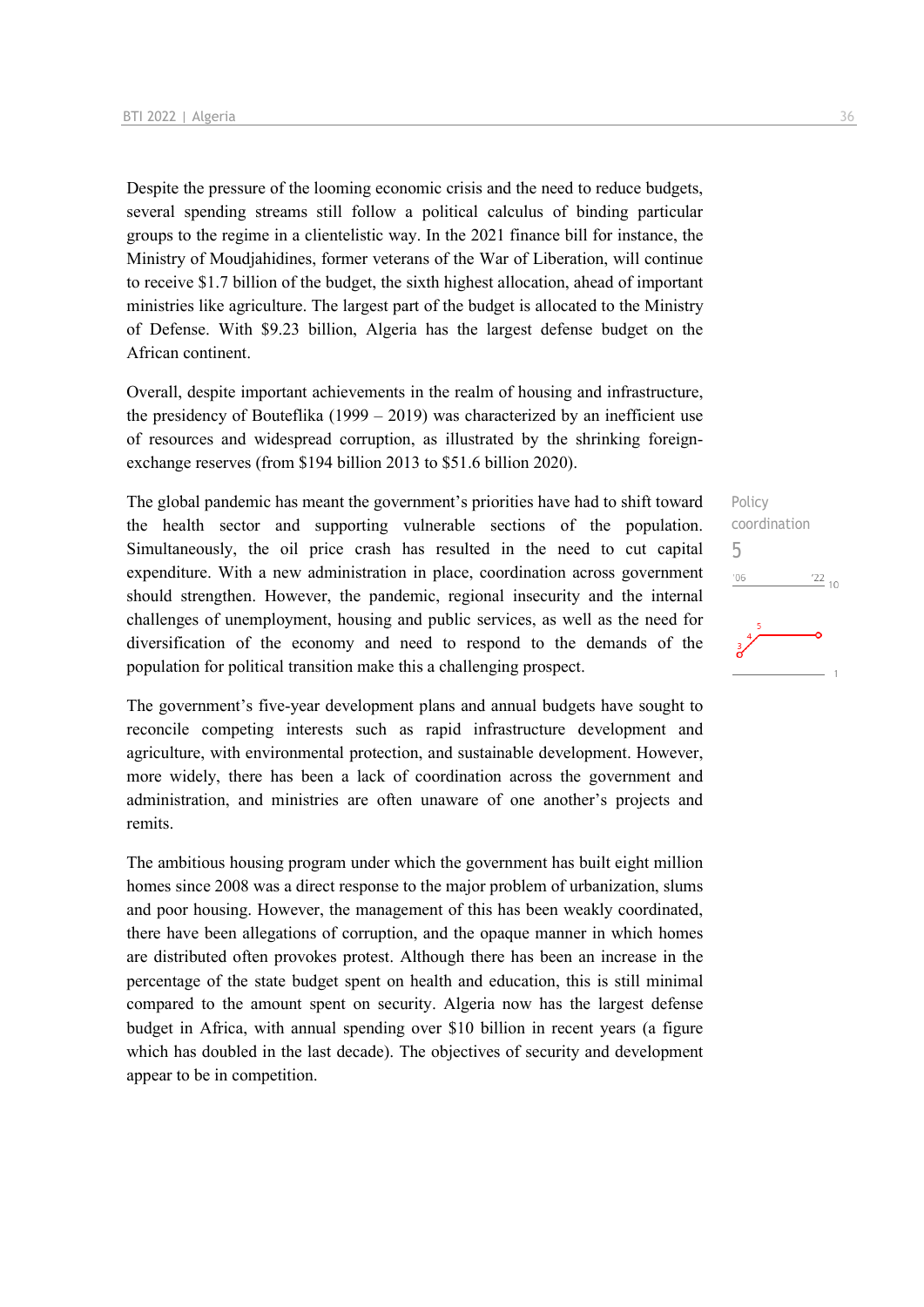Despite the pressure of the looming economic crisis and the need to reduce budgets, several spending streams still follow a political calculus of binding particular groups to the regime in a clientelistic way. In the 2021 finance bill for instance, the Ministry of Moudjahidines, former veterans of the War of Liberation, will continue to receive \$1.7 billion of the budget, the sixth highest allocation, ahead of important ministries like agriculture. The largest part of the budget is allocated to the Ministry of Defense. With \$9.23 billion, Algeria has the largest defense budget on the African continent.

Overall, despite important achievements in the realm of housing and infrastructure, the presidency of Bouteflika  $(1999 - 2019)$  was characterized by an inefficient use of resources and widespread corruption, as illustrated by the shrinking foreignexchange reserves (from \$194 billion 2013 to \$51.6 billion 2020).

The global pandemic has meant the government's priorities have had to shift toward the health sector and supporting vulnerable sections of the population. Simultaneously, the oil price crash has resulted in the need to cut capital expenditure. With a new administration in place, coordination across government should strengthen. However, the pandemic, regional insecurity and the internal challenges of unemployment, housing and public services, as well as the need for diversification of the economy and need to respond to the demands of the population for political transition make this a challenging prospect.

The government's five-year development plans and annual budgets have sought to reconcile competing interests such as rapid infrastructure development and agriculture, with environmental protection, and sustainable development. However, more widely, there has been a lack of coordination across the government and administration, and ministries are often unaware of one another's projects and remits.

The ambitious housing program under which the government has built eight million homes since 2008 was a direct response to the major problem of urbanization, slums and poor housing. However, the management of this has been weakly coordinated, there have been allegations of corruption, and the opaque manner in which homes are distributed often provokes protest. Although there has been an increase in the percentage of the state budget spent on health and education, this is still minimal compared to the amount spent on security. Algeria now has the largest defense budget in Africa, with annual spending over \$10 billion in recent years (a figure which has doubled in the last decade). The objectives of security and development appear to be in competition.

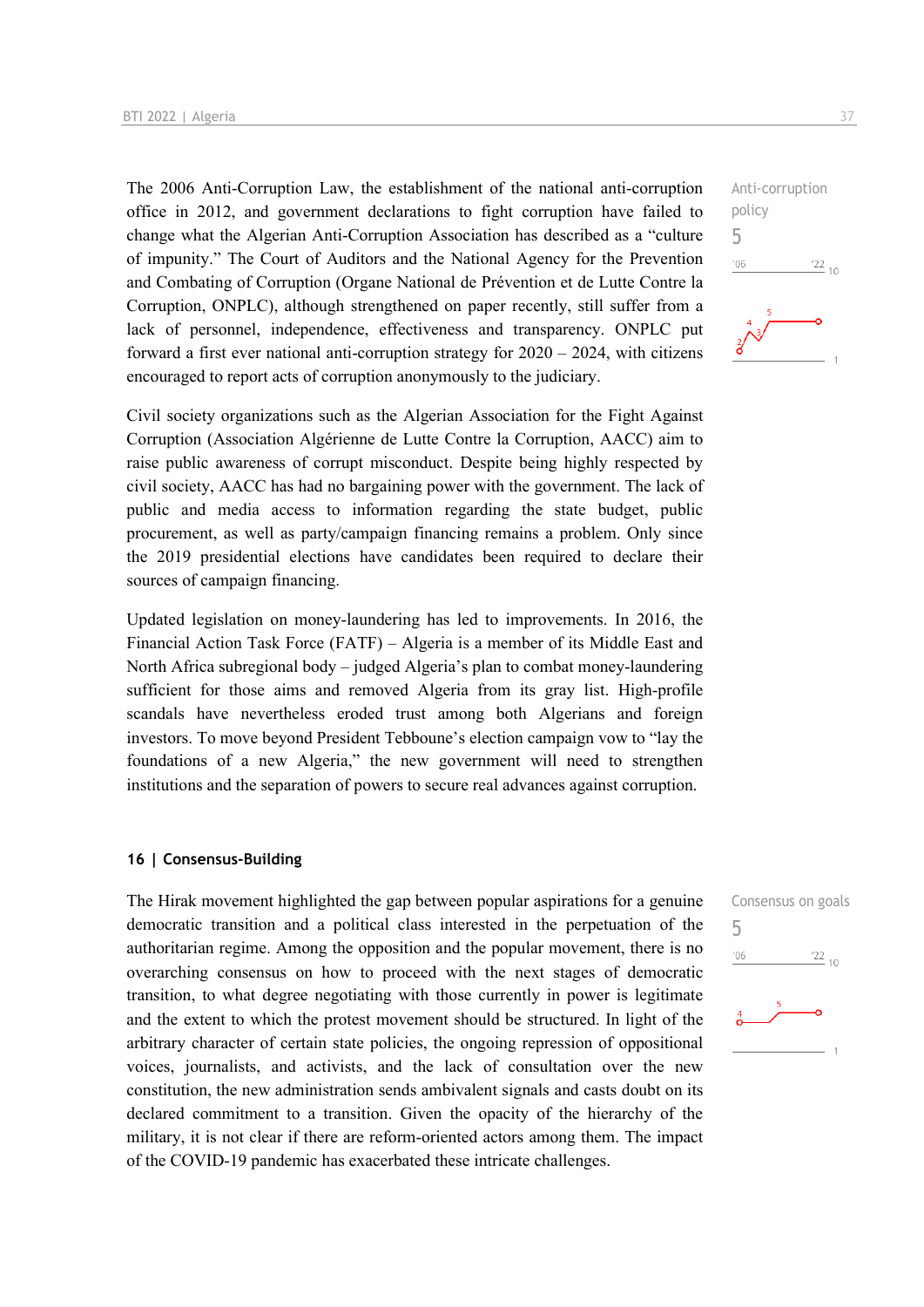The 2006 Anti-Corruption Law, the establishment of the national anti-corruption office in 2012, and government declarations to fight corruption have failed to change what the Algerian Anti-Corruption Association has described as a "culture of impunity." The Court of Auditors and the National Agency for the Prevention and Combating of Corruption (Organe National de Prévention et de Lutte Contre la Corruption, ONPLC), although strengthened on paper recently, still suffer from a lack of personnel, independence, effectiveness and transparency. ONPLC put forward a first ever national anti-corruption strategy for 2020 – 2024, with citizens encouraged to report acts of corruption anonymously to the judiciary.

Civil society organizations such as the Algerian Association for the Fight Against Corruption (Association Algérienne de Lutte Contre la Corruption, AACC) aim to raise public awareness of corrupt misconduct. Despite being highly respected by civil society, AACC has had no bargaining power with the government. The lack of public and media access to information regarding the state budget, public procurement, as well as party/campaign financing remains a problem. Only since the 2019 presidential elections have candidates been required to declare their sources of campaign financing.

Updated legislation on money-laundering has led to improvements. In 2016, the Financial Action Task Force (FATF) – Algeria is a member of its Middle East and North Africa subregional body – judged Algeria's plan to combat money-laundering sufficient for those aims and removed Algeria from its gray list. High-profile scandals have nevertheless eroded trust among both Algerians and foreign investors. To move beyond President Tebboune's election campaign vow to "lay the foundations of a new Algeria," the new government will need to strengthen institutions and the separation of powers to secure real advances against corruption.

#### **16 | Consensus-Building**

The Hirak movement highlighted the gap between popular aspirations for a genuine democratic transition and a political class interested in the perpetuation of the authoritarian regime. Among the opposition and the popular movement, there is no overarching consensus on how to proceed with the next stages of democratic transition, to what degree negotiating with those currently in power is legitimate and the extent to which the protest movement should be structured. In light of the arbitrary character of certain state policies, the ongoing repression of oppositional voices, journalists, and activists, and the lack of consultation over the new constitution, the new administration sends ambivalent signals and casts doubt on its declared commitment to a transition. Given the opacity of the hierarchy of the military, it is not clear if there are reform-oriented actors among them. The impact of the COVID-19 pandemic has exacerbated these intricate challenges.



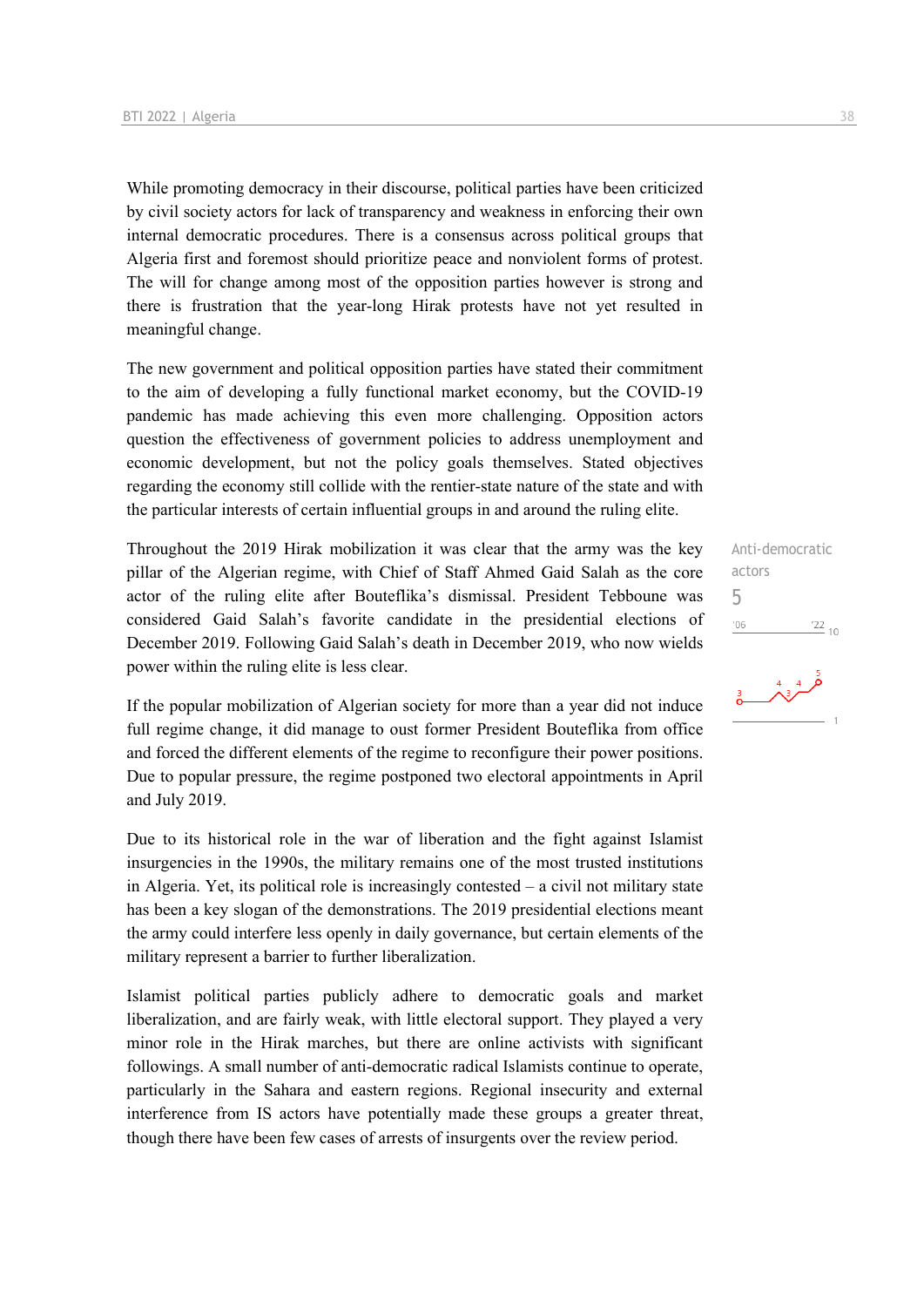While promoting democracy in their discourse, political parties have been criticized by civil society actors for lack of transparency and weakness in enforcing their own internal democratic procedures. There is a consensus across political groups that Algeria first and foremost should prioritize peace and nonviolent forms of protest. The will for change among most of the opposition parties however is strong and there is frustration that the year-long Hirak protests have not yet resulted in meaningful change.

The new government and political opposition parties have stated their commitment to the aim of developing a fully functional market economy, but the COVID-19 pandemic has made achieving this even more challenging. Opposition actors question the effectiveness of government policies to address unemployment and economic development, but not the policy goals themselves. Stated objectives regarding the economy still collide with the rentier-state nature of the state and with the particular interests of certain influential groups in and around the ruling elite.

Throughout the 2019 Hirak mobilization it was clear that the army was the key pillar of the Algerian regime, with Chief of Staff Ahmed Gaid Salah as the core actor of the ruling elite after Bouteflika's dismissal. President Tebboune was considered Gaid Salah's favorite candidate in the presidential elections of December 2019. Following Gaid Salah's death in December 2019, who now wields power within the ruling elite is less clear.

If the popular mobilization of Algerian society for more than a year did not induce full regime change, it did manage to oust former President Bouteflika from office and forced the different elements of the regime to reconfigure their power positions. Due to popular pressure, the regime postponed two electoral appointments in April and July 2019.

Due to its historical role in the war of liberation and the fight against Islamist insurgencies in the 1990s, the military remains one of the most trusted institutions in Algeria. Yet, its political role is increasingly contested  $-$  a civil not military state has been a key slogan of the demonstrations. The 2019 presidential elections meant the army could interfere less openly in daily governance, but certain elements of the military represent a barrier to further liberalization.

Islamist political parties publicly adhere to democratic goals and market liberalization, and are fairly weak, with little electoral support. They played a very minor role in the Hirak marches, but there are online activists with significant followings. A small number of anti-democratic radical Islamists continue to operate, particularly in the Sahara and eastern regions. Regional insecurity and external interference from IS actors have potentially made these groups a greater threat, though there have been few cases of arrests of insurgents over the review period.

Anti-democratic actors 5 $-06$ 

 $\frac{4}{3}$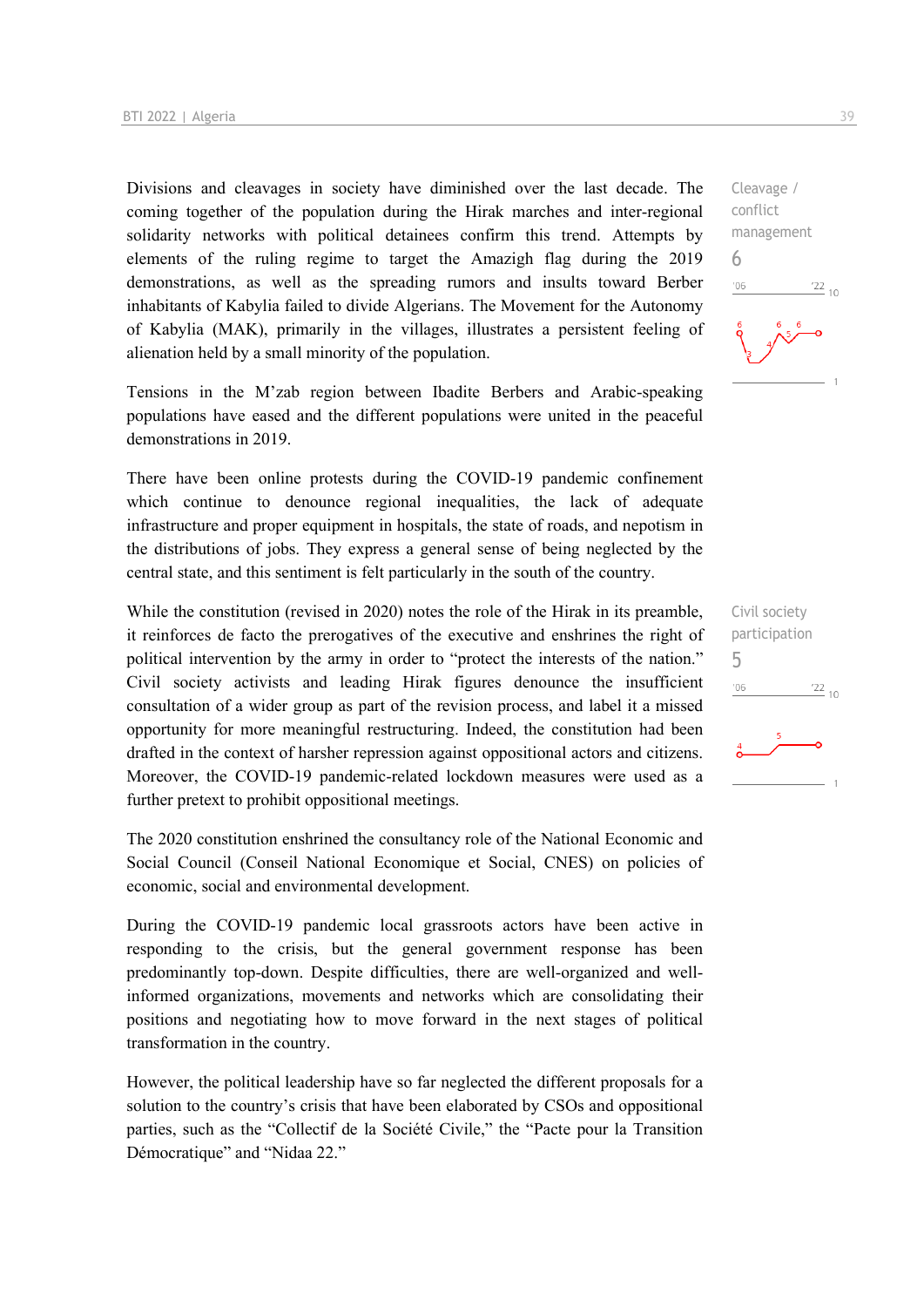Divisions and cleavages in society have diminished over the last decade. The coming together of the population during the Hirak marches and inter-regional solidarity networks with political detainees confirm this trend. Attempts by elements of the ruling regime to target the Amazigh flag during the 2019 demonstrations, as well as the spreading rumors and insults toward Berber inhabitants of Kabylia failed to divide Algerians. The Movement for the Autonomy of Kabylia (MAK), primarily in the villages, illustrates a persistent feeling of alienation held by a small minority of the population.

Tensions in the M'zab region between Ibadite Berbers and Arabic-speaking populations have eased and the different populations were united in the peaceful demonstrations in 2019.

There have been online protests during the COVID-19 pandemic confinement which continue to denounce regional inequalities, the lack of adequate infrastructure and proper equipment in hospitals, the state of roads, and nepotism in the distributions of jobs. They express a general sense of being neglected by the central state, and this sentiment is felt particularly in the south of the country.

While the constitution (revised in 2020) notes the role of the Hirak in its preamble, it reinforces de facto the prerogatives of the executive and enshrines the right of political intervention by the army in order to "protect the interests of the nation." Civil society activists and leading Hirak figures denounce the insufficient consultation of a wider group as part of the revision process, and label it a missed opportunity for more meaningful restructuring. Indeed, the constitution had been drafted in the context of harsher repression against oppositional actors and citizens. Moreover, the COVID-19 pandemic-related lockdown measures were used as a further pretext to prohibit oppositional meetings.

The 2020 constitution enshrined the consultancy role of the National Economic and Social Council (Conseil National Economique et Social, CNES) on policies of economic, social and environmental development.

During the COVID-19 pandemic local grassroots actors have been active in responding to the crisis, but the general government response has been predominantly top-down. Despite difficulties, there are well-organized and wellinformed organizations, movements and networks which are consolidating their positions and negotiating how to move forward in the next stages of political transformation in the country.

However, the political leadership have so far neglected the different proposals for a solution to the country's crisis that have been elaborated by CSOs and oppositional parties, such as the "Collectif de la Société Civile," the "Pacte pour la Transition Démocratique" and "Nidaa 22."

Cleavage / conflict management 6  $^{22}_{-10}$  $n<sub>6</sub>$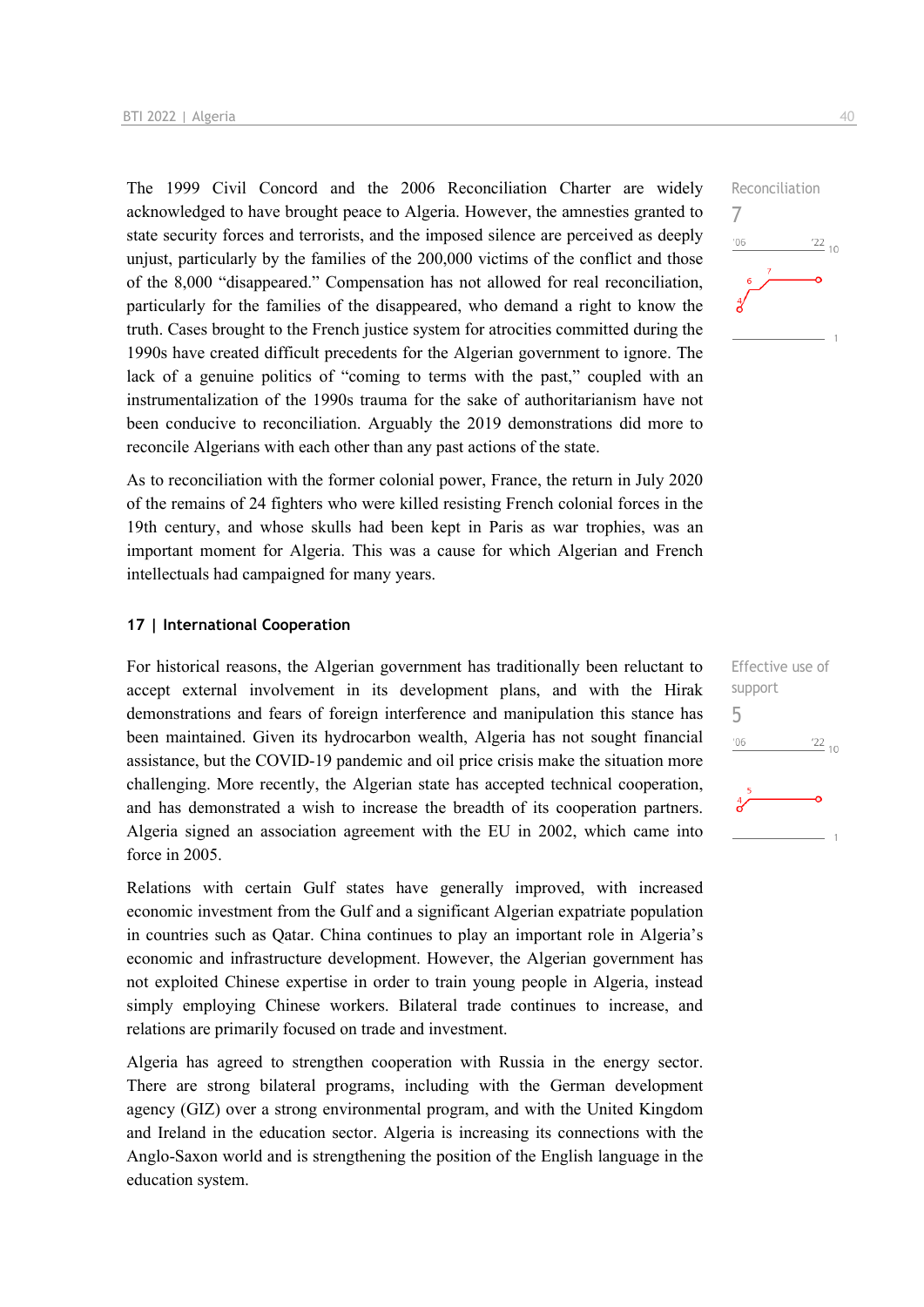The 1999 Civil Concord and the 2006 Reconciliation Charter are widely acknowledged to have brought peace to Algeria. However, the amnesties granted to state security forces and terrorists, and the imposed silence are perceived as deeply unjust, particularly by the families of the 200,000 victims of the conflict and those of the 8,000 "disappeared." Compensation has not allowed for real reconciliation, particularly for the families of the disappeared, who demand a right to know the truth. Cases brought to the French justice system for atrocities committed during the 1990s have created difficult precedents for the Algerian government to ignore. The lack of a genuine politics of "coming to terms with the past," coupled with an instrumentalization of the 1990s trauma for the sake of authoritarianism have not been conducive to reconciliation. Arguably the 2019 demonstrations did more to reconcile Algerians with each other than any past actions of the state.

As to reconciliation with the former colonial power, France, the return in July 2020 of the remains of 24 fighters who were killed resisting French colonial forces in the 19th century, and whose skulls had been kept in Paris as war trophies, was an important moment for Algeria. This was a cause for which Algerian and French intellectuals had campaigned for many years.

#### **17 | International Cooperation**

For historical reasons, the Algerian government has traditionally been reluctant to accept external involvement in its development plans, and with the Hirak demonstrations and fears of foreign interference and manipulation this stance has been maintained. Given its hydrocarbon wealth, Algeria has not sought financial assistance, but the COVID-19 pandemic and oil price crisis make the situation more challenging. More recently, the Algerian state has accepted technical cooperation, and has demonstrated a wish to increase the breadth of its cooperation partners. Algeria signed an association agreement with the EU in 2002, which came into force in 2005.

Relations with certain Gulf states have generally improved, with increased economic investment from the Gulf and a significant Algerian expatriate population in countries such as Qatar. China continues to play an important role in Algeria's economic and infrastructure development. However, the Algerian government has not exploited Chinese expertise in order to train young people in Algeria, instead simply employing Chinese workers. Bilateral trade continues to increase, and relations are primarily focused on trade and investment.

Algeria has agreed to strengthen cooperation with Russia in the energy sector. There are strong bilateral programs, including with the German development agency (GIZ) over a strong environmental program, and with the United Kingdom and Ireland in the education sector. Algeria is increasing its connections with the Anglo-Saxon world and is strengthening the position of the English language in the education system.



| support            |                 |
|--------------------|-----------------|
| b                  |                 |
| '06                | $\frac{22}{10}$ |
| 5<br>$\frac{4}{5}$ |                 |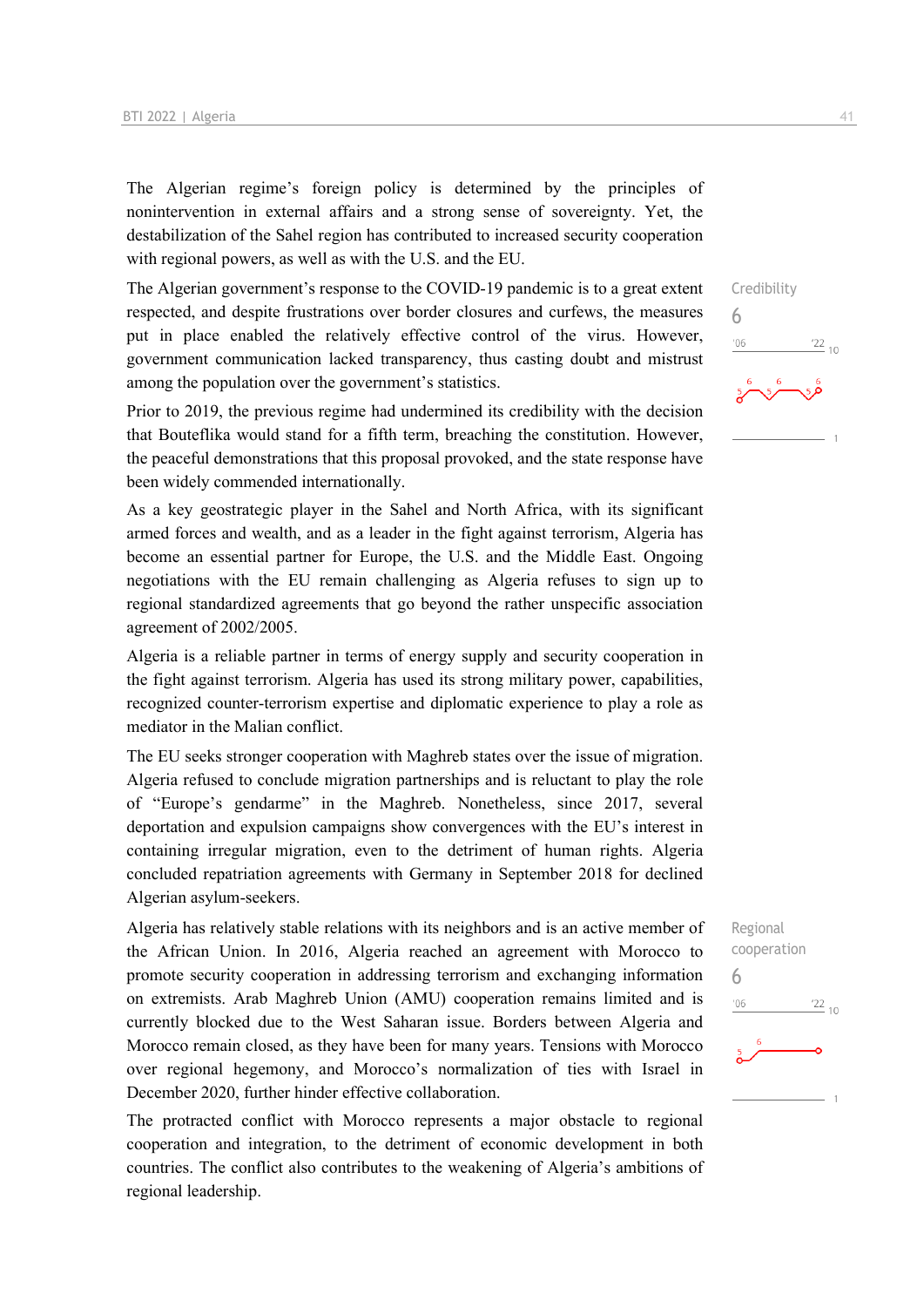The Algerian regime's foreign policy is determined by the principles of nonintervention in external affairs and a strong sense of sovereignty. Yet, the destabilization of the Sahel region has contributed to increased security cooperation with regional powers, as well as with the U.S. and the EU.

The Algerian government's response to the COVID-19 pandemic is to a great extent respected, and despite frustrations over border closures and curfews, the measures put in place enabled the relatively effective control of the virus. However, government communication lacked transparency, thus casting doubt and mistrust among the population over the government's statistics.

Prior to 2019, the previous regime had undermined its credibility with the decision that Bouteflika would stand for a fifth term, breaching the constitution. However, the peaceful demonstrations that this proposal provoked, and the state response have been widely commended internationally.

As a key geostrategic player in the Sahel and North Africa, with its significant armed forces and wealth, and as a leader in the fight against terrorism, Algeria has become an essential partner for Europe, the U.S. and the Middle East. Ongoing negotiations with the EU remain challenging as Algeria refuses to sign up to regional standardized agreements that go beyond the rather unspecific association agreement of 2002/2005.

Algeria is a reliable partner in terms of energy supply and security cooperation in the fight against terrorism. Algeria has used its strong military power, capabilities, recognized counter-terrorism expertise and diplomatic experience to play a role as mediator in the Malian conflict.

The EU seeks stronger cooperation with Maghreb states over the issue of migration. Algeria refused to conclude migration partnerships and is reluctant to play the role of "Europe's gendarme" in the Maghreb. Nonetheless, since 2017, several deportation and expulsion campaigns show convergences with the EU's interest in containing irregular migration, even to the detriment of human rights. Algeria concluded repatriation agreements with Germany in September 2018 for declined Algerian asylum-seekers.

Algeria has relatively stable relations with its neighbors and is an active member of the African Union. In 2016, Algeria reached an agreement with Morocco to promote security cooperation in addressing terrorism and exchanging information on extremists. Arab Maghreb Union (AMU) cooperation remains limited and is currently blocked due to the West Saharan issue. Borders between Algeria and Morocco remain closed, as they have been for many years. Tensions with Morocco over regional hegemony, and Morocco's normalization of ties with Israel in December 2020, further hinder effective collaboration.

The protracted conflict with Morocco represents a major obstacle to regional cooperation and integration, to the detriment of economic development in both countries. The conflict also contributes to the weakening of Algeria's ambitions of regional leadership.

Credibility 6  $\frac{22}{10}$  $106$ 

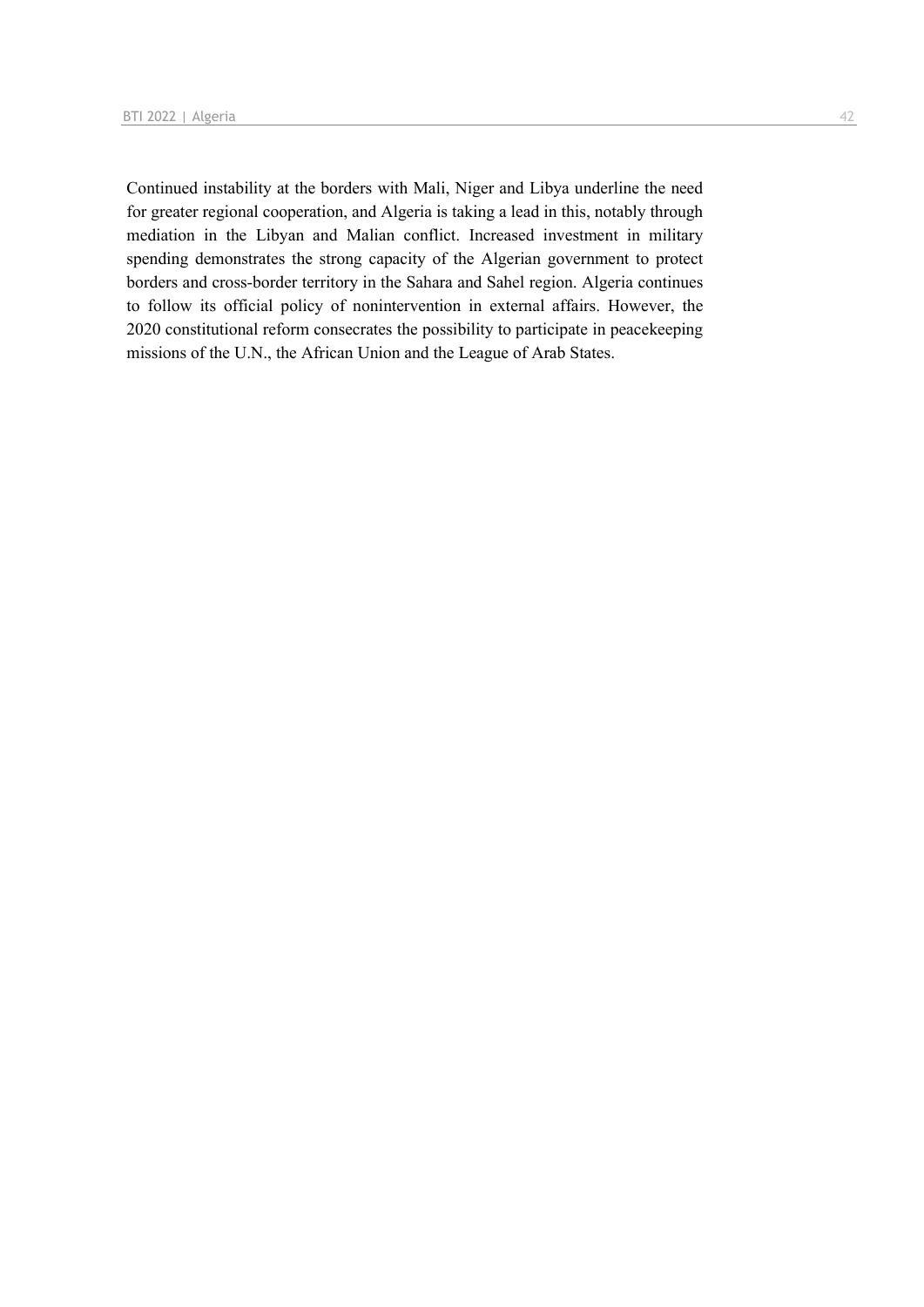Continued instability at the borders with Mali, Niger and Libya underline the need for greater regional cooperation, and Algeria is taking a lead in this, notably through mediation in the Libyan and Malian conflict. Increased investment in military spending demonstrates the strong capacity of the Algerian government to protect borders and cross-border territory in the Sahara and Sahel region. Algeria continues to follow its official policy of nonintervention in external affairs. However, the 2020 constitutional reform consecrates the possibility to participate in peacekeeping missions of the U.N., the African Union and the League of Arab States.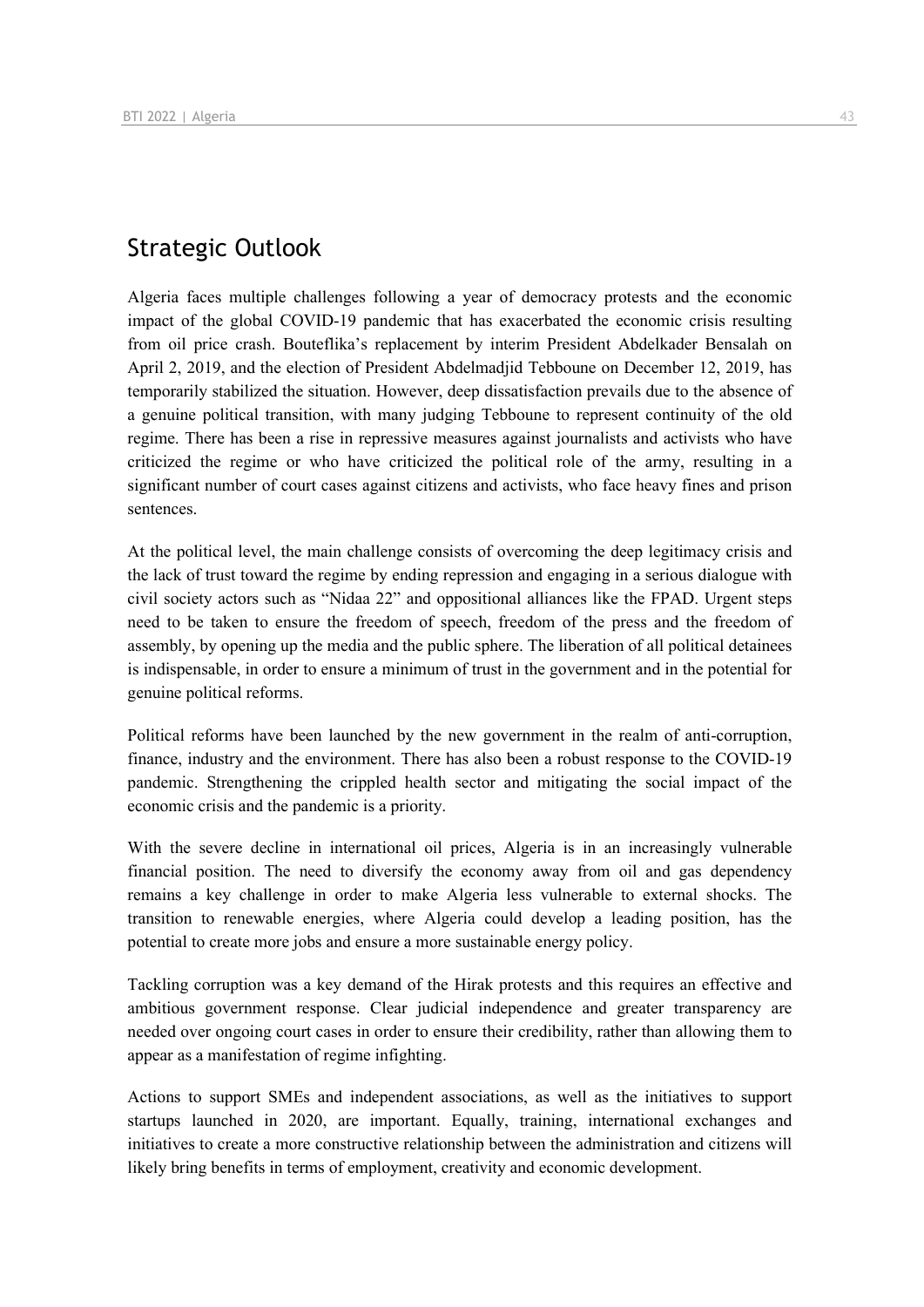## Strategic Outlook

Algeria faces multiple challenges following a year of democracy protests and the economic impact of the global COVID-19 pandemic that has exacerbated the economic crisis resulting from oil price crash. Bouteflika's replacement by interim President Abdelkader Bensalah on April 2, 2019, and the election of President Abdelmadjid Tebboune on December 12, 2019, has temporarily stabilized the situation. However, deep dissatisfaction prevails due to the absence of a genuine political transition, with many judging Tebboune to represent continuity of the old regime. There has been a rise in repressive measures against journalists and activists who have criticized the regime or who have criticized the political role of the army, resulting in a significant number of court cases against citizens and activists, who face heavy fines and prison sentences.

At the political level, the main challenge consists of overcoming the deep legitimacy crisis and the lack of trust toward the regime by ending repression and engaging in a serious dialogue with civil society actors such as "Nidaa 22" and oppositional alliances like the FPAD. Urgent steps need to be taken to ensure the freedom of speech, freedom of the press and the freedom of assembly, by opening up the media and the public sphere. The liberation of all political detainees is indispensable, in order to ensure a minimum of trust in the government and in the potential for genuine political reforms.

Political reforms have been launched by the new government in the realm of anti-corruption, finance, industry and the environment. There has also been a robust response to the COVID-19 pandemic. Strengthening the crippled health sector and mitigating the social impact of the economic crisis and the pandemic is a priority.

With the severe decline in international oil prices, Algeria is in an increasingly vulnerable financial position. The need to diversify the economy away from oil and gas dependency remains a key challenge in order to make Algeria less vulnerable to external shocks. The transition to renewable energies, where Algeria could develop a leading position, has the potential to create more jobs and ensure a more sustainable energy policy.

Tackling corruption was a key demand of the Hirak protests and this requires an effective and ambitious government response. Clear judicial independence and greater transparency are needed over ongoing court cases in order to ensure their credibility, rather than allowing them to appear as a manifestation of regime infighting.

Actions to support SMEs and independent associations, as well as the initiatives to support startups launched in 2020, are important. Equally, training, international exchanges and initiatives to create a more constructive relationship between the administration and citizens will likely bring benefits in terms of employment, creativity and economic development.